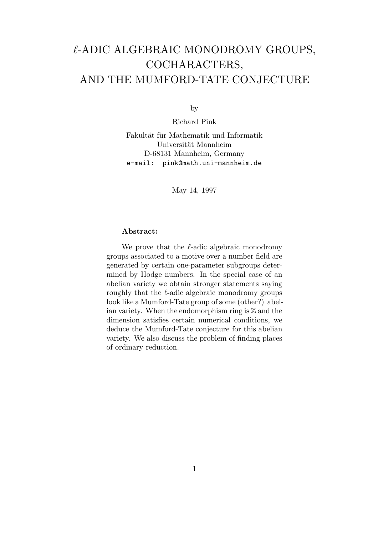# $\ell$ -ADIC ALGEBRAIC MONODROMY GROUPS, COCHARACTERS, AND THE MUMFORD-TATE CONJECTURE

by

Richard Pink

Fakultät für Mathematik und Informatik Universität Mannheim D-68131 Mannheim, Germany e-mail: pink@math.uni-mannheim.de

May 14, 1997

### Abstract:

We prove that the  $\ell$ -adic algebraic monodromy groups associated to a motive over a number field are generated by certain one-parameter subgroups determined by Hodge numbers. In the special case of an abelian variety we obtain stronger statements saying roughly that the  $\ell$ -adic algebraic monodromy groups look like a Mumford-Tate group of some (other?) abelian variety. When the endomorphism ring is  $\mathbb Z$  and the dimension satisfies certain numerical conditions, we deduce the Mumford-Tate conjecture for this abelian variety. We also discuss the problem of finding places of ordinary reduction.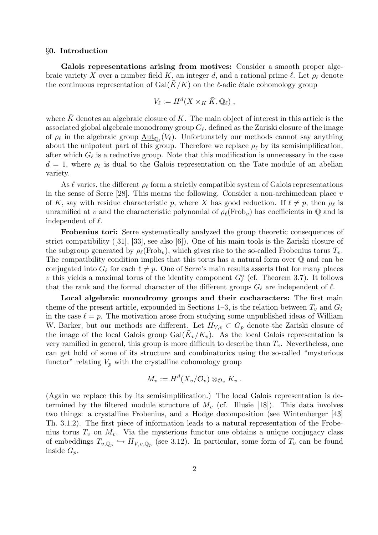### §0. Introduction

Galois representations arising from motives: Consider a smooth proper algebraic variety X over a number field K, an integer d, and a rational prime  $\ell$ . Let  $\rho_{\ell}$  denote the continuous representation of Gal $(K/K)$  on the  $\ell$ -adic étale cohomology group

$$
V_{\ell} := H^d(X \times_K \bar{K}, \mathbb{Q}_{\ell}),
$$

where  $\bar{K}$  denotes an algebraic closure of K. The main object of interest in this article is the associated global algebraic monodromy group  $G_\ell$ , defined as the Zariski closure of the image of  $\rho_\ell$  in the algebraic group  $\underline{\mathrm{Aut}}_{\mathbb{Q}_\ell}(V_\ell)$ . Unfortunately our methods cannot say anything about the unipotent part of this group. Therefore we replace  $\rho_{\ell}$  by its semisimplification, after which  $G_{\ell}$  is a reductive group. Note that this modification is unnecessary in the case  $d = 1$ , where  $\rho_{\ell}$  is dual to the Galois representation on the Tate module of an abelian variety.

As  $\ell$  varies, the different  $\rho_{\ell}$  form a strictly compatible system of Galois representations in the sense of Serre [28]. This means the following. Consider a non-archimedean place v of K, say with residue characteristic p, where X has good reduction. If  $\ell \neq p$ , then  $\rho_{\ell}$  is unramified at v and the characteristic polynomial of  $\rho_{\ell}(\text{Frob}_{v})$  has coefficients in  $\mathbb{Q}$  and is independent of  $\ell$ .

Frobenius tori: Serre systematically analyzed the group theoretic consequences of strict compatibility ([31], [33], see also [6]). One of his main tools is the Zariski closure of the subgroup generated by  $\rho_{\ell}(\text{Frob}_{v}),$  which gives rise to the so-called Frobenius torus  $T_{v}.$ The compatibility condition implies that this torus has a natural form over Q and can be conjugated into  $G_\ell$  for each  $\ell \neq p$ . One of Serre's main results asserts that for many places v this yields a maximal torus of the identity component  $G_{\ell}^{\circ}$  (cf. Theorem 3.7). It follows that the rank and the formal character of the different groups  $G_\ell$  are independent of  $\ell$ .

Local algebraic monodromy groups and their cocharacters: The first main theme of the present article, expounded in Sections 1–3, is the relation between  $T_v$  and  $G_\ell$ in the case  $\ell = p$ . The motivation arose from studying some unpublished ideas of William W. Barker, but our methods are different. Let  $H_{V,v} \subset G_p$  denote the Zariski closure of the image of the local Galois group  $Gal(\bar{K}_v/K_v)$ . As the local Galois representation is very ramified in general, this group is more difficult to describe than  $T_v$ . Nevertheless, one can get hold of some of its structure and combinatorics using the so-called "mysterious functor" relating  $V_p$  with the crystalline cohomology group

$$
M_v := H^d(X_v/\mathcal{O}_v) \otimes_{\mathcal{O}_v} K_v.
$$

(Again we replace this by its semisimplification.) The local Galois representation is determined by the filtered module structure of  $M_v$  (cf. Illusie [18]). This data involves two things: a crystalline Frobenius, and a Hodge decomposition (see Wintenberger [43] Th. 3.1.2). The first piece of information leads to a natural representation of the Frobenius torus  $T_v$  on  $M_v$ . Via the mysterious functor one obtains a unique conjugacy class of embeddings  $T_{v,\bar{\mathbb{Q}}_p} \hookrightarrow H_{V,v,\bar{\mathbb{Q}}_p}$  (see 3.12). In particular, some form of  $T_v$  can be found inside  $G_p$ .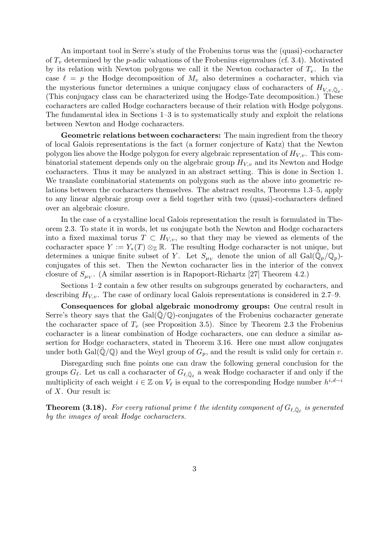An important tool in Serre's study of the Frobenius torus was the (quasi)-cocharacter of  $T_v$  determined by the p-adic valuations of the Frobenius eigenvalues (cf. 3.4). Motivated by its relation with Newton polygons we call it the Newton cocharacter of  $T_v$ . In the case  $\ell = p$  the Hodge decomposition of  $M_v$  also determines a cocharacter, which via the mysterious functor determines a unique conjugacy class of cocharacters of  $H_{V,v,\bar{\mathbb{Q}}_p}$ . (This conjugacy class can be characterized using the Hodge-Tate decomposition.) These cocharacters are called Hodge cocharacters because of their relation with Hodge polygons. The fundamental idea in Sections 1–3 is to systematically study and exploit the relations between Newton and Hodge cocharacters.

Geometric relations between cocharacters: The main ingredient from the theory of local Galois representations is the fact (a former conjecture of Katz) that the Newton polygon lies above the Hodge polygon for every algebraic representation of  $H_{V,y}$ . This combinatorial statement depends only on the algebraic group  $H_{V,v}$  and its Newton and Hodge cocharacters. Thus it may be analyzed in an abstract setting. This is done in Section 1. We translate combinatorial statements on polygons such as the above into geometric relations between the cocharacters themselves. The abstract results, Theorems 1.3–5, apply to any linear algebraic group over a field together with two (quasi)-cocharacters defined over an algebraic closure.

In the case of a crystalline local Galois representation the result is formulated in Theorem 2.3. To state it in words, let us conjugate both the Newton and Hodge cocharacters into a fixed maximal torus  $T \subset H_{V,v}$ , so that they may be viewed as elements of the cocharacter space  $Y := Y_*(T) \otimes_{\mathbb{Z}} \mathbb{R}$ . The resulting Hodge cocharacter is not unique, but determines a unique finite subset of Y. Let  $S_{\mu\nu}$  denote the union of all  $Gal(\bar{\mathbb{Q}}_p/\mathbb{Q}_p)$ conjugates of this set. Then the Newton cocharacter lies in the interior of the convex closure of  $S_{\mu\nu}$ . (A similar assertion is in Rapoport-Richartz [27] Theorem 4.2.)

Sections 1–2 contain a few other results on subgroups generated by cocharacters, and describing  $H_{V,v}$ . The case of ordinary local Galois representations is considered in 2.7–9.

Consequences for global algebraic monodromy groups: One central result in Serre's theory says that the  $Gal(\mathbb{Q}/\mathbb{Q})$ -conjugates of the Frobenius cocharacter generate the cocharacter space of  $T_v$  (see Proposition 3.5). Since by Theorem 2.3 the Frobenius cocharacter is a linear combination of Hodge cocharacters, one can deduce a similar assertion for Hodge cocharacters, stated in Theorem 3.16. Here one must allow conjugates under both Gal( $\mathbb{Q}/\mathbb{Q}$ ) and the Weyl group of  $G_p$ , and the result is valid only for certain v.

Disregarding such fine points one can draw the following general conclusion for the groups  $G_{\ell}$ . Let us call a cocharacter of  $G_{\ell,\bar{\mathbb{Q}}_{\ell}}$  a weak Hodge cocharacter if and only if the multiplicity of each weight  $i \in \mathbb{Z}$  on  $V_\ell$  is equal to the corresponding Hodge number  $h^{i,d-i}$ of  $X$ . Our result is:

**Theorem (3.18).** For every rational prime  $\ell$  the identity component of  $G_{\ell,\bar{\mathbb{Q}}_{\ell}}$  is generated by the images of weak Hodge cocharacters.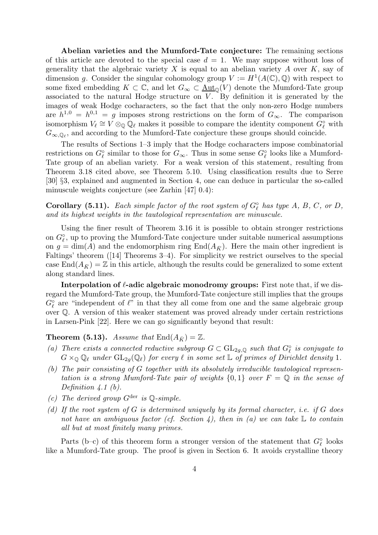Abelian varieties and the Mumford-Tate conjecture: The remaining sections of this article are devoted to the special case  $d = 1$ . We may suppose without loss of generality that the algebraic variety X is equal to an abelian variety A over  $K$ , say of dimension g. Consider the singular cohomology group  $V := H^1(A(\mathbb{C}), \mathbb{Q})$  with respect to some fixed embedding  $K \subset \mathbb{C}$ , and let  $G_{\infty} \subset \underline{\text{Aut}}_{\mathbb{O}}(V)$  denote the Mumford-Tate group associated to the natural Hodge structure on  $V$ . By definition it is generated by the images of weak Hodge cocharacters, so the fact that the only non-zero Hodge numbers are  $h^{1,0} = h^{0,1} = g$  imposes strong restrictions on the form of  $G_{\infty}$ . The comparison isomorphism  $V_{\ell} \cong V \otimes_{\mathbb{Q}} \overline{\mathbb{Q}}_{\ell}$  makes it possible to compare the identity component  $G_{\ell}^{\circ}$  with  $G_{\infty,\mathbb{Q}_\ell}$ , and according to the Mumford-Tate conjecture these groups should coincide.

The results of Sections 1–3 imply that the Hodge cocharacters impose combinatorial restrictions on  $G_{\ell}^{\circ}$  similar to those for  $G_{\infty}$ . Thus in some sense  $G_{\ell}^{\circ}$  looks like a Mumford-Tate group of an abelian variety. For a weak version of this statement, resulting from Theorem 3.18 cited above, see Theorem 5.10. Using classification results due to Serre [30] §3, explained and augmented in Section 4, one can deduce in particular the so-called minuscule weights conjecture (see Zarhin [47] 0.4):

**Corollary (5.11).** Each simple factor of the root system of  $G_{\ell}^{\circ}$  has type A, B, C, or D, and its highest weights in the tautological representation are minuscule.

Using the finer result of Theorem 3.16 it is possible to obtain stronger restrictions on  $G_{\ell}^{\circ}$ , up to proving the Mumford-Tate conjecture under suitable numerical assumptions on  $g = \dim(A)$  and the endomorphism ring  $\text{End}(A_{\bar{K}})$ . Here the main other ingredient is Faltings' theorem ([14] Theorems 3–4). For simplicity we restrict ourselves to the special case End $(A_{\bar{K}}) = \mathbb{Z}$  in this article, although the results could be generalized to some extent along standard lines.

Interpolation of  $\ell$ -adic algebraic monodromy groups: First note that, if we disregard the Mumford-Tate group, the Mumford-Tate conjecture still implies that the groups  $G_{\ell}^{\circ}$  are "independent of  $\ell$ " in that they all come from one and the same algebraic group over Q. A version of this weaker statement was proved already under certain restrictions in Larsen-Pink [22]. Here we can go significantly beyond that result:

**Theorem (5.13).** Assume that  $\text{End}(A_{\bar{K}}) = \mathbb{Z}$ .

- (a) There exists a connected reductive subgroup  $G \subset GL_{2g,\mathbb{Q}}$  such that  $G_{\ell}^{\circ}$  is conjugate to  $G \times_{\mathbb{Q}} \mathbb{Q}_\ell$  under  $GL_{2q}(\mathbb{Q}_\ell)$  for every  $\ell$  in some set  $\mathbb{L}$  of primes of Dirichlet density 1.
- (b) The pair consisting of G together with its absolutely irreducible tautological representation is a strong Mumford-Tate pair of weights  $\{0,1\}$  over  $F = \mathbb{Q}$  in the sense of Definition  $4.1$  (b).
- (c) The derived group  $G^{\text{der}}$  is  $\mathbb{Q}\text{-simple}$ .
- (d) If the root system of G is determined uniquely by its formal character, i.e. if G does not have an ambiguous factor (cf. Section 4), then in (a) we can take  $\mathbb L$  to contain all but at most finitely many primes.

Parts (b–c) of this theorem form a stronger version of the statement that  $G_{\ell}^{\circ}$  looks like a Mumford-Tate group. The proof is given in Section 6. It avoids crystalline theory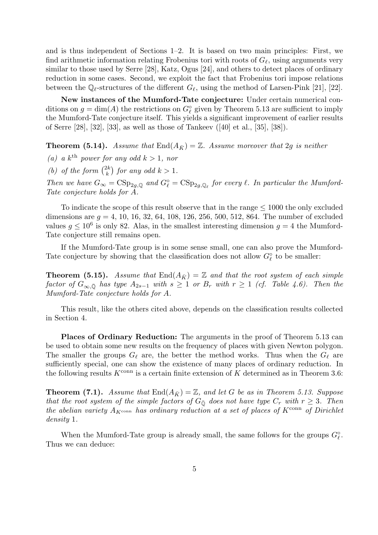and is thus independent of Sections 1–2. It is based on two main principles: First, we find arithmetic information relating Frobenius tori with roots of  $G_{\ell}$ , using arguments very similar to those used by Serre [28], Katz, Ogus [24], and others to detect places of ordinary reduction in some cases. Second, we exploit the fact that Frobenius tori impose relations between the  $\mathbb{Q}_\ell$ -structures of the different  $G_\ell$ , using the method of Larsen-Pink [21], [22].

New instances of the Mumford-Tate conjecture: Under certain numerical conditions on  $g = \dim(A)$  the restrictions on  $G_{\ell}^{\circ}$  given by Theorem 5.13 are sufficient to imply the Mumford-Tate conjecture itself. This yields a significant improvement of earlier results of Serre [28], [32], [33], as well as those of Tankeev ([40] et al., [35], [38]).

**Theorem (5.14).** Assume that  $\text{End}(A_{\bar{K}}) = \mathbb{Z}$ . Assume moreover that 2g is neither

(a) a k<sup>th</sup> power for any odd  $k > 1$ , nor

(b) of the form  $\binom{2k}{k}$  $\binom{2k}{k}$  for any odd  $k > 1$ .

Then we have  $G_{\infty} = \text{CSp}_{2g,\mathbb{Q}}$  and  $G_{\ell}^{\circ} = \text{CSp}_{2g,\mathbb{Q}_{\ell}}$  for every  $\ell$ . In particular the Mumford-Tate conjecture holds for A.

To indicate the scope of this result observe that in the range  $\leq 1000$  the only excluded dimensions are  $g = 4, 10, 16, 32, 64, 108, 126, 256, 500, 512, 864$ . The number of excluded values  $g \leq 10^6$  is only 82. Alas, in the smallest interesting dimension  $g = 4$  the Mumford-Tate conjecture still remains open.

If the Mumford-Tate group is in some sense small, one can also prove the Mumford-Tate conjecture by showing that the classification does not allow  $G_{\ell}^{\circ}$  to be smaller:

**Theorem (5.15).** Assume that  $\text{End}(A_{\bar{K}}) = \mathbb{Z}$  and that the root system of each simple factor of  $G_{\infty,\bar{\mathbb{Q}}}$  has type  $A_{2s-1}$  with  $s \geq 1$  or  $B_r$  with  $r \geq 1$  (cf. Table 4.6). Then the Mumford-Tate conjecture holds for A.

This result, like the others cited above, depends on the classification results collected in Section 4.

Places of Ordinary Reduction: The arguments in the proof of Theorem 5.13 can be used to obtain some new results on the frequency of places with given Newton polygon. The smaller the groups  $G_\ell$  are, the better the method works. Thus when the  $G_\ell$  are sufficiently special, one can show the existence of many places of ordinary reduction. In the following results  $K^{\text{conn}}$  is a certain finite extension of K determined as in Theorem 3.6:

**Theorem (7.1).** Assume that  $\text{End}(A_{\bar{K}}) = \mathbb{Z}$ , and let G be as in Theorem 5.13. Suppose that the root system of the simple factors of  $G_{\overline{Q}}$  does not have type  $C_r$  with  $r \geq 3$ . Then the abelian variety  $A_{K^{\text{conn}}}$  has ordinary reduction at a set of places of  $K^{\text{conn}}$  of Dirichlet density 1.

When the Mumford-Tate group is already small, the same follows for the groups  $G_{\ell}^{\circ}$ . Thus we can deduce: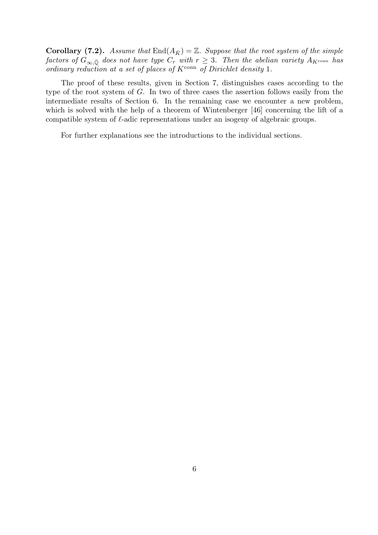**Corollary (7.2).** Assume that  $\text{End}(A_{\bar{K}}) = \mathbb{Z}$ . Suppose that the root system of the simple factors of  $G_{\infty,\bar{Q}}$  does not have type  $C_r$  with  $r \geq 3$ . Then the abelian variety  $A_{K^{\text{conn}}}$  has ordinary reduction at a set of places of  $K^{\text{conn}}$  of Dirichlet density 1.

The proof of these results, given in Section 7, distinguishes cases according to the type of the root system of G. In two of three cases the assertion follows easily from the intermediate results of Section 6. In the remaining case we encounter a new problem, which is solved with the help of a theorem of Wintenberger [46] concerning the lift of a compatible system of  $\ell$ -adic representations under an isogeny of algebraic groups.

For further explanations see the introductions to the individual sections.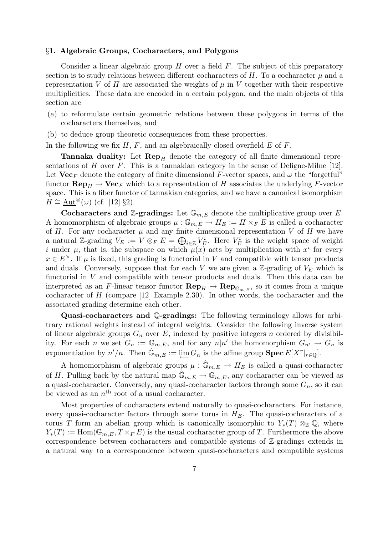### §1. Algebraic Groups, Cocharacters, and Polygons

Consider a linear algebraic group  $H$  over a field  $F$ . The subject of this preparatory section is to study relations between different cocharacters of  $H$ . To a cocharacter  $\mu$  and a representation V of H are associated the weights of  $\mu$  in V together with their respective multiplicities. These data are encoded in a certain polygon, and the main objects of this section are

- (a) to reformulate certain geometric relations between these polygons in terms of the cocharacters themselves, and
- (b) to deduce group theoretic consequences from these properties.

In the following we fix  $H, F$ , and an algebraically closed overfield  $E$  of  $F$ .

**Tannaka duality:** Let  $\mathbf{Rep}_H$  denote the category of all finite dimensional representations of  $H$  over  $F$ . This is a tannakian category in the sense of Deligne-Milne [12]. Let  $\mathbf{Vec}_F$  denote the category of finite dimensional F-vector spaces, and  $\omega$  the "forgetful" functor  $\mathbf{Rep}_H \to \mathbf{Vec}_F$  which to a representation of H associates the underlying F-vector space. This is a fiber functor of tannakian categories, and we have a canonical isomorphism  $H \cong \text{Aut}^{\otimes}(\omega)$  (cf. [12] §2).

**Cocharacters and Z-gradings:** Let  $\mathbb{G}_{m,E}$  denote the multiplicative group over E. A homomorphism of algebraic groups  $\mu: \mathbb{G}_{m,E} \to H_E := H \times_F E$  is called a cocharacter of H. For any cocharacter  $\mu$  and any finite dimensional representation V of H we have a natural Z-grading  $V_E := V \otimes_F E = \bigoplus_{i \in \mathbb{Z}} V_E^i$ . Here  $V_E^i$  is the weight space of weight i under  $\mu$ , that is, the subspace on which  $\mu(x)$  acts by multiplication with  $x^i$  for every  $x \in E^{\times}$ . If  $\mu$  is fixed, this grading is functorial in V and compatible with tensor products and duals. Conversely, suppose that for each V we are given a  $\mathbb{Z}$ -grading of  $V_E$  which is functorial in  $V$  and compatible with tensor products and duals. Then this data can be interpreted as an F-linear tensor functor  $\mathbf{Rep}_H \to \mathbf{Rep}_{\mathbb{G}_{m,E}}$ , so it comes from a unique cocharacter of H (compare [12] Example 2.30). In other words, the cocharacter and the associated grading determine each other.

Quasi-cocharacters and Q-gradings: The following terminology allows for arbitrary rational weights instead of integral weights. Consider the following inverse system of linear algebraic groups  $G_n$  over E, indexed by positive integers n ordered by divisibility. For each n we set  $G_n := \mathbb{G}_{m,E}$ , and for any  $n|n'$  the homomorphism  $G_{n'} \to G_n$  is exponentiation by  $n'/n$ . Then  $\hat{\mathbb{G}}_{m,E} := \varprojlim G_n$  is the affine group  $\text{Spec } E[X^r|_{r \in \mathbb{Q}}]$ .

A homomorphism of algebraic groups  $\mu : \hat{\mathbb{G}}_{m,E} \to H_E$  is called a quasi-cocharacter of H. Pulling back by the natural map  $\mathbb{G}_{m,E} \to \mathbb{G}_{m,E}$ , any cocharacter can be viewed as a quasi-cocharacter. Conversely, any quasi-cocharacter factors through some  $G_n$ , so it can be viewed as an  $n<sup>th</sup>$  root of a usual cocharacter.

Most properties of cocharacters extend naturally to quasi-cocharacters. For instance, every quasi-cocharacter factors through some torus in  $H_E$ . The quasi-cocharacters of a torus T form an abelian group which is canonically isomorphic to  $Y_*(T) \otimes_{\mathbb{Z}} \mathbb{Q}$ , where  $Y_*(T) := \text{Hom}(\mathbb{G}_{m,E}, T \times_F E)$  is the usual cocharacter group of T. Furthermore the above correspondence between cocharacters and compatible systems of Z-gradings extends in a natural way to a correspondence between quasi-cocharacters and compatible systems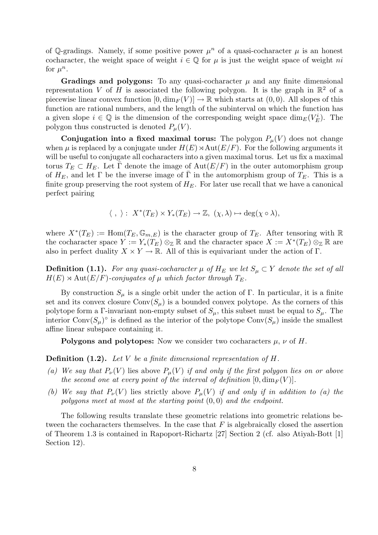of Q-gradings. Namely, if some positive power  $\mu^n$  of a quasi-cocharacter  $\mu$  is an honest cocharacter, the weight space of weight  $i \in \mathbb{Q}$  for  $\mu$  is just the weight space of weight ni for  $\mu^n$ .

Gradings and polygons: To any quasi-cocharacter  $\mu$  and any finite dimensional representation V of H is associated the following polygon. It is the graph in  $\mathbb{R}^2$  of a piecewise linear convex function  $[0, \dim_F(V)] \to \mathbb{R}$  which starts at  $(0, 0)$ . All slopes of this function are rational numbers, and the length of the subinterval on which the function has a given slope  $i \in \mathbb{Q}$  is the dimension of the corresponding weight space  $\dim_E(V_E^i)$ . The polygon thus constructed is denoted  $P_\mu(V)$ .

**Conjugation into a fixed maximal torus:** The polygon  $P_\mu(V)$  does not change when  $\mu$  is replaced by a conjugate under  $H(E) \rtimes \text{Aut}(E/F)$ . For the following arguments it will be useful to conjugate all cocharacters into a given maximal torus. Let us fix a maximal torus  $T_E \subset H_E$ . Let  $\overline{\Gamma}$  denote the image of  $Aut(E/F)$  in the outer automorphism group of  $H_E$ , and let  $\Gamma$  be the inverse image of  $\overline{\Gamma}$  in the automorphism group of  $T_E$ . This is a finite group preserving the root system of  $H_E$ . For later use recall that we have a canonical perfect pairing

$$
\langle , \rangle : X^*(T_E) \times Y_*(T_E) \to \mathbb{Z}, (\chi, \lambda) \mapsto \deg(\chi \circ \lambda),
$$

where  $X^*(T_E) := \text{Hom}(T_E, \mathbb{G}_{m,E})$  is the character group of  $T_E$ . After tensoring with R the cocharacter space  $Y := Y_*(T_E) \otimes_{\mathbb{Z}} \mathbb{R}$  and the character space  $X := X^*(T_E) \otimes_{\mathbb{Z}} \mathbb{R}$  are also in perfect duality  $X \times Y \to \mathbb{R}$ . All of this is equivariant under the action of Γ.

**Definition (1.1).** For any quasi-cocharacter  $\mu$  of  $H_E$  we let  $S_{\mu} \subset Y$  denote the set of all  $H(E) \rtimes \text{Aut}(E/F)$ -conjugates of  $\mu$  which factor through  $T_E$ .

By construction  $S_{\mu}$  is a single orbit under the action of Γ. In particular, it is a finite set and its convex closure  $Conv(S_u)$  is a bounded convex polytope. As the corners of this polytope form a Γ-invariant non-empty subset of  $S_{\mu}$ , this subset must be equal to  $S_{\mu}$ . The interior  $Conv(S_\mu)^\circ$  is defined as the interior of the polytope  $Conv(S_\mu)$  inside the smallest affine linear subspace containing it.

**Polygons and polytopes:** Now we consider two cocharacters  $\mu$ ,  $\nu$  of H.

**Definition (1.2).** Let V be a finite dimensional representation of  $H$ .

- (a) We say that  $P_{\nu}(V)$  lies above  $P_{\mu}(V)$  if and only if the first polygon lies on or above the second one at every point of the interval of definition  $[0, \dim_F(V)]$ .
- (b) We say that  $P_{\nu}(V)$  lies strictly above  $P_{\mu}(V)$  if and only if in addition to (a) the polygons meet at most at the starting point  $(0, 0)$  and the endpoint.

The following results translate these geometric relations into geometric relations between the cocharacters themselves. In the case that  $F$  is algebraically closed the assertion of Theorem 1.3 is contained in Rapoport-Richartz [27] Section 2 (cf. also Atiyah-Bott [1] Section 12).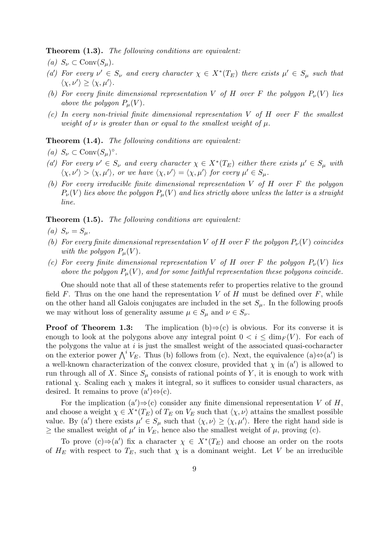**Theorem (1.3).** The following conditions are equivalent:

(a)  $S_{\nu} \subset \text{Conv}(S_{\mu}).$ 

- (a') For every  $\nu' \in S_{\nu}$  and every character  $\chi \in X^*(T_E)$  there exists  $\mu' \in S_{\mu}$  such that  $\langle \chi, \nu' \rangle \geq \langle \chi, \mu' \rangle.$
- (b) For every finite dimensional representation V of H over F the polygon  $P_{\nu}(V)$  lies above the polygon  $P_\mu(V)$ .
- (c) In every non-trivial finite dimensional representation  $V$  of  $H$  over  $F$  the smallest weight of  $\nu$  is greater than or equal to the smallest weight of  $\mu$ .

**Theorem (1.4).** The following conditions are equivalent:

- (a)  $S_{\nu} \subset \text{Conv}(S_{\mu})^{\circ}$ .
- (a') For every  $\nu' \in S_{\nu}$  and every character  $\chi \in X^*(T_E)$  either there exists  $\mu' \in S_{\mu}$  with  $\langle \chi, \nu' \rangle > \langle \chi, \mu' \rangle$ , or we have  $\langle \chi, \nu' \rangle = \langle \chi, \mu' \rangle$  for every  $\mu' \in S_{\mu}$ .
- (b) For every irreducible finite dimensional representation V of H over F the polygon  $P_{\nu}(V)$  lies above the polygon  $P_{\mu}(V)$  and lies strictly above unless the latter is a straight line.

Theorem  $(1.5)$ . The following conditions are equivalent:

- (a)  $S_{\nu} = S_{\mu}$ .
- (b) For every finite dimensional representation V of H over F the polygon  $P_{\nu}(V)$  coincides with the polygon  $P_u(V)$ .
- (c) For every finite dimensional representation V of H over F the polygon  $P_{\nu}(V)$  lies above the polygon  $P_\mu(V)$ , and for some faithful representation these polygons coincide.

One should note that all of these statements refer to properties relative to the ground field  $F$ . Thus on the one hand the representation  $V$  of  $H$  must be defined over  $F$ , while on the other hand all Galois conjugates are included in the set  $S_{\mu}$ . In the following proofs we may without loss of generality assume  $\mu \in S_{\mu}$  and  $\nu \in S_{\nu}$ .

**Proof of Theorem 1.3:** The implication  $(b) \Rightarrow (c)$  is obvious. For its converse it is enough to look at the polygons above any integral point  $0 < i < \dim_F(V)$ . For each of the polygons the value at  $i$  is just the smallest weight of the associated quasi-cocharacter on the exterior power  $\bigwedge^i V_E$ . Thus (b) follows from (c). Next, the equivalence (a) $\Leftrightarrow$ (a') is a well-known characterization of the convex closure, provided that  $\chi$  in  $(a')$  is allowed to run through all of X. Since  $S_{\mu}$  consists of rational points of Y, it is enough to work with rational  $\chi$ . Scaling each  $\chi$  makes it integral, so it suffices to consider usual characters, as desired. It remains to prove  $(a')\Leftrightarrow (c)$ .

For the implication  $(a')\Rightarrow(c)$  consider any finite dimensional representation V of H, and choose a weight  $\chi \in X^*(T_E)$  of  $T_E$  on  $V_E$  such that  $\langle \chi, \nu \rangle$  attains the smallest possible value. By (a') there exists  $\mu' \in S_{\mu}$  such that  $\langle \chi, \nu \rangle \ge \langle \chi, \mu' \rangle$ . Here the right hand side is  $\geq$  the smallest weight of  $\mu'$  in  $V_E$ , hence also the smallest weight of  $\mu$ , proving (c).

To prove  $(c) \Rightarrow (a')$  fix a character  $\chi \in X^*(T_E)$  and choose an order on the roots of  $H_E$  with respect to  $T_E$ , such that  $\chi$  is a dominant weight. Let V be an irreducible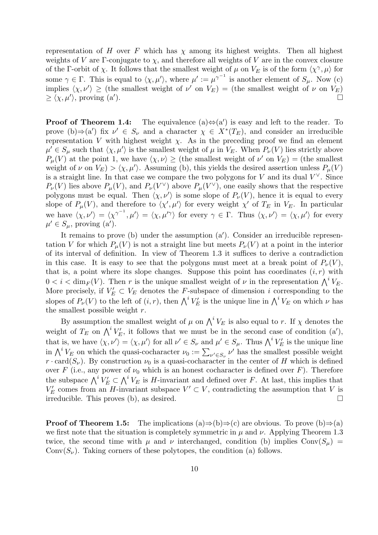representation of H over F which has  $\chi$  among its highest weights. Then all highest weights of V are Γ-conjugate to  $\chi$ , and therefore all weights of V are in the convex closure of the Γ-orbit of  $\chi$ . It follows that the smallest weight of  $\mu$  on  $V_E$  is of the form  $\langle \chi^{\gamma}, \mu \rangle$  for some  $\gamma \in \Gamma$ . This is equal to  $\langle \chi, \mu' \rangle$ , where  $\mu' := \mu^{\gamma^{-1}}$  is another element of  $S_{\mu}$ . Now (c) implies  $\langle \chi, \nu' \rangle \geq$  (the smallest weight of  $\nu'$  on  $V_E$ ) = (the smallest weight of  $\nu$  on  $V_E$ )  $\geq \langle \chi, \mu' \rangle$ , proving (a' ).  $\Box$ 

**Proof of Theorem 1.4:** The equivalence  $(a) \Leftrightarrow (a')$  is easy and left to the reader. To prove (b) $\Rightarrow$ (a') fix  $\nu' \in S_{\nu}$  and a character  $\chi \in X^*(T_E)$ , and consider an irreducible representation V with highest weight  $\chi$ . As in the preceding proof we find an element  $\mu' \in S_{\mu}$  such that  $\langle \chi, \mu' \rangle$  is the smallest weight of  $\mu$  in  $V_E$ . When  $P_{\nu}(V)$  lies strictly above  $P_{\mu}(V)$  at the point 1, we have  $\langle \chi, \nu \rangle \geq$  (the smallest weight of  $\nu'$  on  $V_E$ ) = (the smallest weight of  $\nu$  on  $V_E$ ) >  $\langle \chi, \mu' \rangle$ . Assuming (b), this yields the desired assertion unless  $P_\mu(V)$ is a straight line. In that case we compare the two polygons for V and its dual  $V^{\vee}$ . Since  $P_{\nu}(V)$  lies above  $P_{\mu}(V)$ , and  $P_{\nu}(V^{\vee})$  above  $P_{\mu}(V^{\vee})$ , one easily shows that the respective polygons must be equal. Then  $\langle \chi, \nu' \rangle$  is some slope of  $P_{\nu}(V)$ , hence it is equal to every slope of  $P_\mu(V)$ , and therefore to  $\langle \chi', \mu' \rangle$  for every weight  $\chi'$  of  $T_E$  in  $V_E$ . In particular we have  $\langle \chi, \nu' \rangle = \langle \chi^{\gamma^{-1}}, \mu' \rangle = \langle \chi, \mu'^{\gamma} \rangle$  for every  $\gamma \in \Gamma$ . Thus  $\langle \chi, \nu' \rangle = \langle \chi, \mu' \rangle$  for every  $\mu' \in S_{\mu}$ , proving (a').

It remains to prove (b) under the assumption  $(a')$ . Consider an irreducible representation V for which  $P_u(V)$  is not a straight line but meets  $P_v(V)$  at a point in the interior of its interval of definition. In view of Theorem 1.3 it suffices to derive a contradiction in this case. It is easy to see that the polygons must meet at a break point of  $P_{\nu}(V)$ , that is, a point where its slope changes. Suppose this point has coordinates  $(i, r)$  with  $0 < i < \dim_F(V)$ . Then r is the unique smallest weight of  $\nu$  in the representation  $\bigwedge^i V_E$ . More precisely, if  $V'_E \subset V_E$  denotes the F-subspace of dimension i corresponding to the slopes of  $P_\nu(V)$  to the left of  $(i, r)$ , then  $\bigwedge^i V_E'$  is the unique line in  $\bigwedge^i V_E$  on which  $\nu$  has the smallest possible weight  $r$ .

By assumption the smallest weight of  $\mu$  on  $\bigwedge^i V_E$  is also equal to r. If  $\chi$  denotes the weight of  $T_E$  on  $\bigwedge^i V_E'$ , it follows that we must be in the second case of condition  $(a')$ , that is, we have  $\langle \chi, \nu' \rangle = \langle \chi, \mu' \rangle$  for all  $\nu' \in S_{\nu}$  and  $\mu' \in S_{\mu}$ . Thus  $\bigwedge^i V'_E$  is the unique line in  $\bigwedge^i V_E$  on which the quasi-cocharacter  $\nu_0 := \sum_{\nu' \in S_{\nu}} \nu'$  has the smallest possible weight  $r \cdot \text{card}(S_{\nu})$ . By construction  $\nu_0$  is a quasi-cocharacter in the center of H which is defined over F (i.e., any power of  $\nu_0$  which is an honest cocharacter is defined over F). Therefore the subspace  $\bigwedge^i V'_E \subset \bigwedge^i V_E$  is H-invariant and defined over F. At last, this implies that  $V'_E$  comes from an H-invariant subspace  $V' \subset V$ , contradicting the assumption that V is irreducible. This proves (b), as desired.

**Proof of Theorem 1.5:** The implications  $(a) \Rightarrow (b) \Rightarrow (c)$  are obvious. To prove  $(b) \Rightarrow (a)$ we first note that the situation is completely symmetric in  $\mu$  and  $\nu$ . Applying Theorem 1.3 twice, the second time with  $\mu$  and  $\nu$  interchanged, condition (b) implies Conv $(S_{\mu})$  =  $Conv(S_{\nu})$ . Taking corners of these polytopes, the condition (a) follows.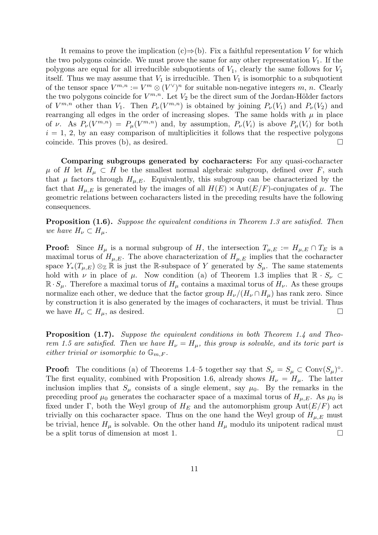It remains to prove the implication  $(c) \Rightarrow (b)$ . Fix a faithful representation V for which the two polygons coincide. We must prove the same for any other representation  $V_1$ . If the polygons are equal for all irreducible subquotients of  $V_1$ , clearly the same follows for  $V_1$ itself. Thus we may assume that  $V_1$  is irreducible. Then  $V_1$  is isomorphic to a subquotient of the tensor space  $V^{m,n} := V^m \otimes (V^{\vee})^n$  for suitable non-negative integers m, n. Clearly the two polygons coincide for  $V^{m,n}$ . Let  $V_2$  be the direct sum of the Jordan-Hölder factors of  $V^{m,n}$  other than  $V_1$ . Then  $P_\nu(V^{m,n})$  is obtained by joining  $P_\nu(V_1)$  and  $P_\nu(V_2)$  and rearranging all edges in the order of increasing slopes. The same holds with  $\mu$  in place of v. As  $P_{\nu}(V^{m,n}) = P_{\mu}(V^{m,n})$  and, by assumption,  $P_{\nu}(V_i)$  is above  $P_{\mu}(V_i)$  for both  $i = 1, 2$ , by an easy comparison of multiplicities it follows that the respective polygons coincide. This proves (b), as desired.

Comparing subgroups generated by cocharacters: For any quasi-cocharacter  $\mu$  of H let  $H_{\mu} \subset H$  be the smallest normal algebraic subgroup, defined over F, such that  $\mu$  factors through  $H_{\mu,E}$ . Equivalently, this subgroup can be characterized by the fact that  $H_{\mu,E}$  is generated by the images of all  $H(E) \rtimes \text{Aut}(E/F)$ -conjugates of  $\mu$ . The geometric relations between cocharacters listed in the preceding results have the following consequences.

**Proposition (1.6).** Suppose the equivalent conditions in Theorem 1.3 are satisfied. Then we have  $H_{\nu} \subset H_{\mu}$ .

**Proof:** Since  $H_\mu$  is a normal subgroup of H, the intersection  $T_{\mu,E} := H_{\mu,E} \cap T_E$  is a maximal torus of  $H_{\mu,E}$ . The above characterization of  $H_{\mu,E}$  implies that the cocharacter space  $Y_*(T_{\mu,E})\otimes_{\mathbb{Z}}\mathbb{R}$  is just the R-subspace of Y generated by  $S_{\mu}$ . The same statements hold with  $\nu$  in place of  $\mu$ . Now condition (a) of Theorem 1.3 implies that  $\mathbb{R} \cdot S_{\nu} \subset$  $\mathbb{R} \cdot S_{\mu}$ . Therefore a maximal torus of  $H_{\mu}$  contains a maximal torus of  $H_{\nu}$ . As these groups normalize each other, we deduce that the factor group  $H_{\nu}/(H_{\nu} \cap H_{\mu})$  has rank zero. Since by construction it is also generated by the images of cocharacters, it must be trivial. Thus we have  $H_{\nu} \subset H_{\mu}$ , as desired.

Proposition (1.7). Suppose the equivalent conditions in both Theorem 1.4 and Theorem 1.5 are satisfied. Then we have  $H_{\nu} = H_{\mu}$ , this group is solvable, and its toric part is either trivial or isomorphic to  $\mathbb{G}_{m,F}$ .

**Proof:** The conditions (a) of Theorems 1.4–5 together say that  $S_{\nu} = S_{\mu} \subset \text{Conv}(S_{\mu})^{\circ}$ . The first equality, combined with Proposition 1.6, already shows  $H_{\nu} = H_{\mu}$ . The latter inclusion implies that  $S_{\mu}$  consists of a single element, say  $\mu_0$ . By the remarks in the preceding proof  $\mu_0$  generates the cocharacter space of a maximal torus of  $H_{\mu,E}$ . As  $\mu_0$  is fixed under Γ, both the Weyl group of  $H_E$  and the automorphism group Aut $(E/F)$  act trivially on this cocharacter space. Thus on the one hand the Weyl group of  $H_{\mu,E}$  must be trivial, hence  $H_{\mu}$  is solvable. On the other hand  $H_{\mu}$  modulo its unipotent radical must be a split torus of dimension at most 1.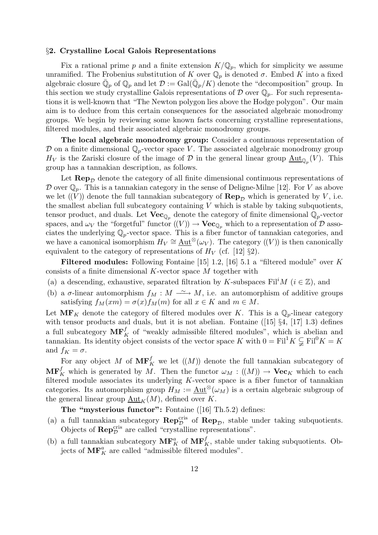### §2. Crystalline Local Galois Representations

Fix a rational prime p and a finite extension  $K/\mathbb{Q}_p$ , which for simplicity we assume unramified. The Frobenius substitution of K over  $\mathbb{Q}_p$  is denoted  $\sigma$ . Embed K into a fixed algebraic closure  $\bar{\mathbb{Q}}_p$  of  $\mathbb{Q}_p$  and let  $\mathcal{D} := \text{Gal}(\bar{\mathbb{Q}}_p/K)$  denote the "decomposition" group. In this section we study crystalline Galois representations of  $\mathcal D$  over  $\mathbb Q_p$ . For such representations it is well-known that "The Newton polygon lies above the Hodge polygon". Our main aim is to deduce from this certain consequences for the associated algebraic monodromy groups. We begin by reviewing some known facts concerning crystalline representations, filtered modules, and their associated algebraic monodromy groups.

The local algebraic monodromy group: Consider a continuous representation of D on a finite dimensional  $\mathbb{Q}_p$ -vector space V. The associated algebraic monodromy group  $H_V$  is the Zariski closure of the image of  $\mathcal D$  in the general linear group  $\underline{\mathrm{Aut}}_{\mathbb Q_p}(V)$ . This group has a tannakian description, as follows.

Let  $\mathbf{Rep}_{\mathcal{D}}$  denote the category of all finite dimensional continuous representations of D over  $\mathbb{Q}_p$ . This is a tannakian category in the sense of Deligne-Milne [12]. For V as above we let  $((V))$  denote the full tannakian subcategory of  $\mathbf{Rep}_{\mathcal{D}}$  which is generated by V, i.e. the smallest abelian full subcategory containing  $V$  which is stable by taking subquotients, tensor product, and duals. Let  $\mathbf{Vec}_{\mathbb{Q}_p}$  denote the category of finite dimensional  $\mathbb{Q}_p$ -vector spaces, and  $\omega_V$  the "forgetful" functor  $((V)) \to \mathbf{Vec}_{\mathbb{Q}_p}$  which to a representation of  $\mathcal D$  associates the underlying  $\mathbb{Q}_p$ -vector space. This is a fiber functor of tannakian categories, and we have a canonical isomorphism  $H_V \cong \underline{\mathrm{Aut}}^{\otimes}(\omega_V)$ . The category  $((V))$  is then canonically equivalent to the category of representations of  $H_V$  (cf. [12] §2).

**Filtered modules:** Following Fontaine [15] 1.2, [16] 5.1 a "filtered module" over K consists of a finite dimensional  $K$ -vector space  $M$  together with

- (a) a descending, exhaustive, separated filtration by K-subspaces Fil<sup>i</sup>M ( $i \in \mathbb{Z}$ ), and
- (b) a  $\sigma$ -linear automorphism  $f_M : M \longrightarrow M$ , i.e. an automorphism of additive groups satisfying  $f_M(xm) = \sigma(x) f_M(m)$  for all  $x \in K$  and  $m \in M$ .

Let  $\mathbf{MF}_K$  denote the category of filtered modules over K. This is a  $\mathbb{Q}_p$ -linear category with tensor products and duals, but it is not abelian. Fontaine ([15]  $\S4$ , [17] 1.3) defines a full subcategory  $\mathbf{MF}_{K}^{f}$  of "weakly admissible filtered modules", which is abelian and tannakian. Its identity object consists of the vector space K with  $0 = \text{Fil}^1 K \subsetneq \text{Fil}^0 K = K$ and  $f_K = \sigma$ .

For any object M of  $\mathbf{MF}_{K}^{f}$  we let  $((M))$  denote the full tannakian subcategory of  $\mathbf{MF}_K^f$  which is generated by M. Then the functor  $\omega_M : ((M)) \to \mathbf{Vec}_K$  which to each filtered module associates its underlying  $K$ -vector space is a fiber functor of tannakian categories. Its automorphism group  $H_M := \text{Aut}^{\otimes}(\omega_M)$  is a certain algebraic subgroup of the general linear group  $\underline{\mathrm{Aut}}_K(M)$ , defined over K.

The "mysterious functor": Fontaine ([16] Th.5.2) defines:

- (a) a full tannakian subcategory  $\mathbf{Rep}_{\mathcal{D}}^{\text{cris}}$  of  $\mathbf{Rep}_{\mathcal{D}}$ , stable under taking subquotients. Objects of  $\mathbf{Rep}_{\mathcal{D}}^{\text{cris}}$  are called "crystalline representations".
- (b) a full tannakian subcategory  $\mathbf{MF}_K^a$  of  $\mathbf{MF}_K^f$ , stable under taking subquotients. Objects of  $\mathbf{MF}_{K}^{a}$  are called "admissible filtered modules".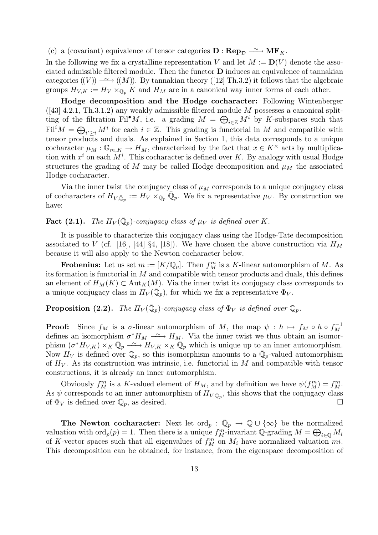(c) a (covariant) equivalence of tensor categories  $\mathbf{D} : \mathbf{Rep}_{\mathcal{D}} \longrightarrow \mathbf{MF}_K$ .

In the following we fix a crystalline representation V and let  $M := D(V)$  denote the associated admissible filtered module. Then the functor  **induces an equivalence of tannakian** categories  $(V)$ )  $\longrightarrow$   $((M))$ . By tannakian theory ([12] Th.3.2) it follows that the algebraic groups  $H_{V,K} := H_V \times_{\mathbb{Q}_p} K$  and  $H_M$  are in a canonical way inner forms of each other.

Hodge decomposition and the Hodge cocharacter: Following Wintenberger  $(43]$  4.2.1, Th.3.1.2) any weakly admissible filtered module M possesses a canonical splitting of the filtration Fil<sup>•</sup>M, i.e. a grading  $M = \bigoplus_{i \in \mathbb{Z}} M^i$  by K-subspaces such that  $\text{Fil}^iM = \bigoplus_{i' \geq i} M^i$  for each  $i \in \mathbb{Z}$ . This grading is functorial in M and compatible with tensor products and duals. As explained in Section 1, this data corresponds to a unique cocharacter  $\mu_M : \mathbb{G}_{m,K} \to H_M$ , characterized by the fact that  $x \in K^\times$  acts by multiplication with  $x^i$  on each  $M^i$ . This cocharacter is defined over K. By analogy with usual Hodge structures the grading of M may be called Hodge decomposition and  $\mu_M$  the associated Hodge cocharacter.

Via the inner twist the conjugacy class of  $\mu_M$  corresponds to a unique conjugacy class of cocharacters of  $H_{V,\bar{\mathbb{Q}}_p} := H_V \times_{\mathbb{Q}_p} \bar{\mathbb{Q}}_p$ . We fix a representative  $\mu_V$ . By construction we have:

# **Fact (2.1).** The  $H_V(\bar{\mathbb{Q}}_p)$ -conjugacy class of  $\mu_V$  is defined over K.

It is possible to characterize this conjugacy class using the Hodge-Tate decomposition associated to V (cf. [16], [44] §4, [18]). We have chosen the above construction via  $H_M$ because it will also apply to the Newton cocharacter below.

**Frobenius:** Let us set  $m := [K/\mathbb{Q}_p]$ . Then  $f_M^m$  is a K-linear automorphism of M. As its formation is functorial in  $M$  and compatible with tensor products and duals, this defines an element of  $H_M(K) \subset \text{Aut}_K(M)$ . Via the inner twist its conjugacy class corresponds to a unique conjugacy class in  $H_V(\overline{\mathbb{Q}}_p)$ , for which we fix a representative  $\Phi_V$ .

# **Proposition (2.2).** The  $H_V(\bar{\mathbb{Q}}_p)$ -conjugacy class of  $\Phi_V$  is defined over  $\mathbb{Q}_p$ .

**Proof:** Since  $f_M$  is a  $\sigma$ -linear automorphism of M, the map  $\psi : h \mapsto f_M \circ h \circ f_M^{-1}$ M defines an isomorphism  $\sigma^* H_M \rightharpoonup H_M$ . Via the inner twist we thus obtain an isomorphism  $(\sigma^* H_{V,K}) \times_K \bar{\mathbb{Q}}_p \longrightarrow H_{V,K} \times_K \bar{\mathbb{Q}}_p$  which is unique up to an inner automorphism. Now  $H_V$  is defined over  $\mathbb{Q}_p$ , so this isomorphism amounts to a  $\bar{\mathbb{Q}}_p$ -valued automorphism of  $H_V$ . As its construction was intrinsic, i.e. functorial in M and compatible with tensor constructions, it is already an inner automorphism.

Obviously  $f_M^m$  is a K-valued element of  $H_M$ , and by definition we have  $\psi(f_M^m) = f_M^m$ . As  $\psi$  corresponds to an inner automorphism of  $H_{V,\bar{\mathbb{Q}}_p}$ , this shows that the conjugacy class of  $\Phi_V$  is defined over  $\mathbb{Q}_p$ , as desired.

The Newton cocharacter: Next let  $\text{ord}_p : \overline{\mathbb{Q}}_p \to \mathbb{Q} \cup \{ \infty \}$  be the normalized valuation with  $\text{ord}_p(p) = 1$ . Then there is a unique  $f_M^m$ -invariant Q-grading  $M = \bigoplus_{i \in \mathbb{Q}} M_i$ of K-vector spaces such that all eigenvalues of  $f_M^m$  on  $M_i$  have normalized valuation  $mi$ . This decomposition can be obtained, for instance, from the eigenspace decomposition of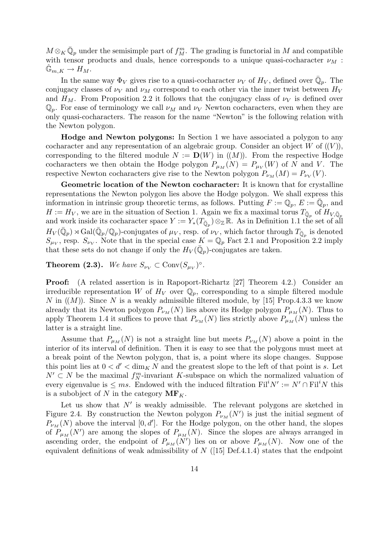$M \otimes_K \bar{\mathbb{Q}}_p$  under the semisimple part of  $f_M^m$ . The grading is functorial in M and compatible with tensor products and duals, hence corresponds to a unique quasi-cocharacter  $\nu_M$ :  $\mathbb{G}_{m,K} \to H_M.$ 

In the same way  $\Phi_V$  gives rise to a quasi-cocharacter  $\nu_V$  of  $H_V$ , defined over  $\bar{\mathbb{Q}}_p$ . The conjugacy classes of  $\nu_V$  and  $\nu_M$  correspond to each other via the inner twist between  $H_V$ and  $H_M$ . From Proposition 2.2 it follows that the conjugacy class of  $\nu_V$  is defined over  $\mathbb{Q}_p$ . For ease of terminology we call  $\nu_M$  and  $\nu_V$  Newton cocharacters, even when they are only quasi-cocharacters. The reason for the name "Newton" is the following relation with the Newton polygon.

Hodge and Newton polygons: In Section 1 we have associated a polygon to any cocharacter and any representation of an algebraic group. Consider an object  $W$  of  $((V))$ , corresponding to the filtered module  $N := D(W)$  in  $((M))$ . From the respective Hodge cocharacters we then obtain the Hodge polygon  $P_{\mu_M}(N) = P_{\mu_V}(W)$  of N and V. The respective Newton cocharacters give rise to the Newton polygon  $P_{\nu_M}(M) = P_{\nu_V}(V)$ .

Geometric location of the Newton cocharacter: It is known that for crystalline representations the Newton polygon lies above the Hodge polygon. We shall express this information in intrinsic group theoretic terms, as follows. Putting  $F := \mathbb{Q}_p$ ,  $E := \bar{\mathbb{Q}}_p$ , and  $H := H_V$ , we are in the situation of Section 1. Again we fix a maximal torus  $T_{\bar{\mathbb{Q}}_p}$  of  $H_{V,\bar{\mathbb{Q}}_p}$ and work inside its cocharacter space  $Y := Y_*(T_{\bar{\mathbb{Q}}_p}) \otimes_{\mathbb{Z}} \mathbb{R}$ . As in Definition 1.1 the set of all  $H_V(\bar{\mathbb{Q}}_p) \rtimes \text{Gal}(\bar{\mathbb{Q}}_p/\mathbb{Q}_p)$ -conjugates of  $\mu_V$ , resp. of  $\nu_V$ , which factor through  $T_{\bar{\mathbb{Q}}_p}$  is denoted  $S_{\mu_V}$ , resp.  $S_{\nu_V}$ . Note that in the special case  $K = \mathbb{Q}_p$  Fact 2.1 and Proposition 2.2 imply that these sets do not change if only the  $H_V(\bar{\mathbb{Q}}_p)$ -conjugates are taken.

**Theorem (2.3).** We have  $S_{\nu_V} \subset \text{Conv}(S_{\mu_V})^{\circ}$ .

Proof: (A related assertion is in Rapoport-Richartz [27] Theorem 4.2.) Consider an irreducible representation W of  $H_V$  over  $\mathbb{Q}_p$ , corresponding to a simple filtered module N in  $((M))$ . Since N is a weakly admissible filtered module, by [15] Prop.4.3.3 we know already that its Newton polygon  $P_{\nu_M}(N)$  lies above its Hodge polygon  $P_{\mu_M}(N)$ . Thus to apply Theorem 1.4 it suffices to prove that  $P_{\nu_M}(N)$  lies strictly above  $P_{\mu_M}(N)$  unless the latter is a straight line.

Assume that  $P_{\mu_M}(N)$  is not a straight line but meets  $P_{\nu_M}(N)$  above a point in the interior of its interval of definition. Then it is easy to see that the polygons must meet at a break point of the Newton polygon, that is, a point where its slope changes. Suppose this point lies at  $0 < d' < \dim_K N$  and the greatest slope to the left of that point is s. Let  $N' \subset N$  be the maximal  $f_N^m$ -invariant K-subspace on which the normalized valuation of every eigenvalue is  $\leq ms$ . Endowed with the induced filtration  $\text{Fil}^i N' := N' \cap \text{Fil}^i N$  this is a subobject of N in the category  $\mathbf{MF}_K$ .

Let us show that  $N'$  is weakly admissible. The relevant polygons are sketched in Figure 2.4. By construction the Newton polygon  $P_{\nu_M}(N')$  is just the initial segment of  $P_{\nu_M}(N)$  above the interval  $[0, d']$ . For the Hodge polygon, on the other hand, the slopes of  $P_{\mu_M}(N')$  are among the slopes of  $P_{\mu_M}(N)$ . Since the slopes are always arranged in ascending order, the endpoint of  $P_{\mu_M}(N')$  lies on or above  $P_{\mu_M}(N)$ . Now one of the equivalent definitions of weak admissibility of  $N$  ([15] Def.4.1.4) states that the endpoint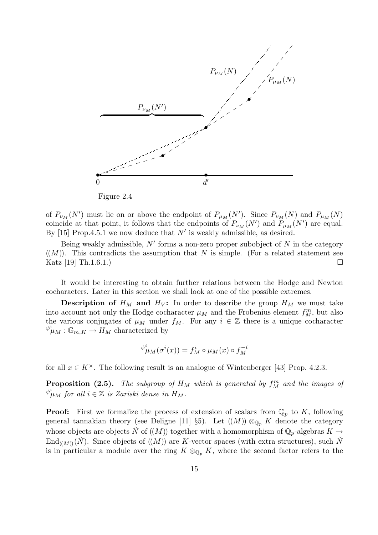

Figure 2.4

of  $P_{\nu_M}(N')$  must lie on or above the endpoint of  $P_{\mu_M}(N')$ . Since  $P_{\nu_M}(N)$  and  $P_{\mu_M}(N)$ coincide at that point, it follows that the endpoints of  $P_{\nu_M}(N')$  and  $P_{\mu_M}(N')$  are equal. By [15] Prop.4.5.1 we now deduce that  $N'$  is weakly admissible, as desired.

Being weakly admissible,  $N'$  forms a non-zero proper subobject of  $N$  in the category  $((M))$ . This contradicts the assumption that N is simple. (For a related statement see Katz  $[19]$  Th.1.6.1.)

It would be interesting to obtain further relations between the Hodge and Newton cocharacters. Later in this section we shall look at one of the possible extremes.

**Description of**  $H_M$  and  $H_V$ : In order to describe the group  $H_M$  we must take into account not only the Hodge cocharacter  $\mu_M$  and the Frobenius element  $f_M^m$ , but also the various conjugates of  $\mu_M$  under  $f_M$ . For any  $i \in \mathbb{Z}$  there is a unique cocharacter  $\psi^i_{\mu}$  :  $\mathbb{G}_{m,K} \to \widetilde{H}_M$  characterized by

$$
{^{\psi}}\!{}^i\mu_M(\sigma^i(x))=f^i_M\circ\mu_M(x)\circ f_M^{-i}
$$

for all  $x \in K^{\times}$ . The following result is an analogue of Wintenberger [43] Prop. 4.2.3.

**Proposition (2.5).** The subgroup of  $H_M$  which is generated by  $f_M^m$  and the images of  $\stackrel{\psi^i}{\mu}_M$  for all  $i\in\mathbb{Z}$  is Zariski dense in  $H_M.$ 

**Proof:** First we formalize the process of extension of scalars from  $\mathbb{Q}_p$  to K, following general tannakian theory (see Deligne [11] §5). Let  $((M)) \otimes_{\mathbb{Q}_p} K$  denote the category whose objects are objects  $\tilde{N}$  of  $((M))$  together with a homomorphism of  $\mathbb{Q}_p$ -algebras  $K \to$  $\text{End}_{(MN)}(\tilde{N})$ . Since objects of  $((M))$  are K-vector spaces (with extra structures), such  $\tilde{N}$ is in particular a module over the ring  $K \otimes_{\mathbb{Q}_p} K$ , where the second factor refers to the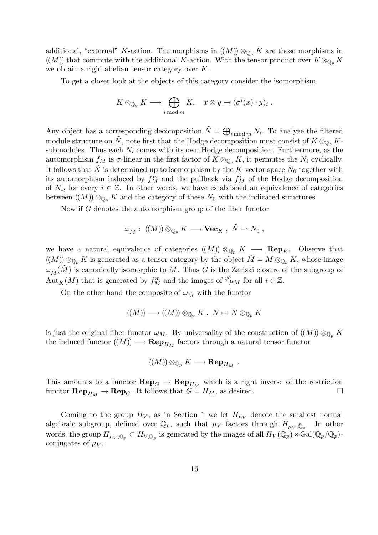additional, "external" K-action. The morphisms in  $((M)) \otimes_{\mathbb{Q}_p} K$  are those morphisms in  $((M))$  that commute with the additional K-action. With the tensor product over  $K \otimes_{\mathbb{Q}_p} K$ we obtain a rigid abelian tensor category over K.

To get a closer look at the objects of this category consider the isomorphism

$$
K \otimes_{\mathbb{Q}_p} K \longrightarrow \bigoplus_{i \bmod m} K, \quad x \otimes y \mapsto (\sigma^i(x) \cdot y)_i .
$$

Any object has a corresponding decomposition  $\tilde{N} = \bigoplus_{i \bmod m} N_i$ . To analyze the filtered module structure on  $\tilde{N}$ , note first that the Hodge decomposition must consist of  $K \otimes_{\mathbb{Q}_p} K$ submodules. Thus each  $N_i$  comes with its own Hodge decomposition. Furthermore, as the automorphism  $f_M$  is  $\sigma$ -linear in the first factor of  $K \otimes_{\mathbb{Q}_p} K$ , it permutes the  $N_i$  cyclically. It follows that N is determined up to isomorphism by the K-vector space  $N_0$  together with its automorphism induced by  $f_M^m$  and the pullback via  $f_M^i$  of the Hodge decomposition of  $N_i$ , for every  $i \in \mathbb{Z}$ . In other words, we have established an equivalence of categories between  $((M)) \otimes_{\mathbb{Q}_n} K$  and the category of these  $N_0$  with the indicated structures.

Now if G denotes the automorphism group of the fiber functor

$$
\omega_{\tilde{M}}:\;((M))\otimes_{\mathbb{Q}_p}K\longrightarrow \mathbf{Vec}_K\;,\;\tilde{N}\mapsto N_0\;,
$$

we have a natural equivalence of categories  $((M)) \otimes_{\mathbb{Q}_p} K \longrightarrow \mathbf{Rep}_K$ . Observe that  $((M)) \otimes_{\mathbb{Q}_p} K$  is generated as a tensor category by the object  $\tilde{M} = M \otimes_{\mathbb{Q}_p} K$ , whose image  $\omega_{\tilde{M}}(\tilde{M})$  is canonically isomorphic to M. Thus G is the Zariski closure of the subgroup of  $\underline{\mathrm{Aut}}_K(M)$  that is generated by  $f_M^m$  and the images of  $\psi^i\mu_M$  for all  $i \in \mathbb{Z}$ .

On the other hand the composite of  $\omega_{\tilde{M}}$  with the functor

$$
((M)) \longrightarrow ((M)) \otimes_{\mathbb{Q}_p} K , N \mapsto N \otimes_{\mathbb{Q}_p} K
$$

is just the original fiber functor  $\omega_M$ . By universality of the construction of  $((M)) \otimes_{\mathbb{Q}_p} K$ the induced functor  $((M)) \longrightarrow \mathbf{Rep}_{H_M}$  factors through a natural tensor functor

 $\left(\!\left(M\right)\!\right) \otimes_{\mathbb{Q}_p} K \longrightarrow \mathbf{Rep}_{H_M}$  .

This amounts to a functor  $\mathbf{Rep}_G \to \mathbf{Rep}_{H_M}$  which is a right inverse of the restriction functor  $\mathbf{Rep}_{H_M} \to \mathbf{Rep}_G$ . It follows that  $G = H_M$ , as desired.

Coming to the group  $H_V$ , as in Section 1 we let  $H_{\mu V}$  denote the smallest normal algebraic subgroup, defined over  $\mathbb{Q}_p$ , such that  $\mu_V$  factors through  $H_{\mu_V,\bar{\mathbb{Q}}_p}$ . In other words, the group  $H_{\mu_V, \bar{\mathbb{Q}}_p} \subset H_{V, \bar{\mathbb{Q}}_p}$  is generated by the images of all  $H_V(\bar{\mathbb{Q}}_p) \rtimes \text{Gal}(\bar{\mathbb{Q}}_p/\mathbb{Q}_p)$ conjugates of  $\mu_V$ .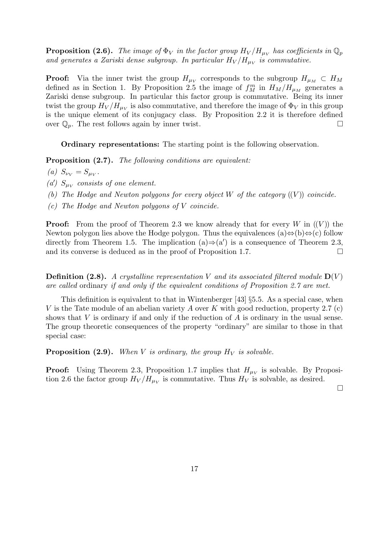**Proposition (2.6).** The image of  $\Phi_V$  in the factor group  $H_V/H_{\mu_V}$  has coefficients in  $\mathbb{Q}_p$ and generates a Zariski dense subgroup. In particular  $H_V/H_{\mu_V}$  is commutative.

**Proof:** Via the inner twist the group  $H_{\mu\nu}$  corresponds to the subgroup  $H_{\mu} \subset H_M$ defined as in Section 1. By Proposition 2.5 the image of  $f_M^m$  in  $H_M/H_{\mu}$  generates a Zariski dense subgroup. In particular this factor group is commutative. Being its inner twist the group  $H_V/H_{\mu_V}$  is also commutative, and therefore the image of  $\Phi_V$  in this group is the unique element of its conjugacy class. By Proposition 2.2 it is therefore defined over  $\mathbb{Q}_p$ . The rest follows again by inner twist.

Ordinary representations: The starting point is the following observation.

Proposition  $(2.7)$ . The following conditions are equivalent:

(a)  $S_{\nu_V} = S_{\mu_V}$ .

(a')  $S_{\mu\nu}$  consists of one element.

(b) The Hodge and Newton polygons for every object  $W$  of the category  $((V))$  coincide.

(c) The Hodge and Newton polygons of V coincide.

**Proof:** From the proof of Theorem 2.3 we know already that for every W in  $((V))$  the Newton polygon lies above the Hodge polygon. Thus the equivalences (a)⇔(b)⇔(c) follow directly from Theorem 1.5. The implication  $(a) \Rightarrow (a')$  is a consequence of Theorem 2.3, and its converse is deduced as in the proof of Proposition 1.7.  $\Box$ 

**Definition (2.8).** A crystalline representation V and its associated filtered module  $D(V)$ are called ordinary if and only if the equivalent conditions of Proposition 2.7 are met.

This definition is equivalent to that in Wintenberger [43]  $\S5.5$ . As a special case, when V is the Tate module of an abelian variety A over K with good reduction, property 2.7 (c) shows that  $V$  is ordinary if and only if the reduction of  $A$  is ordinary in the usual sense. The group theoretic consequences of the property "ordinary" are similar to those in that special case:

**Proposition (2.9).** When V is ordinary, the group  $H_V$  is solvable.

**Proof:** Using Theorem 2.3, Proposition 1.7 implies that  $H_{\mu_V}$  is solvable. By Proposition 2.6 the factor group  $H_V/H_{\mu_V}$  is commutative. Thus  $H_V$  is solvable, as desired.

 $\Box$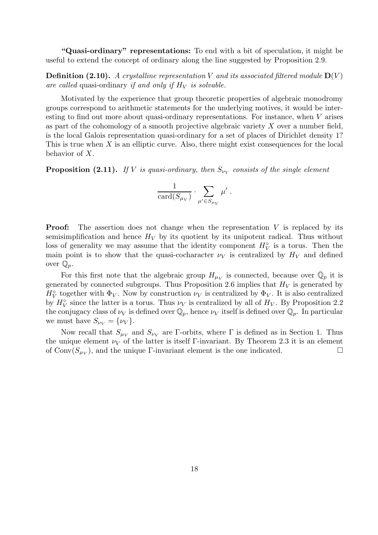"Quasi-ordinary" representations: To end with a bit of speculation, it might be useful to extend the concept of ordinary along the line suggested by Proposition 2.9.

**Definition (2.10).** A crystalline representation V and its associated filtered module  $D(V)$ are called quasi-ordinary if and only if  $H_V$  is solvable.

Motivated by the experience that group theoretic properties of algebraic monodromy groups correspond to arithmetic statements for the underlying motives, it would be interesting to find out more about quasi-ordinary representations. For instance, when V arises as part of the cohomology of a smooth projective algebraic variety  $X$  over a number field, is the local Galois representation quasi-ordinary for a set of places of Dirichlet density 1? This is true when  $X$  is an elliptic curve. Also, there might exist consequences for the local behavior of X.

**Proposition (2.11).** If V is quasi-ordinary, then  $S_{\nu_V}$  consists of the single element

$$
\frac{1}{\text{card}(S_{\mu_V})}\cdot \sum_{\mu'\in S_{\mu_V}} \mu'\;.
$$

**Proof:** The assertion does not change when the representation  $V$  is replaced by its semisimplification and hence  $H_V$  by its quotient by its unipotent radical. Thus without loss of generality we may assume that the identity component  $H_V^{\circ}$  is a torus. Then the main point is to show that the quasi-cocharacter  $\nu_V$  is centralized by  $H_V$  and defined over  $\mathbb{Q}_p$ .

For this first note that the algebraic group  $H_{\mu\nu}$  is connected, because over  $\overline{\mathbb{Q}}_p$  it is generated by connected subgroups. Thus Proposition 2.6 implies that  $H_V$  is generated by  $H_V^{\circ}$  together with  $\Phi_V$ . Now by construction  $\nu_V$  is centralized by  $\Phi_V$ . It is also centralized by  $H_V^{\circ}$  since the latter is a torus. Thus  $\nu_V$  is centralized by all of  $H_V$ . By Proposition 2.2 the conjugacy class of  $\nu_V$  is defined over  $\mathbb{Q}_p$ , hence  $\nu_V$  itself is defined over  $\mathbb{Q}_p$ . In particular we must have  $S_{\nu_V} = {\nu_V}.$ 

Now recall that  $S_{\mu\nu}$  and  $S_{\nu\nu}$  are Γ-orbits, where Γ is defined as in Section 1. Thus the unique element  $\nu_V$  of the latter is itself Γ-invariant. By Theorem 2.3 it is an element of  $\text{Conv}(S_{\mu_V})$ , and the unique Γ-invariant element is the one indicated.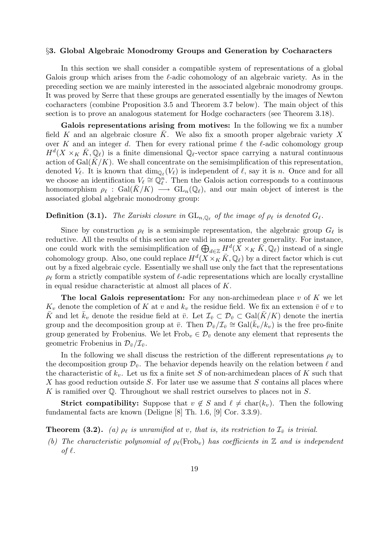### §3. Global Algebraic Monodromy Groups and Generation by Cocharacters

In this section we shall consider a compatible system of representations of a global Galois group which arises from the  $\ell$ -adic cohomology of an algebraic variety. As in the preceding section we are mainly interested in the associated algebraic monodromy groups. It was proved by Serre that these groups are generated essentially by the images of Newton cocharacters (combine Proposition 3.5 and Theorem 3.7 below). The main object of this section is to prove an analogous statement for Hodge cocharacters (see Theorem 3.18).

Galois representations arising from motives: In the following we fix a number field K and an algebraic closure K. We also fix a smooth proper algebraic variety X over K and an integer d. Then for every rational prime  $\ell$  the  $\ell$ -adic cohomology group  $H^d(X\times_K\bar{K},\mathbb{Q}_\ell)$  is a finite dimensional  $\mathbb{Q}_\ell$ -vector space carrying a natural continuous action of  $Gal(K/K)$ . We shall concentrate on the semisimplification of this representation, denoted  $V_\ell$ . It is known that  $\dim_{\mathbb{Q}_\ell}(V_\ell)$  is independent of  $\ell$ , say it is n. Once and for all we choose an identification  $V_{\ell} \cong \mathbb{Q}_{\ell}^n$ . Then the Galois action corresponds to a continuous homomorphism  $\rho_\ell : \text{Gal}(K/K) \longrightarrow \text{GL}_n(\mathbb{Q}_\ell)$ , and our main object of interest is the associated global algebraic monodromy group:

### **Definition (3.1).** The Zariski closure in  $\mathrm{GL}_{n,\mathbb{Q}_\ell}$  of the image of  $\rho_\ell$  is denoted  $G_\ell$ .

Since by construction  $\rho_{\ell}$  is a semisimple representation, the algebraic group  $G_{\ell}$  is reductive. All the results of this section are valid in some greater generality. For instance, one could work with the semisimplification of  $\bigoplus_{d\in\mathbb{Z}} H^d(X\times_K \bar{K}, \mathbb{Q}_\ell)$  instead of a single cohomology group. Also, one could replace  $H^d(X\times_K\bar{K},\mathbb{Q}_\ell)$  by a direct factor which is cut out by a fixed algebraic cycle. Essentially we shall use only the fact that the representations  $\rho_{\ell}$  form a strictly compatible system of  $\ell$ -adic representations which are locally crystalline in equal residue characteristic at almost all places of K.

**The local Galois representation:** For any non-archimedean place v of K we let  $K_v$  denote the completion of K at v and  $k_v$  the residue field. We fix an extension  $\bar{v}$  of v to K and let  $\bar{k}_v$  denote the residue field at  $\bar{v}$ . Let  $\mathcal{I}_{\bar{v}} \subset \mathcal{D}_{\bar{v}} \subset \text{Gal}(\bar{K}/K)$  denote the inertia group and the decomposition group at  $\bar{v}$ . Then  $\mathcal{D}_{\bar{v}}/\mathcal{I}_{\bar{v}} \cong \text{Gal}(\bar{k}_v/k_v)$  is the free pro-finite group generated by Frobenius. We let  $Frob_v \in \mathcal{D}_{\bar{v}}$  denote any element that represents the geometric Frobenius in  $\mathcal{D}_{\bar{v}}/\mathcal{I}_{\bar{v}}$ .

In the following we shall discuss the restriction of the different representations  $\rho_{\ell}$  to the decomposition group  $\mathcal{D}_{\bar{v}}$ . The behavior depends heavily on the relation between  $\ell$  and the characteristic of  $k_v$ . Let us fix a finite set S of non-archimedean places of K such that X has good reduction outside S. For later use we assume that S contains all places where K is ramified over  $\mathbb Q$ . Throughout we shall restrict ourselves to places not in S.

**Strict compatibility:** Suppose that  $v \notin S$  and  $\ell \neq \text{char}(k_v)$ . Then the following fundamental facts are known (Deligne [8] Th. 1.6, [9] Cor. 3.3.9).

**Theorem (3.2).** (a)  $\rho_{\ell}$  is unramified at v, that is, its restriction to  $\mathcal{I}_{\bar{v}}$  is trivial.

(b) The characteristic polynomial of  $\rho_{\ell}(\text{Frob}_{v})$  has coefficients in Z and is independent of  $\ell$ .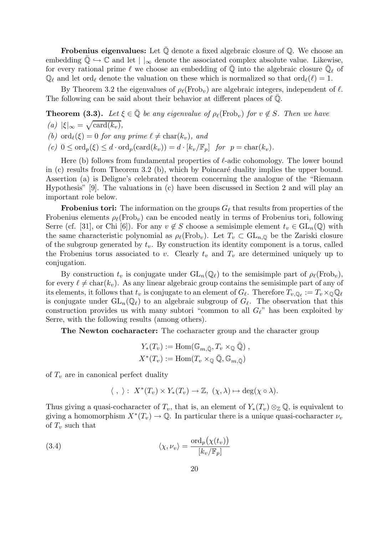**Frobenius eigenvalues:** Let  $\mathbb Q$  denote a fixed algebraic closure of  $\mathbb Q$ . We choose an embedding  $\overline{\mathbb{Q}} \hookrightarrow \mathbb{C}$  and let  $||_{\infty}$  denote the associated complex absolute value. Likewise, for every rational prime  $\ell$  we choose an embedding of  $\bar{\mathbb{Q}}$  into the algebraic closure  $\bar{\mathbb{Q}}_{\ell}$  of  $\mathbb{Q}_\ell$  and let ord<sub> $\ell$ </sub> denote the valuation on these which is normalized so that ord $\ell(\ell) = 1$ .

By Theorem 3.2 the eigenvalues of  $\rho_{\ell}(\text{Frob}_{v})$  are algebraic integers, independent of  $\ell$ . The following can be said about their behavior at different places of  $\mathbb Q$ .

**Theorem (3.3).** Let  $\xi \in \overline{Q}$  be any eigenvalue of  $\rho_{\ell}(\text{Frob}_{v})$  for  $v \notin S$ . Then we have (a)  $|\xi|_{\infty} = \sqrt{\text{card}(k_v)},$ 

(b) ord $\rho(\xi) = 0$  for any prime  $\ell \neq \text{char}(k_v)$ , and

(c)  $0 \leq \text{ord}_p(\xi) \leq d \cdot \text{ord}_p(\text{card}(k_v)) = d \cdot [k_v/\mathbb{F}_p]$  for  $p = \text{char}(k_v)$ .

Here (b) follows from fundamental properties of  $\ell$ -adic cohomology. The lower bound in  $(c)$  results from Theorem 3.2  $(b)$ , which by Poincaré duality implies the upper bound. Assertion (a) is Deligne's celebrated theorem concerning the analogue of the "Riemann Hypothesis" [9]. The valuations in (c) have been discussed in Section 2 and will play an important role below.

**Frobenius tori:** The information on the groups  $G_\ell$  that results from properties of the Frobenius elements  $\rho_{\ell}(\text{Frob}_{v})$  can be encoded neatly in terms of Frobenius tori, following Serre (cf. [31], or Chi [6]). For any  $v \notin S$  choose a semisimple element  $t_v \in GL_n(\mathbb{Q})$  with the same characteristic polynomial as  $\rho_{\ell}(\text{Frob}_{v})$ . Let  $T_v \subset GL_{n,\mathbb{Q}}$  be the Zariski closure of the subgroup generated by  $t_v$ . By construction its identity component is a torus, called the Frobenius torus associated to v. Clearly  $t_v$  and  $T_v$  are determined uniquely up to conjugation.

By construction  $t_v$  is conjugate under  $GL_n(\mathbb{Q}_\ell)$  to the semisimple part of  $\rho_\ell(\text{Frob}_v)$ , for every  $\ell \neq \text{char}(k_v)$ . As any linear algebraic group contains the semisimple part of any of its elements, it follows that  $t_v$  is conjugate to an element of  $G_\ell$ . Therefore  $T_{v,\mathbb{Q}_\ell} := T_v\times_\mathbb{Q}\mathbb{Q}_\ell$ is conjugate under  $GL_n(\mathbb{Q}_\ell)$  to an algebraic subgroup of  $G_\ell$ . The observation that this construction provides us with many subtori "common to all  $G_{\ell}$ " has been exploited by Serre, with the following results (among others).

The Newton cocharacter: The cocharacter group and the character group

$$
Y_*(T_v) := \text{Hom}(\mathbb{G}_{m,\bar{\mathbb{Q}}}, T_v \times_{\mathbb{Q}} \bar{\mathbb{Q}}),
$$
  

$$
X^*(T_v) := \text{Hom}(T_v \times_{\mathbb{Q}} \bar{\mathbb{Q}}, \mathbb{G}_{m,\bar{\mathbb{Q}}})
$$

of  $T_v$  are in canonical perfect duality

$$
\langle , \rangle : X^*(T_v) \times Y_*(T_v) \to \mathbb{Z}, (\chi, \lambda) \mapsto \deg(\chi \circ \lambda).
$$

Thus giving a quasi-cocharacter of  $T_v$ , that is, an element of  $Y_*(T_v) \otimes_{\mathbb{Z}} \mathbb{Q}$ , is equivalent to giving a homomorphism  $X^*(T_v) \to \mathbb{Q}$ . In particular there is a unique quasi-cocharacter  $\nu_v$ of  $T_v$  such that

(3.4) 
$$
\langle \chi, \nu_v \rangle = \frac{\text{ord}_p(\chi(t_v))}{[k_v/\mathbb{F}_p]}
$$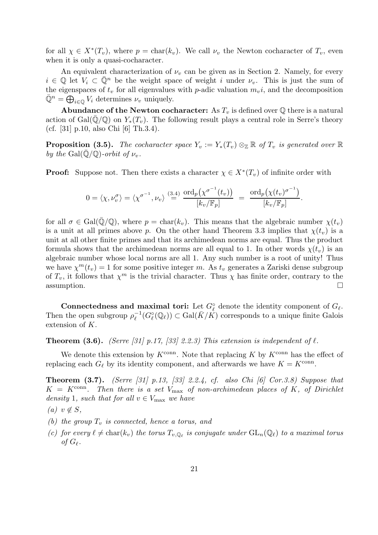for all  $\chi \in X^*(T_v)$ , where  $p = \text{char}(k_v)$ . We call  $\nu_v$  the Newton cocharacter of  $T_v$ , even when it is only a quasi-cocharacter.

An equivalent characterization of  $\nu_v$  can be given as in Section 2. Namely, for every  $i \in \mathbb{Q}$  let  $V_i \subset \overline{\mathbb{Q}}^n$  be the weight space of weight i under  $\nu_v$ . This is just the sum of the eigenspaces of  $t_v$  for all eigenvalues with p-adic valuation  $m_v i$ , and the decomposition  $\bar{\mathbb{Q}}^n = \overline{\bigoplus}_{i \in \mathbb{Q}} V_i$  determines  $\nu_v$  uniquely.

**Abundance of the Newton cocharacter:** As  $T_v$  is defined over Q there is a natural action of Gal( $\mathbb{Q}/\mathbb{Q}$ ) on  $Y_*(T_v)$ . The following result plays a central role in Serre's theory (cf. [31] p.10, also Chi [6] Th.3.4).

**Proposition (3.5).** The cocharacter space  $Y_v := Y_*(T_v) \otimes_{\mathbb{Z}} \mathbb{R}$  of  $T_v$  is generated over  $\mathbb{R}$ by the Gal( $\mathbb{Q}/\mathbb{Q}$ )-orbit of  $\nu_v$ .

**Proof:** Suppose not. Then there exists a character  $\chi \in X^*(T_v)$  of infinite order with

$$
0 = \langle \chi, \nu_v^{\sigma} \rangle = \langle \chi^{\sigma^{-1}}, \nu_v \rangle \stackrel{(3.4)}{=} \frac{\text{ord}_p(\chi^{\sigma^{-1}}(t_v))}{[k_v/\mathbb{F}_p]} = \frac{\text{ord}_p(\chi(t_v)^{\sigma^{-1}})}{[k_v/\mathbb{F}_p]}.
$$

for all  $\sigma \in \text{Gal}(\overline{\mathbb{Q}}/\mathbb{Q})$ , where  $p = \text{char}(k_v)$ . This means that the algebraic number  $\chi(t_v)$ is a unit at all primes above p. On the other hand Theorem 3.3 implies that  $\chi(t_v)$  is a unit at all other finite primes and that its archimedean norms are equal. Thus the product formula shows that the archimedean norms are all equal to 1. In other words  $\chi(t_v)$  is an algebraic number whose local norms are all 1. Any such number is a root of unity! Thus we have  $\chi^m(t_v) = 1$  for some positive integer m. As  $t_v$  generates a Zariski dense subgroup of  $T_v$ , it follows that  $\chi^m$  is the trivial character. Thus  $\chi$  has finite order, contrary to the  $\Box$  assumption.

Connectedness and maximal tori: Let  $G_{\ell}^{\circ}$  denote the identity component of  $G_{\ell}$ . Then the open subgroup  $\rho_{\ell}^{-1}$  $\overline{\chi}^{-1}(G_{\ell}^{\circ}(\mathbb{Q}_{\ell})) \subset \text{Gal}(\overline{K}/\overline{K})$  corresponds to a unique finite Galois extension of K.

**Theorem (3.6).** (Serre [31] p.17, [33] 2.2.3) This extension is independent of  $\ell$ .

We denote this extension by  $K^{\text{conn}}$ . Note that replacing K by  $K^{\text{conn}}$  has the effect of replacing each  $G_{\ell}$  by its identity component, and afterwards we have  $K = K^{\text{conn}}$ .

**Theorem (3.7).** (Serre [31] p.13, [33] 2.2.4, cf. also Chi [6] Cor.3.8) Suppose that  $K = K^{\text{conn}}$ . Then there is a set  $V_{\text{max}}$  of non-archimedean places of K, of Dirichlet density 1, such that for all  $v \in V_{\text{max}}$  we have

$$
(a) \, v \notin S,
$$

- (b) the group  $T_v$  is connected, hence a torus, and
- (c) for every  $\ell \neq \text{char}(k_v)$  the torus  $T_{v,\mathbb{Q}_\ell}$  is conjugate under  $\text{GL}_n(\mathbb{Q}_\ell)$  to a maximal torus of  $G_\ell$ .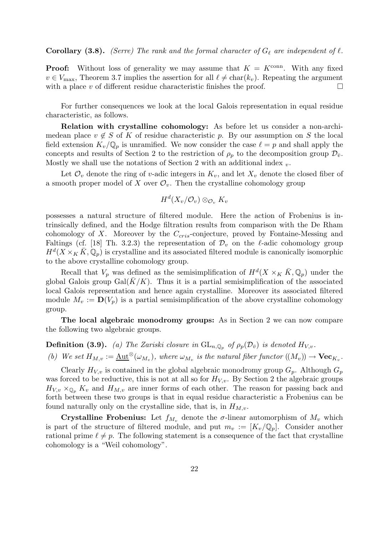### **Corollary (3.8).** (Serre) The rank and the formal character of  $G_\ell$  are independent of  $\ell$ .

**Proof:** Without loss of generality we may assume that  $K = K^{\text{conn}}$ . With any fixed  $v \in V_{\text{max}}$ , Theorem 3.7 implies the assertion for all  $\ell \neq \text{char}(k_v)$ . Repeating the argument with a place v of different residue characteristic finishes the proof.  $\Box$ 

For further consequences we look at the local Galois representation in equal residue characteristic, as follows.

Relation with crystalline cohomology: As before let us consider a non-archimedean place  $v \notin S$  of K of residue characteristic p. By our assumption on S the local field extension  $K_v/\mathbb{Q}_p$  is unramified. We now consider the case  $\ell = p$  and shall apply the concepts and results of Section 2 to the restriction of  $\rho_p$  to the decomposition group  $\mathcal{D}_{\bar{v}}$ . Mostly we shall use the notations of Section 2 with an additional index  $_v$ .

Let  $\mathcal{O}_v$  denote the ring of v-adic integers in  $K_v$ , and let  $X_v$  denote the closed fiber of a smooth proper model of X over  $\mathcal{O}_v$ . Then the crystalline cohomology group

$$
H^d(X_v/\mathcal{O}_v) \otimes_{\mathcal{O}_v} K_v
$$

possesses a natural structure of filtered module. Here the action of Frobenius is intrinsically defined, and the Hodge filtration results from comparison with the De Rham cohomology of X. Moreover by the  $C_{cris}$ -conjecture, proved by Fontaine-Messing and Faltings (cf. [18] Th. 3.2.3) the representation of  $\mathcal{D}_v$  on the  $\ell$ -adic cohomology group  $H^d(X\times_K\bar{K},\mathbb{Q}_p)$  is crystalline and its associated filtered module is canonically isomorphic to the above crystalline cohomology group.

Recall that  $V_p$  was defined as the semisimplification of  $H^d(X\times_K \bar{K}, \mathbb{Q}_p)$  under the global Galois group Gal( $\bar{K}/K$ ). Thus it is a partial semisimplification of the associated local Galois representation and hence again crystalline. Moreover its associated filtered module  $M_v := D(V_p)$  is a partial semisimplification of the above crystalline cohomology group.

The local algebraic monodromy groups: As in Section 2 we can now compare the following two algebraic groups.

**Definition (3.9).** (a) The Zariski closure in  $GL_{n,\mathbb{Q}_p}$  of  $\rho_p(\mathcal{D}_{\bar{v}})$  is denoted  $H_{V,v}$ .

(b) We set 
$$
H_{M,v} := \underline{\text{Aut}}^{\otimes}(\omega_{M_v}),
$$
 where  $\omega_{M_v}$  is the natural fiber functor  $((M_v)) \to \text{Vec}_{K_v}.$ 

Clearly  $H_{V,v}$  is contained in the global algebraic monodromy group  $G_p$ . Although  $G_p$ was forced to be reductive, this is not at all so for  $H_{V,v}$ . By Section 2 the algebraic groups  $H_{V,v} \times_{\mathbb{Q}_p} K_v$  and  $H_{M,v}$  are inner forms of each other. The reason for passing back and forth between these two groups is that in equal residue characteristic a Frobenius can be found naturally only on the crystalline side, that is, in  $H_{M,v}$ .

**Crystalline Frobenius:** Let  $f_{M_v}$  denote the  $\sigma$ -linear automorphism of  $M_v$  which is part of the structure of filtered module, and put  $m_v := [K_v/\mathbb{Q}_p]$ . Consider another rational prime  $\ell \neq p$ . The following statement is a consequence of the fact that crystalline cohomology is a "Weil cohomology".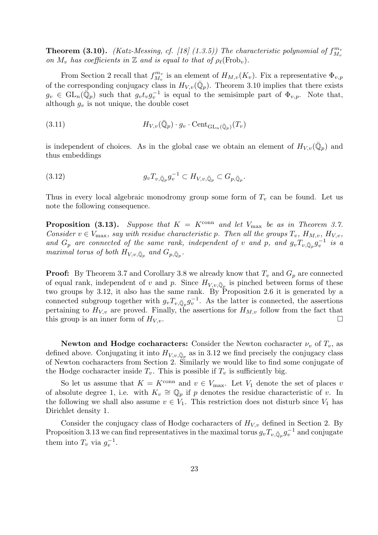**Theorem (3.10).** (Katz-Messing, cf. [18] (1.3.5)) The characteristic polynomial of  $f_{M}^{m_v}$  $M_{v}$ on  $M_v$  has coefficients in Z and is equal to that of  $\rho_\ell(\text{Frob}_v)$ .

From Section 2 recall that  $f_{M_v}^{m_v}$  $\mathcal{L}_{M_v}^{m_v}$  is an element of  $H_{M,v}(K_v)$ . Fix a representative  $\Phi_{v,p}$ of the corresponding conjugacy class in  $H_{V,v}(\bar{\mathbb{Q}}_p)$ . Theorem 3.10 implies that there exists  $g_v \in GL_n(\overline{\mathbb{Q}}_p)$  such that  $g_v t_v g_v^{-1}$  is equal to the semisimple part of  $\Phi_{v,p}$ . Note that, although  $g_v$  is not unique, the double coset

(3.11) 
$$
H_{V,v}(\bar{\mathbb{Q}}_p) \cdot g_v \cdot \text{Cent}_{\text{GL}_n(\bar{\mathbb{Q}}_p)}(T_v)
$$

is independent of choices. As in the global case we obtain an element of  $H_{V,v}(\bar{\mathbb{Q}}_p)$  and thus embeddings

(3.12) 
$$
g_v T_{v,\bar{\mathbb{Q}}_p} g_v^{-1} \subset H_{V,v,\bar{\mathbb{Q}}_p} \subset G_{p,\bar{\mathbb{Q}}_p}.
$$

Thus in every local algebraic monodromy group some form of  $T_v$  can be found. Let us note the following consequence.

**Proposition (3.13).** Suppose that  $K = K^{\text{conn}}$  and let  $V_{\text{max}}$  be as in Theorem 3.7. Consider  $v \in V_{\text{max}}$ , say with residue characteristic p. Then all the groups  $T_v$ ,  $H_{M,v}$ ,  $H_{V,v}$ , and  $G_p$  are connected of the same rank, independent of v and p, and  $g_vT_{v,\bar{\mathbb{Q}}_p}g_v^{-1}$  is a maximal torus of both  $H_{V,v,\bar{\mathbb{Q}}_p}$  and  $G_{p,\bar{\mathbb{Q}}_p}$ .

**Proof:** By Theorem 3.7 and Corollary 3.8 we already know that  $T_v$  and  $G_p$  are connected of equal rank, independent of v and p. Since  $H_{V,v,\bar{\mathbb{Q}}_p}$  is pinched between forms of these two groups by 3.12, it also has the same rank. By Proposition 2.6 it is generated by a connected subgroup together with  $g_v T_{v,\bar{\mathbb{Q}}_p} g_v^{-1}$ . As the latter is connected, the assertions pertaining to  $H_{V,v}$  are proved. Finally, the assertions for  $H_{M,v}$  follow from the fact that this group is an inner form of  $H_{V,v}$ .

Newton and Hodge cocharacters: Consider the Newton cocharacter  $\nu_v$  of  $T_v$ , as defined above. Conjugating it into  $H_{V,v,\bar{\mathbb{Q}}_p}$  as in 3.12 we find precisely the conjugacy class of Newton cocharacters from Section 2. Similarly we would like to find some conjugate of the Hodge cocharacter inside  $T_v$ . This is possible if  $T_v$  is sufficiently big.

So let us assume that  $K = K^{\text{conn}}$  and  $v \in V_{\text{max}}$ . Let  $V_1$  denote the set of places v of absolute degree 1, i.e. with  $K_v \cong \mathbb{Q}_p$  if p denotes the residue characteristic of v. In the following we shall also assume  $v \in V_1$ . This restriction does not disturb since  $V_1$  has Dirichlet density 1.

Consider the conjugacy class of Hodge cocharacters of  $H_{V,v}$  defined in Section 2. By Proposition 3.13 we can find representatives in the maximal torus  $g_v T_{v,\bar{\mathbb{Q}}_p} g_v^{-1}$  and conjugate them into  $T_v$  via  $g_v^{-1}$ .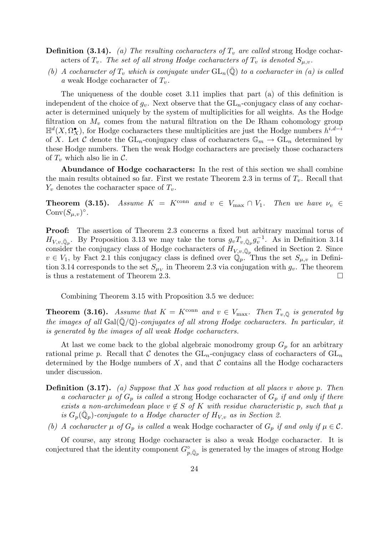**Definition (3.14).** (a) The resulting cocharacters of  $T_v$  are called strong Hodge cocharacters of  $T_v$ . The set of all strong Hodge cocharacters of  $T_v$  is denoted  $S_{\mu,v}$ .

(b) A cocharacter of  $T_v$  which is conjugate under  $GL_n(\overline{\mathbb{Q}})$  to a cocharacter in (a) is called a weak Hodge cocharacter of  $T_v$ .

The uniqueness of the double coset 3.11 implies that part (a) of this definition is independent of the choice of  $g_v$ . Next observe that the  $GL_n$ -conjugacy class of any cocharacter is determined uniquely by the system of multiplicities for all weights. As the Hodge filtration on  $M_v$  comes from the natural filtration on the De Rham cohomology group  $\mathbb{H}^d(X, \Omega_X^{\bullet})$ , for Hodge cocharacters these multiplicities are just the Hodge numbers  $h^{i, d-i}$ of X. Let C denote the  $GL_n$ -conjugacy class of cocharacters  $\mathbb{G}_m \to GL_n$  determined by these Hodge numbers. Then the weak Hodge cocharacters are precisely those cocharacters of  $T_v$  which also lie in  $\mathcal{C}$ .

Abundance of Hodge cocharacters: In the rest of this section we shall combine the main results obtained so far. First we restate Theorem 2.3 in terms of  $T_v$ . Recall that  $Y_v$  denotes the cocharacter space of  $T_v$ .

**Theorem (3.15).** Assume  $K = K^{\text{conn}}$  and  $v \in V_{\text{max}} \cap V_1$ . Then we have  $\nu_v \in V$ Conv $(S_{\mu,\nu})^{\circ}$ .

Proof: The assertion of Theorem 2.3 concerns a fixed but arbitrary maximal torus of  $H_{V,v,\bar{\mathbb{Q}}_p}$ . By Proposition 3.13 we may take the torus  $g_vT_{v,\bar{\mathbb{Q}}_p}g_v^{-1}$ . As in Definition 3.14 consider the conjugacy class of Hodge cocharacters of  $H_{V,v,\bar{\mathbb{Q}}_p}$  defined in Section 2. Since  $v \in V_1$ , by Fact 2.1 this conjugacy class is defined over  $\mathbb{Q}_p$ . Thus the set  $S_{\mu,v}$  in Definition 3.14 corresponds to the set  $S_{\mu\nu}$  in Theorem 2.3 via conjugation with  $g_{\nu}$ . The theorem is thus a restatement of Theorem 2.3.

Combining Theorem 3.15 with Proposition 3.5 we deduce:

**Theorem (3.16).** Assume that  $K = K^{\text{conn}}$  and  $v \in V_{\text{max}}$ . Then  $T_{v,\bar{Q}}$  is generated by the images of all  $Gal(\overline{Q}/\mathbb{Q})$ -conjugates of all strong Hodge cocharacters. In particular, it is generated by the images of all weak Hodge cocharacters.

At last we come back to the global algebraic monodromy group  $G_p$  for an arbitrary rational prime p. Recall that C denotes the  $GL_n$ -conjugacy class of cocharacters of  $GL_n$ determined by the Hodge numbers of  $X$ , and that  $\mathcal C$  contains all the Hodge cocharacters under discussion.

- **Definition (3.17).** (a) Suppose that X has good reduction at all places v above p. Then a cocharacter  $\mu$  of  $G_p$  is called a strong Hodge cocharacter of  $G_p$  if and only if there exists a non-archimedean place  $v \notin S$  of K with residue characteristic p, such that  $\mu$ is  $G_p(\bar{\mathbb{Q}}_p)$ -conjugate to a Hodge character of  $H_{V,v}$  as in Section 2.
- (b) A cocharacter  $\mu$  of  $G_p$  is called a weak Hodge cocharacter of  $G_p$  if and only if  $\mu \in \mathcal{C}$ .

Of course, any strong Hodge cocharacter is also a weak Hodge cocharacter. It is conjectured that the identity component  $G^{\circ}_{p,\bar{\mathbb{Q}}_p}$  is generated by the images of strong Hodge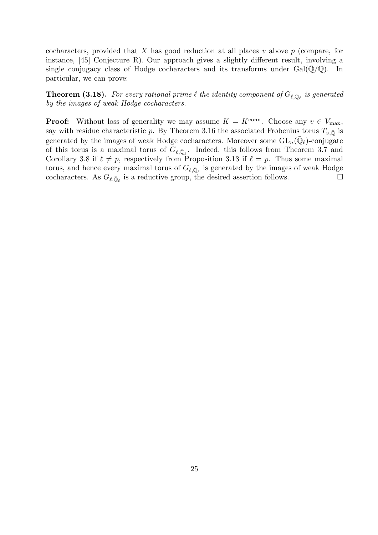cocharacters, provided that X has good reduction at all places v above  $p$  (compare, for instance, [45] Conjecture R). Our approach gives a slightly different result, involving a single conjugacy class of Hodge cocharacters and its transforms under  $Gal(\overline{\mathbb{Q}}/\mathbb{Q})$ . In particular, we can prove:

**Theorem (3.18).** For every rational prime  $\ell$  the identity component of  $G_{\ell,\bar{\mathbb{Q}}_{\ell}}$  is generated by the images of weak Hodge cocharacters.

**Proof:** Without loss of generality we may assume  $K = K^{\text{conn}}$ . Choose any  $v \in V_{\text{max}}$ , say with residue characteristic p. By Theorem 3.16 the associated Frobenius torus  $T_{v,\bar{Q}}$  is generated by the images of weak Hodge cocharacters. Moreover some  $GL_n(\bar{\mathbb{Q}}_{\ell})$ -conjugate of this torus is a maximal torus of  $G_{\ell,\bar{\mathbb{Q}}_{\ell}}$ . Indeed, this follows from Theorem 3.7 and Corollary 3.8 if  $\ell \neq p$ , respectively from Proposition 3.13 if  $\ell = p$ . Thus some maximal torus, and hence every maximal torus of  $G_{\ell,\bar{\mathbb{Q}}_{\ell}}$  is generated by the images of weak Hodge cocharacters. As  $G_{\ell,\bar{\mathbb{Q}}_{\ell}}$  is a reductive group, the desired assertion follows.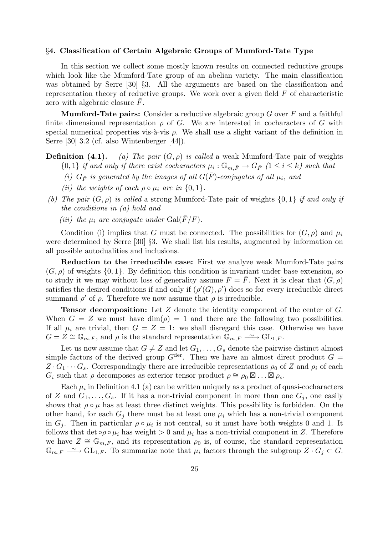### §4. Classification of Certain Algebraic Groups of Mumford-Tate Type

In this section we collect some mostly known results on connected reductive groups which look like the Mumford-Tate group of an abelian variety. The main classification was obtained by Serre [30] §3. All the arguments are based on the classification and representation theory of reductive groups. We work over a given field  $F$  of characteristic zero with algebraic closure  $\overline{F}$ .

**Mumford-Tate pairs:** Consider a reductive algebraic group  $G$  over  $F$  and a faithful finite dimensional representation  $\rho$  of G. We are interested in cocharacters of G with special numerical properties vis-à-vis  $\rho$ . We shall use a slight variant of the definition in Serre [30] 3.2 (cf. also Wintenberger [44]).

**Definition (4.1).** (a) The pair  $(G, \rho)$  is called a weak Mumford-Tate pair of weights  $\{0,1\}$  if and only if there exist cocharacters  $\mu_i : \mathbb{G}_{m,\bar{F}} \to G_{\bar{F}}$   $(1 \leq i \leq k)$  such that

- (i)  $G_{\bar{F}}$  is generated by the images of all  $G(\bar{F})$ -conjugates of all  $\mu_i$ , and
- (ii) the weights of each  $\rho \circ \mu_i$  are in  $\{0,1\}.$
- (b) The pair  $(G, \rho)$  is called a strong Mumford-Tate pair of weights  $\{0, 1\}$  if and only if the conditions in (a) hold and
	- (iii) the  $\mu_i$  are conjugate under  $Gal(\bar{F}/F)$ .

Condition (i) implies that G must be connected. The possibilities for  $(G, \rho)$  and  $\mu_i$ were determined by Serre [30] §3. We shall list his results, augmented by information on all possible autodualities and inclusions.

Reduction to the irreducible case: First we analyze weak Mumford-Tate pairs  $(G, \rho)$  of weights  $\{0, 1\}$ . By definition this condition is invariant under base extension, so to study it we may without loss of generality assume  $F = \overline{F}$ . Next it is clear that  $(G, \rho)$ satisfies the desired conditions if and only if  $(\rho'(G), \rho')$  does so for every irreducible direct summand  $\rho'$  of  $\rho$ . Therefore we now assume that  $\rho$  is irreducible.

**Tensor decomposition:** Let  $Z$  denote the identity component of the center of  $G$ . When  $G = Z$  we must have  $\dim(\rho) = 1$  and there are the following two possibilities. If all  $\mu_i$  are trivial, then  $G = Z = 1$ : we shall disregard this case. Otherwise we have  $G = Z \cong \mathbb{G}_{m,F}$ , and  $\rho$  is the standard representation  $\mathbb{G}_{m,F} \longrightarrow \text{GL}_{1,F}$ .

Let us now assume that  $G \neq Z$  and let  $G_1, \ldots, G_s$  denote the pairwise distinct almost simple factors of the derived group  $G^{\text{der}}$ . Then we have an almost direct product  $G =$  $Z \cdot G_1 \cdots G_s$ . Correspondingly there are irreducible representations  $\rho_0$  of Z and  $\rho_i$  of each  $G_i$  such that  $\rho$  decomposes as exterior tensor product  $\rho \cong \rho_0 \boxtimes \ldots \boxtimes \rho_s$ .

Each  $\mu_i$  in Definition 4.1 (a) can be written uniquely as a product of quasi-cocharacters of Z and  $G_1, \ldots, G_s$ . If it has a non-trivial component in more than one  $G_i$ , one easily shows that  $\rho \circ \mu$  has at least three distinct weights. This possibility is forbidden. On the other hand, for each  $G_i$  there must be at least one  $\mu_i$  which has a non-trivial component in  $G_j$ . Then in particular  $\rho \circ \mu_i$  is not central, so it must have both weights 0 and 1. It follows that det  $\circ \rho \circ \mu_i$  has weight  $> 0$  and  $\mu_i$  has a non-trivial component in Z. Therefore we have  $Z \cong \mathbb{G}_{m,F}$ , and its representation  $\rho_0$  is, of course, the standard representation  $\mathbb{G}_{m,F} \longrightarrow GL_{1,F}$ . To summarize note that  $\mu_i$  factors through the subgroup  $Z \cdot G_j \subset G$ .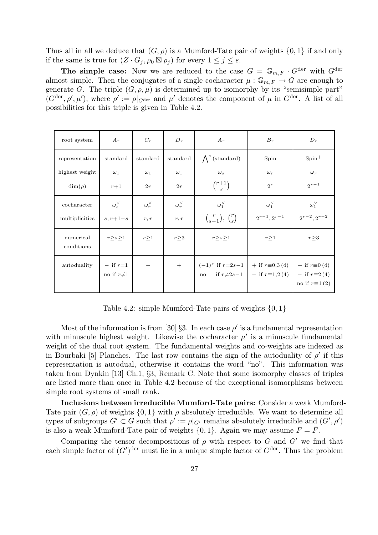Thus all in all we deduce that  $(G, \rho)$  is a Mumford-Tate pair of weights  $\{0, 1\}$  if and only if the same is true for  $(Z \cdot G_j, \rho_0 \boxtimes \rho_j)$  for every  $1 \leq j \leq s$ .

**The simple case:** Now we are reduced to the case  $G = \mathbb{G}_{m,F} \cdot G^{\text{der}}$  with  $G^{\text{der}}$ almost simple. Then the conjugates of a single cocharacter  $\mu : \mathbb{G}_{m,F} \to G$  are enough to generate G. The triple  $(G, \rho, \mu)$  is determined up to isomorphy by its "semisimple part"  $(G^{\text{der}}, \rho', \mu')$ , where  $\rho' := \rho|_{G^{\text{der}}}$  and  $\mu'$  denotes the component of  $\mu$  in  $G^{\text{der}}$ . A list of all possibilities for this triple is given in Table 4.2.

| root system             | $A_r$                           | $C_r$             | $D_r$             | $A_r$                                                                                        | $B_r$                 | $D_r$                                                                  |
|-------------------------|---------------------------------|-------------------|-------------------|----------------------------------------------------------------------------------------------|-----------------------|------------------------------------------------------------------------|
| representation          | standard                        | standard          | standard          | $\bigwedge^s$ (standard)                                                                     | Spin                  | $Spin+$                                                                |
| highest weight          | $\omega_1$                      | $\omega_1$        | $\omega_1$        | $\omega_s$                                                                                   | $\omega_r$            | $\omega_r$                                                             |
| $\dim(\rho)$            | $r+1$                           | 2r                | 2r                | $\binom{r+1}{s}$                                                                             | $2^r$                 | $2^{r-1}$                                                              |
| cocharacter             | $\omega_{s}^{\vee}$             | $\omega_r^{\vee}$ | $\omega_r^{\vee}$ | $\omega_1^{\vee}$                                                                            | $\omega_1^{\vee}$     | $\omega_1^{\vee}$                                                      |
| multiplicities          | $s, r+1-s$                      | r, r              | r, r              | $\binom{r}{s-1}, \binom{r}{s}$                                                               | $2^{r-1}$ , $2^{r-1}$ | $2^{r-2}$ , $2^{r-2}$                                                  |
| numerical<br>conditions | r > s > 1                       | r > 1             | $r \geq 3$        | r > s > 1                                                                                    | r > 1                 | r > 3                                                                  |
| autoduality             | $-$ if $r=1$<br>no if $r\neq 1$ |                   | $+$               | $(-1)^s$ if $r=2s-1$   + if $r\equiv 0,3(4)$<br>no if $r \neq 2s-1$   - if $r \equiv 1,2(4)$ |                       | $+$ if $r\equiv 0(4)$<br>$-$ if $r\equiv 2(4)$<br>no if $r\equiv 1(2)$ |

Table 4.2: simple Mumford-Tate pairs of weights  $\{0, 1\}$ 

Most of the information is from [30] §3. In each case  $\rho'$  is a fundamental representation with minuscule highest weight. Likewise the cocharacter  $\mu'$  is a minuscule fundamental weight of the dual root system. The fundamental weights and co-weights are indexed as in Bourbaki [5] Planches. The last row contains the sign of the autoduality of  $\rho'$  if this representation is autodual, otherwise it contains the word "no". This information was taken from Dynkin [13] Ch.1, §3, Remark C. Note that some isomorphy classes of triples are listed more than once in Table 4.2 because of the exceptional isomorphisms between simple root systems of small rank.

Inclusions between irreducible Mumford-Tate pairs: Consider a weak Mumford-Tate pair  $(G, \rho)$  of weights  $\{0, 1\}$  with  $\rho$  absolutely irreducible. We want to determine all types of subgroups  $G' \subset G$  such that  $\rho' := \rho|_{G'}$  remains absolutely irreducible and  $(G', \rho')$ is also a weak Mumford-Tate pair of weights  $\{0, 1\}$ . Again we may assume  $F = \overline{F}$ .

Comparing the tensor decompositions of  $\rho$  with respect to G and G' we find that each simple factor of  $(G')^{\text{der}}$  must lie in a unique simple factor of  $G^{\text{der}}$ . Thus the problem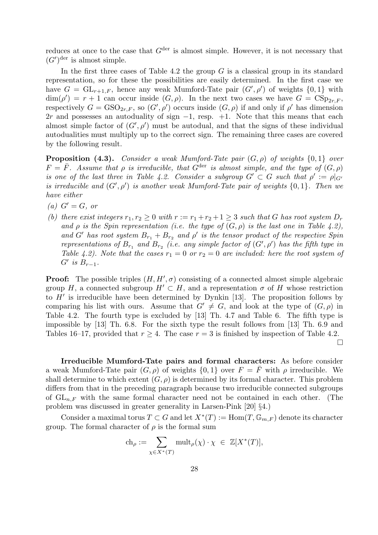reduces at once to the case that  $G^{\text{der}}$  is almost simple. However, it is not necessary that  $(G')^{\text{der}}$  is almost simple.

In the first three cases of Table 4.2 the group  $G$  is a classical group in its standard representation, so for these the possibilities are easily determined. In the first case we have  $G = GL_{r+1,F}$ , hence any weak Mumford-Tate pair  $(G', \rho')$  of weights  $\{0, 1\}$  with  $\dim(\rho') = r + 1$  can occur inside  $(G, \rho)$ . In the next two cases we have  $G = \text{CSp}_{2r, F}$ , respectively  $G = GSO_{2r,F}$ , so  $(G', \rho')$  occurs inside  $(G, \rho)$  if and only if  $\rho'$  has dimension 2r and possesses an autoduality of sign  $-1$ , resp.  $+1$ . Note that this means that each almost simple factor of  $(G', \rho')$  must be autodual, and that the signs of these individual autodualities must multiply up to the correct sign. The remaining three cases are covered by the following result.

**Proposition (4.3).** Consider a weak Mumford-Tate pair  $(G, \rho)$  of weights  $\{0, 1\}$  over  $F = \overline{F}$ . Assume that  $\rho$  is irreducible, that  $G^{\text{der}}$  is almost simple, and the type of  $(G, \rho)$ is one of the last three in Table 4.2. Consider a subgroup  $G' \subset G$  such that  $\rho' := \rho|_{G'}$ is irreducible and  $(G', \rho')$  is another weak Mumford-Tate pair of weights  $\{0, 1\}$ . Then we have either

- (a)  $G' = G$ , or
- (b) there exist integers  $r_1, r_2 \geq 0$  with  $r := r_1 + r_2 + 1 \geq 3$  such that G has root system  $D_r$ and  $\rho$  is the Spin representation (i.e. the type of  $(G, \rho)$  is the last one in Table 4.2), and G' has root system  $B_{r_1} + B_{r_2}$  and  $\rho'$  is the tensor product of the respective Spin representations of  $B_{r_1}$  and  $B_{r_2}$  (i.e. any simple factor of  $(G', \rho')$  has the fifth type in Table 4.2). Note that the cases  $r_1 = 0$  or  $r_2 = 0$  are included: here the root system of  $G'$  is  $B_{r-1}$ .

**Proof:** The possible triples  $(H, H', \sigma)$  consisting of a connected almost simple algebraic group H, a connected subgroup  $H' \subset H$ , and a representation  $\sigma$  of H whose restriction to  $H'$  is irreducible have been determined by Dynkin [13]. The proposition follows by comparing his list with ours. Assume that  $G' \neq G$ , and look at the type of  $(G, \rho)$  in Table 4.2. The fourth type is excluded by [13] Th. 4.7 and Table 6. The fifth type is impossible by [13] Th. 6.8. For the sixth type the result follows from [13] Th. 6.9 and Tables 16–17, provided that  $r \geq 4$ . The case  $r = 3$  is finished by inspection of Table 4.2.  $\Box$ 

Irreducible Mumford-Tate pairs and formal characters: As before consider a weak Mumford-Tate pair  $(G, \rho)$  of weights  $\{0, 1\}$  over  $F = \overline{F}$  with  $\rho$  irreducible. We shall determine to which extent  $(G, \rho)$  is determined by its formal character. This problem differs from that in the preceding paragraph because two irreducible connected subgroups of  $GL_{n,F}$  with the same formal character need not be contained in each other. (The problem was discussed in greater generality in Larsen-Pink [20] §4.)

Consider a maximal torus  $T \subset G$  and let  $X^*(T) := \text{Hom}(T, \mathbb{G}_{m,F})$  denote its character group. The formal character of  $\rho$  is the formal sum

$$
\mathrm{ch}_\rho:=\sum_{\chi\in X^*(T)}\mathrm{mult}_\rho(\chi)\cdot\chi\ \in\ \mathbb{Z}[X^*(T)],
$$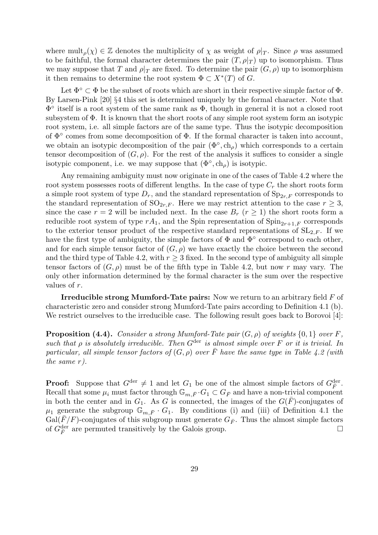where  $\text{mult}_{\rho}(\chi) \in \mathbb{Z}$  denotes the multiplicity of  $\chi$  as weight of  $\rho|_T$ . Since  $\rho$  was assumed to be faithful, the formal character determines the pair  $(T, \rho|_T)$  up to isomorphism. Thus we may suppose that T and  $\rho|_T$  are fixed. To determine the pair  $(G, \rho)$  up to isomorphism it then remains to determine the root system  $\Phi \subset X^*(T)$  of G.

Let  $\Phi^{\circ} \subset \Phi$  be the subset of roots which are short in their respective simple factor of  $\Phi$ . By Larsen-Pink [20] §4 this set is determined uniquely by the formal character. Note that Φ ◦ itself is a root system of the same rank as Φ, though in general it is not a closed root subsystem of Φ. It is known that the short roots of any simple root system form an isotypic root system, i.e. all simple factors are of the same type. Thus the isotypic decomposition of  $\Phi^{\circ}$  comes from some decomposition of  $\Phi$ . If the formal character is taken into account, we obtain an isotypic decomposition of the pair  $(\Phi^{\circ}, ch_{\rho})$  which corresponds to a certain tensor decomposition of  $(G, \rho)$ . For the rest of the analysis it suffices to consider a single isotypic component, i.e. we may suppose that  $(\Phi^{\circ}, \text{ch}_{\rho})$  is isotypic.

Any remaining ambiguity must now originate in one of the cases of Table 4.2 where the root system possesses roots of different lengths. In the case of type  $C_r$  the short roots form a simple root system of type  $D_r$ , and the standard representation of  $Sp_{2r,F}$  corresponds to the standard representation of  $SO_{2r,F}$ . Here we may restrict attention to the case  $r \geq 3$ , since the case  $r = 2$  will be included next. In the case  $B_r$   $(r \ge 1)$  the short roots form a reducible root system of type  $rA_1$ , and the Spin representation of  $\text{Spin}_{2r+1,F}$  corresponds to the exterior tensor product of the respective standard representations of  $SL_{2,F}$ . If we have the first type of ambiguity, the simple factors of  $\Phi$  and  $\Phi^{\circ}$  correspond to each other, and for each simple tensor factor of  $(G, \rho)$  we have exactly the choice between the second and the third type of Table 4.2, with  $r > 3$  fixed. In the second type of ambiguity all simple tensor factors of  $(G, \rho)$  must be of the fifth type in Table 4.2, but now r may vary. The only other information determined by the formal character is the sum over the respective values of r.

Irreducible strong Mumford-Tate pairs: Now we return to an arbitrary field F of characteristic zero and consider strong Mumford-Tate pairs according to Definition 4.1 (b). We restrict ourselves to the irreducible case. The following result goes back to Borovoi [4]:

**Proposition (4.4).** Consider a strong Mumford-Tate pair  $(G, \rho)$  of weights  $\{0, 1\}$  over F, such that  $\rho$  is absolutely irreducible. Then  $G^{\text{der}}$  is almost simple over F or it is trivial. In particular, all simple tensor factors of  $(G, \rho)$  over  $\overline{F}$  have the same type in Table 4.2 (with the same r).

**Proof:** Suppose that  $G^{\text{der}} \neq 1$  and let  $G_1$  be one of the almost simple factors of  $G^{\text{der}}_{\overline{F}}$ . Recall that some  $\mu_i$  must factor through  $\mathbb{G}_{m,\bar{F}} \cdot G_1 \subset G_{\bar{F}}$  and have a non-trivial component in both the center and in  $G_1$ . As G is connected, the images of the  $G(\overline{F})$ -conjugates of  $\mu_1$  generate the subgroup  $\mathbb{G}_{m,\bar{F}}\cdot G_1$ . By conditions (i) and (iii) of Definition 4.1 the  $Gal(F/F)$ -conjugates of this subgroup must generate  $G_{\bar{F}}$ . Thus the almost simple factors of  $G_{\overline{F}}^{\text{der}}$  are permuted transitively by the Galois group.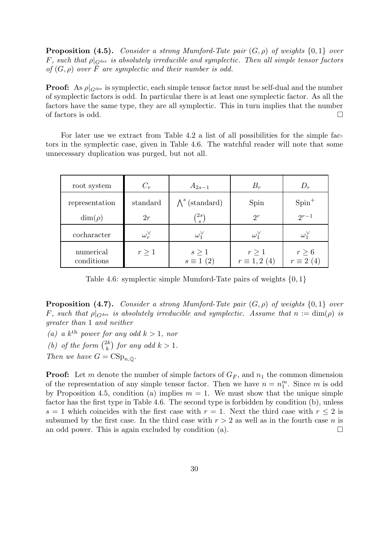**Proposition (4.5).** Consider a strong Mumford-Tate pair  $(G, \rho)$  of weights  $\{0, 1\}$  over F, such that  $\rho|_{G^{\text{der}}}$  is absolutely irreducible and symplectic. Then all simple tensor factors of  $(G, \rho)$  over F are symplectic and their number is odd.

**Proof:** As  $\rho|_{G^{\text{der}}}$  is symplectic, each simple tensor factor must be self-dual and the number of symplectic factors is odd. In particular there is at least one symplectic factor. As all the factors have the same type, they are all symplectic. This in turn implies that the number of factors is odd.  $\square$ 

For later use we extract from Table 4.2 a list of all possibilities for the simple factors in the symplectic case, given in Table 4.6. The watchful reader will note that some unnecessary duplication was purged, but not all.

| root system             | $C_r$             | $A_{2s-1}$                    | $B_r$                            | $D_r$                         |
|-------------------------|-------------------|-------------------------------|----------------------------------|-------------------------------|
| representation          | standard          | $\Lambda^s$ (standard)        | Spin                             | $Spin^+$                      |
| $\dim(\rho)$            | 2r                | $\langle 2s\rangle$           | $2^r$                            | $2^{r-1}$                     |
| cocharacter             | $\omega_r^{\vee}$ | $\omega_1^{\vee}$             | $\omega_1^{\vee}$                | $\omega_1^{\vee}$             |
| numerical<br>conditions | $r\geq 1$         | $s\geq 1$<br>$s \equiv 1$ (2) | $r\geq 1$<br>$r \equiv 1, 2 (4)$ | $r \geq 6$<br>$r \equiv 2(4)$ |

Table 4.6: symplectic simple Mumford-Tate pairs of weights  $\{0, 1\}$ 

**Proposition (4.7).** Consider a strong Mumford-Tate pair  $(G, \rho)$  of weights  $\{0, 1\}$  over F, such that  $\rho|_{G^{\text{der}}}$  is absolutely irreducible and symplectic. Assume that  $n := \dim(\rho)$  is greater than 1 and neither

(a) a  $k^{\text{th}}$  power for any odd  $k > 1$ , nor

(b) of the form  $\binom{2k}{k}$  $\binom{2k}{k}$  for any odd  $k > 1$ .

Then we have  $G = \text{CSp}_{n,\mathbb{Q}}$ .

**Proof:** Let m denote the number of simple factors of  $G_{\bar{F}}$ , and  $n_1$  the common dimension of the representation of any simple tensor factor. Then we have  $n = n_1^m$ . Since m is odd by Proposition 4.5, condition (a) implies  $m = 1$ . We must show that the unique simple factor has the first type in Table 4.6. The second type is forbidden by condition (b), unless s = 1 which coincides with the first case with  $r = 1$ . Next the third case with  $r \leq 2$  is subsumed by the first case. In the third case with  $r > 2$  as well as in the fourth case n is an odd power. This is again excluded by condition (a).  $\Box$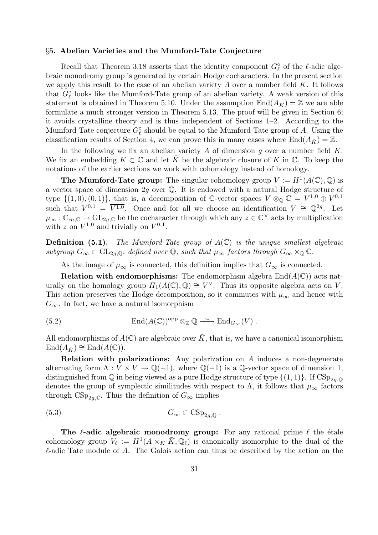### §5. Abelian Varieties and the Mumford-Tate Conjecture

Recall that Theorem 3.18 asserts that the identity component  $G_{\ell}^{\circ}$  of the  $\ell$ -adic algebraic monodromy group is generated by certain Hodge cocharacters. In the present section we apply this result to the case of an abelian variety  $A$  over a number field  $K$ . It follows that  $G_{\ell}^{\circ}$  looks like the Mumford-Tate group of an abelian variety. A weak version of this statement is obtained in Theorem 5.10. Under the assumption  $\text{End}(A_{\bar{K}}) = \mathbb{Z}$  we are able formulate a much stronger version in Theorem 5.13. The proof will be given in Section 6; it avoids crystalline theory and is thus independent of Sections 1–2. According to the Mumford-Tate conjecture  $G_{\ell}^{\circ}$  should be equal to the Mumford-Tate group of A. Using the classification results of Section 4, we can prove this in many cases where  $\text{End}(A_{\bar{K}}) = \mathbb{Z}$ .

In the following we fix an abelian variety A of dimension q over a number field  $K$ . We fix an embedding  $K \subset \mathbb{C}$  and let  $\overline{K}$  be the algebraic closure of K in  $\mathbb{C}$ . To keep the notations of the earlier sections we work with cohomology instead of homology.

**The Mumford-Tate group:** The singular cohomology group  $V := H^1(A(\mathbb{C}), \mathbb{Q})$  is a vector space of dimension 2g over Q. It is endowed with a natural Hodge structure of type  $\{(1,0), (0,1)\}\$ , that is, a decomposition of C-vector spaces  $V \otimes_{\mathbb{Q}} \mathbb{C} = V^{1,0} \oplus V^{0,1}$ such that  $V^{0,1} = \overline{V^{1,0}}$ . Once and for all we choose an identification  $V \cong \mathbb{Q}^{2g}$ . Let  $\mu_{\infty}: \mathbb{G}_{m,\mathbb{C}} \to \text{GL}_{2g,\mathbb{C}}$  be the cocharacter through which any  $z \in \mathbb{C}^{\times}$  acts by multiplication with z on  $V^{1,0}$  and trivially on  $V^{0,1}$ .

**Definition (5.1).** The Mumford-Tate group of  $A(\mathbb{C})$  is the unique smallest algebraic subgroup  $G_{\infty} \subset GL_{2g,\mathbb{Q}}$ , defined over  $\mathbb{Q}$ , such that  $\mu_{\infty}$  factors through  $G_{\infty} \times_{\mathbb{Q}} \mathbb{C}$ .

As the image of  $\mu_{\infty}$  is connected, this definition implies that  $G_{\infty}$  is connected.

**Relation with endomorphisms:** The endomorphism algebra  $\text{End}(A(\mathbb{C}))$  acts naturally on the homology group  $H_1(A(\mathbb{C}), \mathbb{Q}) \cong V^{\vee}$ . Thus its opposite algebra acts on V. This action preserves the Hodge decomposition, so it commutes with  $\mu_{\infty}$  and hence with  $G_{\infty}$ . In fact, we have a natural isomorphism

(5.2) 
$$
\text{End}(A(\mathbb{C}))^{\text{opp}} \otimes_{\mathbb{Z}} \mathbb{Q} \longrightarrow \text{End}_{G_{\infty}}(V) .
$$

All endomorphisms of  $A(\mathbb{C})$  are algebraic over  $\overline{K}$ , that is, we have a canonical isomorphism  $\text{End}(A_{\bar{K}}) \cong \text{End}(A(\mathbb{C}))$ .

Relation with polarizations: Any polarization on A induces a non-degenerate alternating form  $\Lambda: V \times V \to \mathbb{Q}(-1)$ , where  $\mathbb{Q}(-1)$  is a  $\mathbb{Q}\text{-vector space of dimension 1}$ , distinguished from  $\mathbb Q$  in being viewed as a pure Hodge structure of type  $\{(1,1)\}\$ . If  $CSp_{2q,\mathbb Q}$ denotes the group of symplectic similitudes with respect to  $\Lambda$ , it follows that  $\mu_{\infty}$  factors through  $CSp_{2q,\mathbb{C}}$ . Thus the definition of  $G_{\infty}$  implies

$$
(5.3) \t G_{\infty} \subset \text{CSp}_{2g,\mathbb{Q}}.
$$

The  $\ell$ -adic algebraic monodromy group: For any rational prime  $\ell$  the étale cohomology group  $V_{\ell} := H^1(A \times_K \bar{K}, \mathbb{Q}_{\ell})$  is canonically isomorphic to the dual of the  $\ell$ -adic Tate module of A. The Galois action can thus be described by the action on the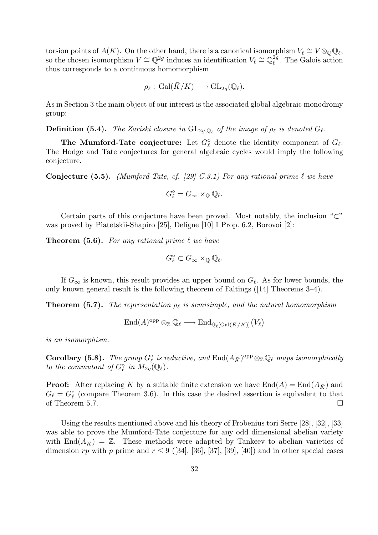torsion points of  $A(\bar{K})$ . On the other hand, there is a canonical isomorphism  $V_{\ell} \cong V \otimes_{\mathbb{Q}} \mathbb{Q}_{\ell}$ , so the chosen isomorphism  $V \cong \mathbb{Q}^{2g}$  induces an identification  $V_{\ell} \cong \mathbb{Q}_{\ell}^{2g}$  $\ell^{\text{g}}$ . The Galois action thus corresponds to a continuous homomorphism

$$
\rho_\ell:\, \mathrm{Gal}(\bar K/K)\longrightarrow \mathrm{GL}_{2g}(\mathbb{Q}_\ell).
$$

As in Section 3 the main object of our interest is the associated global algebraic monodromy group:

**Definition (5.4).** The Zariski closure in  $GL_{2g,\mathbb{Q}_\ell}$  of the image of  $\rho_\ell$  is denoted  $G_\ell$ .

The Mumford-Tate conjecture: Let  $G_{\ell}^{\circ}$  denote the identity component of  $G_{\ell}$ . The Hodge and Tate conjectures for general algebraic cycles would imply the following conjecture.

**Conjecture (5.5).** (Mumford-Tate, cf. [29] C.3.1) For any rational prime  $\ell$  we have

$$
G_\ell^\circ=G_\infty\times_{\mathbb Q}{\mathbb Q}_\ell.
$$

Certain parts of this conjecture have been proved. Most notably, the inclusion " $\subset$ " was proved by Piatetskii-Shapiro [25], Deligne [10] I Prop. 6.2, Borovoi [2]:

**Theorem (5.6).** For any rational prime  $\ell$  we have

$$
G_{\ell}^{\circ} \subset G_{\infty} \times_{\mathbb{Q}} \mathbb{Q}_{\ell}.
$$

If  $G_{\infty}$  is known, this result provides an upper bound on  $G_{\ell}$ . As for lower bounds, the only known general result is the following theorem of Faltings ([14] Theorems 3–4).

**Theorem (5.7).** The representation  $\rho_{\ell}$  is semisimple, and the natural homomorphism

$$
\mathrm{End}(A)^{\mathrm{opp}}\otimes_{\mathbb{Z}}\mathbb{Q}_{\ell}\longrightarrow \mathrm{End}_{\mathbb{Q}_{\ell}[\mathrm{Gal}(\bar{K}/K)]}\big(V_{\ell}\big)
$$

is an isomorphism.

**Corollary (5.8).** The group  $G_{\ell}^{\circ}$  is reductive, and  $\text{End}(A_{\bar{K}})^{\text{opp}} \otimes_{\mathbb{Z}} \mathbb{Q}_{\ell}$  maps isomorphically to the commutant of  $G_{\ell}^{\circ}$  in  $M_{2g}(\mathbb{Q}_{\ell}).$ 

**Proof:** After replacing K by a suitable finite extension we have  $\text{End}(A) = \text{End}(A_{\bar{K}})$  and  $G_{\ell} = G_{\ell}^{\circ}$  (compare Theorem 3.6). In this case the desired assertion is equivalent to that of Theorem 5.7.  $\Box$ 

Using the results mentioned above and his theory of Frobenius tori Serre [28], [32], [33] was able to prove the Mumford-Tate conjecture for any odd dimensional abelian variety with End $(A_{\bar{K}}) = \mathbb{Z}$ . These methods were adapted by Tankeev to abelian varieties of dimension rp with p prime and  $r \leq 9$  ([34], [36], [37], [39], [40]) and in other special cases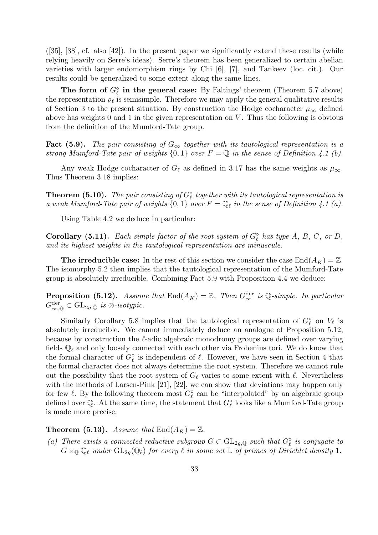$([35], [38], \text{cf. also } [42])$ . In the present paper we significantly extend these results (while relying heavily on Serre's ideas). Serre's theorem has been generalized to certain abelian varieties with larger endomorphism rings by Chi [6], [7], and Tankeev (loc. cit.). Our results could be generalized to some extent along the same lines.

The form of  $G_{\ell}^{\circ}$  in the general case: By Faltings' theorem (Theorem 5.7 above) the representation  $\rho_{\ell}$  is semisimple. Therefore we may apply the general qualitative results of Section 3 to the present situation. By construction the Hodge cocharacter  $\mu_{\infty}$  defined above has weights 0 and 1 in the given representation on  $V$ . Thus the following is obvious from the definition of the Mumford-Tate group.

Fact (5.9). The pair consisting of  $G_{\infty}$  together with its tautological representation is a strong Mumford-Tate pair of weights  $\{0,1\}$  over  $F = \mathbb{Q}$  in the sense of Definition 4.1 (b).

Any weak Hodge cocharacter of  $G_{\ell}$  as defined in 3.17 has the same weights as  $\mu_{\infty}$ . Thus Theorem 3.18 implies:

**Theorem (5.10).** The pair consisting of  $G_{\ell}^{\circ}$  together with its tautological representation is a weak Mumford-Tate pair of weights  $\{0,1\}$  over  $F = \mathbb{Q}_\ell$  in the sense of Definition 4.1 (a).

Using Table 4.2 we deduce in particular:

**Corollary (5.11).** Each simple factor of the root system of  $G_{\ell}^{\circ}$  has type A, B, C, or D, and its highest weights in the tautological representation are minuscule.

The irreducible case: In the rest of this section we consider the case  $\text{End}(A_{\bar{K}}) = \mathbb{Z}$ . The isomorphy 5.2 then implies that the tautological representation of the Mumford-Tate group is absolutely irreducible. Combining Fact 5.9 with Proposition 4.4 we deduce:

**Proposition (5.12).** Assume that  $\text{End}(A_{\bar{K}}) = \mathbb{Z}$ . Then  $G_{\infty}^{\text{der}}$  is Q-simple. In particular  $G^{\operatorname{der}}_{\infty,\bar{\mathbb{Q}}} \subset \mathrm{GL}_{2g,\bar{\mathbb{Q}}}$  is  $\otimes$ -isotypic.

Similarly Corollary 5.8 implies that the tautological representation of  $G_{\ell}^{\circ}$  on  $V_{\ell}$  is absolutely irreducible. We cannot immediately deduce an analogue of Proposition 5.12, because by construction the  $\ell$ -adic algebraic monodromy groups are defined over varying fields  $\mathbb{Q}_\ell$  and only loosely connected with each other via Frobenius tori. We do know that the formal character of  $G_{\ell}^{\circ}$  is independent of  $\ell$ . However, we have seen in Section 4 that the formal character does not always determine the root system. Therefore we cannot rule out the possibility that the root system of  $G_\ell$  varies to some extent with  $\ell$ . Nevertheless with the methods of Larsen-Pink [21], [22], we can show that deviations may happen only for few  $\ell$ . By the following theorem most  $G_{\ell}^{\circ}$  can be "interpolated" by an algebraic group defined over  $\mathbb Q$ . At the same time, the statement that  $G_{\ell}^{\circ}$  looks like a Mumford-Tate group is made more precise.

**Theorem (5.13).** Assume that  $\text{End}(A_{\bar{K}}) = \mathbb{Z}$ .

(a) There exists a connected reductive subgroup  $G \subset GL_{2g,\mathbb{Q}}$  such that  $G_{\ell}^{\circ}$  is conjugate to  $G \times_{\mathbb{Q}} \mathbb{Q}_\ell$  under  $GL_{2g}(\mathbb{Q}_\ell)$  for every  $\ell$  in some set  $\mathbb{L}$  of primes of Dirichlet density 1.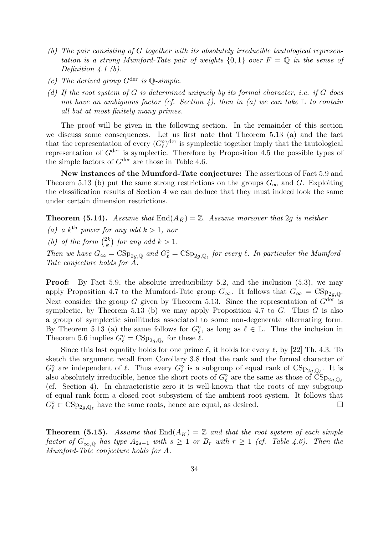- (b) The pair consisting of G together with its absolutely irreducible tautological representation is a strong Mumford-Tate pair of weights  $\{0,1\}$  over  $F = \mathbb{Q}$  in the sense of Definition  $\lambda.1$  (b).
- (c) The derived group  $G^{\text{der}}$  is  $\mathbb{O}\text{-}\text{simple}$ .
- (d) If the root system of G is determined uniquely by its formal character, i.e. if G does not have an ambiguous factor (cf. Section 4), then in (a) we can take  $\mathbb L$  to contain all but at most finitely many primes.

The proof will be given in the following section. In the remainder of this section we discuss some consequences. Let us first note that Theorem 5.13 (a) and the fact that the representation of every  $(G_{\ell}^{\circ})^{\text{der}}$  is symplectic together imply that the tautological representation of  $G^{\text{der}}$  is symplectic. Therefore by Proposition 4.5 the possible types of the simple factors of  $G^{\text{der}}$  are those in Table 4.6.

New instances of the Mumford-Tate conjecture: The assertions of Fact 5.9 and Theorem 5.13 (b) put the same strong restrictions on the groups  $G_{\infty}$  and G. Exploiting the classification results of Section 4 we can deduce that they must indeed look the same under certain dimension restrictions.

**Theorem (5.14).** Assume that  $\text{End}(A_{\bar{K}}) = \mathbb{Z}$ . Assume moreover that 2g is neither

(a) a  $k^{\text{th}}$  power for any odd  $k > 1$ , nor

(b) of the form  $\binom{2k}{k}$  $\binom{2k}{k}$  for any odd  $k > 1$ .

Then we have  $G_{\infty} = \text{CSp}_{2g,\mathbb{Q}}$  and  $G_{\ell}^{\circ} = \text{CSp}_{2g,\mathbb{Q}_{\ell}}$  for every  $\ell$ . In particular the Mumford-Tate conjecture holds for A.

Proof: By Fact 5.9, the absolute irreducibility 5.2, and the inclusion (5.3), we may apply Proposition 4.7 to the Mumford-Tate group  $G_{\infty}$ . It follows that  $G_{\infty} = \text{CSp}_{2a,0}$ . Next consider the group G given by Theorem 5.13. Since the representation of  $G<sup>der</sup>$  is symplectic, by Theorem 5.13 (b) we may apply Proposition 4.7 to  $G$ . Thus  $G$  is also a group of symplectic similitudes associated to some non-degenerate alternating form. By Theorem 5.13 (a) the same follows for  $G_{\ell}^{\circ}$ , as long as  $\ell \in \mathbb{L}$ . Thus the inclusion in Theorem 5.6 implies  $G_{\ell}^{\circ} = \text{CSp}_{2g,\mathbb{Q}_{\ell}}$  for these  $\ell$ .

Since this last equality holds for one prime  $\ell$ , it holds for every  $\ell$ , by [22] Th. 4.3. To sketch the argument recall from Corollary 3.8 that the rank and the formal character of  $G_{\ell}^{\circ}$  are independent of  $\ell$ . Thus every  $G_{\ell}^{\circ}$  is a subgroup of equal rank of  $CSp_{2g,\mathbb{Q}_{\ell}}$ . It is also absolutely irreducible, hence the short roots of  $G_{\ell}^{\circ}$  are the same as those of  $\check{\text{CSp}}_{2g,\mathbb{Q}_{\ell}}$ (cf. Section 4). In characteristic zero it is well-known that the roots of any subgroup of equal rank form a closed root subsystem of the ambient root system. It follows that  $G_{\ell}^{\circ} \subset \text{CSp}_{2g,\mathbb{Q}_{\ell}}$  have the same roots, hence are equal, as desired.

**Theorem (5.15).** Assume that  $\text{End}(A_{\bar{K}}) = \mathbb{Z}$  and that the root system of each simple factor of  $G_{\infty,\bar{Q}}$  has type  $A_{2s-1}$  with  $s \geq 1$  or  $B_r$  with  $r \geq 1$  (cf. Table 4.6). Then the Mumford-Tate conjecture holds for A.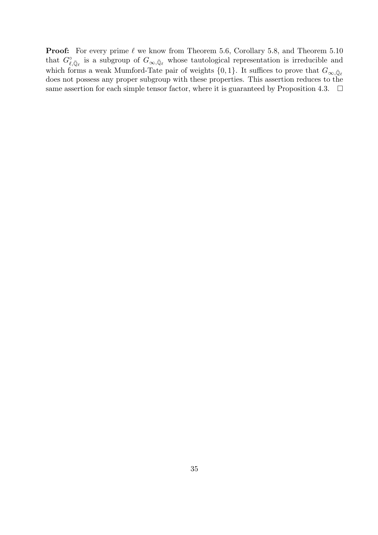**Proof:** For every prime  $\ell$  we know from Theorem 5.6, Corollary 5.8, and Theorem 5.10 that  $G^{\circ}_{\ell,\bar{\mathbb{Q}}_{\ell}}$  is a subgroup of  $G_{\infty,\bar{\mathbb{Q}}_{\ell}}$  whose tautological representation is irreducible and which forms a weak Mumford-Tate pair of weights  $\{0, 1\}$ . It suffices to prove that  $G_{\infty, \bar{\mathbb{Q}}_{\ell}}$ does not possess any proper subgroup with these properties. This assertion reduces to the same assertion for each simple tensor factor, where it is guaranteed by Proposition 4.3.  $\Box$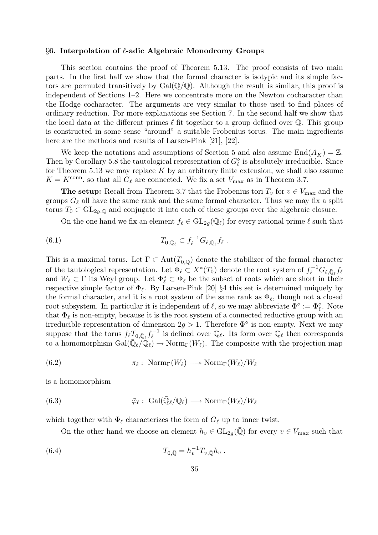### $§6.$  Interpolation of  $\ell$ -adic Algebraic Monodromy Groups

This section contains the proof of Theorem 5.13. The proof consists of two main parts. In the first half we show that the formal character is isotypic and its simple factors are permuted transitively by  $Gal(\mathbb{Q}/\mathbb{Q})$ . Although the result is similar, this proof is independent of Sections 1–2. Here we concentrate more on the Newton cocharacter than the Hodge cocharacter. The arguments are very similar to those used to find places of ordinary reduction. For more explanations see Section 7. In the second half we show that the local data at the different primes  $\ell$  fit together to a group defined over  $\mathbb{Q}$ . This group is constructed in some sense "around" a suitable Frobenius torus. The main ingredients here are the methods and results of Larsen-Pink [21], [22].

We keep the notations and assumptions of Section 5 and also assume  $\text{End}(A_{\bar{K}}) = \mathbb{Z}$ . Then by Corollary 5.8 the tautological representation of  $G_{\ell}^{\circ}$  is absolutely irreducible. Since for Theorem 5.13 we may replace  $K$  by an arbitrary finite extension, we shall also assume  $K = K^{\text{conn}}$ , so that all  $G_{\ell}$  are connected. We fix a set  $V_{\text{max}}$  as in Theorem 3.7.

**The setup:** Recall from Theorem 3.7 that the Frobenius tori  $T_v$  for  $v \in V_{\text{max}}$  and the groups  $G_{\ell}$  all have the same rank and the same formal character. Thus we may fix a split torus  $T_0 \subset GL_{2g,\mathbb{Q}}$  and conjugate it into each of these groups over the algebraic closure.

On the one hand we fix an element  $f_\ell \in GL_{2g}(\overline{\mathbb{Q}}_\ell)$  for every rational prime  $\ell$  such that

(6.1) 
$$
T_{0,\bar{\mathbb{Q}}_{\ell}} \subset f_{\ell}^{-1}G_{\ell,\bar{\mathbb{Q}}_{\ell}}f_{\ell}.
$$

This is a maximal torus. Let  $\Gamma \subset Aut(T_{0,\overline{Q}})$  denote the stabilizer of the formal character of the tautological representation. Let  $\Phi_{\ell} \subset X^*(T_0)$  denote the root system of  $f_{\ell}^{-1}G_{\ell,\bar{\mathbb{Q}}_{\ell}}f_{\ell}$ and  $W_{\ell} \subset \Gamma$  its Weyl group. Let  $\Phi_{\ell}^{\circ} \subset \Phi_{\ell}$  be the subset of roots which are short in their respective simple factor of  $\Phi_{\ell}$ . By Larsen-Pink [20] §4 this set is determined uniquely by the formal character, and it is a root system of the same rank as  $\Phi_{\ell}$ , though not a closed root subsystem. In particular it is independent of  $\ell$ , so we may abbreviate  $\Phi^{\circ} := \Phi_{\ell}^{\circ}$ . Note that  $\Phi_{\ell}$  is non-empty, because it is the root system of a connected reductive group with an irreducible representation of dimension  $2g > 1$ . Therefore  $\Phi^{\circ}$  is non-empty. Next we may suppose that the torus  $f_{\ell}T_{0,\bar{\mathbb{Q}}_{\ell}}f_{\ell}^{-1}$  $\mathbb{Q}_{\ell}$  is defined over  $\mathbb{Q}_{\ell}$ . Its form over  $\mathbb{Q}_{\ell}$  then corresponds to a homomorphism  $Gal(\bar{\mathbb{Q}}_{\ell}/\bar{\mathbb{Q}}_{\ell}) \to \text{Norm}_{\Gamma}(W_{\ell}).$  The composite with the projection map

(6.2) 
$$
\pi_{\ell}: \ \mathrm{Norm}_{\Gamma}(W_{\ell}) \longrightarrow \mathrm{Norm}_{\Gamma}(W_{\ell})/W_{\ell}
$$

is a homomorphism

(6.3) 
$$
\bar{\varphi}_{\ell}: \ \mathrm{Gal}(\bar{\mathbb{Q}}_{\ell}/\mathbb{Q}_{\ell}) \longrightarrow \mathrm{Norm}_{\Gamma}(W_{\ell})/W_{\ell}
$$

which together with  $\Phi_\ell$  characterizes the form of  $G_\ell$  up to inner twist.

On the other hand we choose an element  $h_v \in GL_{2g}(\overline{Q})$  for every  $v \in V_{\text{max}}$  such that

(6.4) 
$$
T_{0,\bar{\mathbb{Q}}} = h_v^{-1} T_{v,\bar{\mathbb{Q}}} h_v.
$$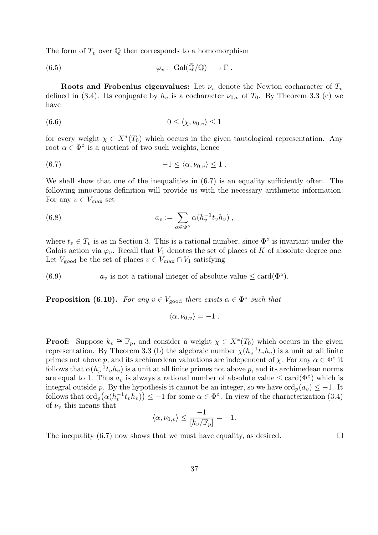The form of  $T_v$  over  $\mathbb Q$  then corresponds to a homomorphism

(6.5) 
$$
\varphi_v : \text{Gal}(\overline{\mathbb{Q}}/\mathbb{Q}) \longrightarrow \Gamma .
$$

Roots and Frobenius eigenvalues: Let  $\nu$ , denote the Newton cocharacter of  $T_{\nu}$ defined in (3.4). Its conjugate by  $h_v$  is a cocharacter  $\nu_{0,v}$  of  $T_0$ . By Theorem 3.3 (c) we have

$$
(6.6) \t\t 0 \le \langle \chi, \nu_{0,v} \rangle \le 1
$$

for every weight  $\chi \in X^*(T_0)$  which occurs in the given tautological representation. Any root  $\alpha \in \Phi^{\circ}$  is a quotient of two such weights, hence

$$
(6.7) \t\t -1 \leq \langle \alpha, \nu_{0,v} \rangle \leq 1.
$$

We shall show that one of the inequalities in  $(6.7)$  is an equality sufficiently often. The following innocuous definition will provide us with the necessary arithmetic information. For any  $v \in V_{\text{max}}$  set

(6.8) 
$$
a_v := \sum_{\alpha \in \Phi^{\circ}} \alpha(h_v^{-1} t_v h_v) ,
$$

where  $t_v \in T_v$  is as in Section 3. This is a rational number, since  $\Phi^{\circ}$  is invariant under the Galois action via  $\varphi_v$ . Recall that  $V_1$  denotes the set of places of K of absolute degree one. Let  $V_{\text{good}}$  be the set of places  $v \in V_{\text{max}} \cap V_1$  satisfying

(6.9)  $a_v$  is not a rational integer of absolute value  $\leq$  card( $\Phi^{\circ}$ ).

**Proposition (6.10).** For any  $v \in V_{\text{good}}$  there exists  $\alpha \in \Phi^{\circ}$  such that

$$
\langle \alpha, \nu_{0,v} \rangle = -1.
$$

**Proof:** Suppose  $k_v \cong \mathbb{F}_p$ , and consider a weight  $\chi \in X^*(T_0)$  which occurs in the given representation. By Theorem 3.3 (b) the algebraic number  $\chi(h_v^{-1}t_vh_v)$  is a unit at all finite primes not above p, and its archimedean valuations are independent of  $\chi$ . For any  $\alpha \in \Phi^{\circ}$  it follows that  $\alpha(h_v^{-1}t_vh_v)$  is a unit at all finite primes not above p, and its archimedean norms are equal to 1. Thus  $a_v$  is always a rational number of absolute value  $\leq$  card $(\Phi^{\circ})$  which is integral outside p. By the hypothesis it cannot be an integer, so we have  $\text{ord}_p(a_v) \leq -1$ . It follows that  $\text{ord}_p(\alpha(h_v^{-1}t_vh_v)) \leq -1$  for some  $\alpha \in \Phi^{\circ}$ . In view of the characterization (3.4) of  $\nu_v$  this means that

$$
\langle \alpha, \nu_{0,v} \rangle \le \frac{-1}{[k_v/\mathbb{F}_p]} = -1.
$$

The inequality (6.7) now shows that we must have equality, as desired.  $\square$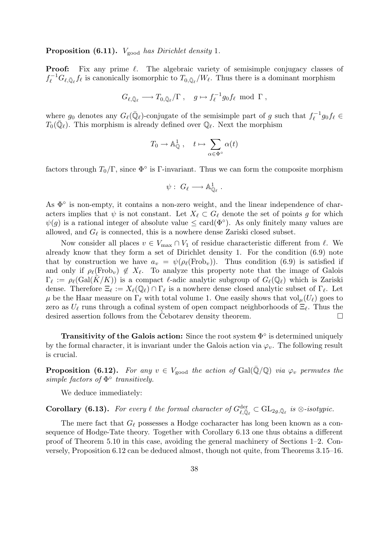## **Proposition (6.11).**  $V_{\text{good}}$  has Dirichlet density 1.

**Proof:** Fix any prime  $\ell$ . The algebraic variety of semisimple conjugacy classes of  $f_{\ell}^{-1}G_{\ell,\bar{\mathbb{Q}}_{\ell}}f_{\ell}$  is canonically isomorphic to  $T_{0,\bar{\mathbb{Q}}_{\ell}}/W_{\ell}$ . Thus there is a dominant morphism

$$
G_{\ell,\bar{\mathbb{Q}}_{\ell}} \longrightarrow T_{0,\bar{\mathbb{Q}}_{\ell}}/\Gamma\;, \quad g \mapsto f_{\ell}^{-1}g_0f_{\ell} \text{ mod }\Gamma\;,
$$

where  $g_0$  denotes any  $G_{\ell}(\bar{\mathbb{Q}}_{\ell})$ -conjugate of the semisimple part of g such that  $f_{\ell}^{-1}$  $\int_{\ell}^{-1} g_0 f_{\ell} \in$  $T_0(\bar{\mathbb{Q}}_\ell)$ . This morphism is already defined over  $\mathbb{Q}_\ell$ . Next the morphism

$$
T_0 \to \mathbb{A}_{\mathbb{Q}}^1 \;, \quad t \mapsto \sum_{\alpha \in \Phi^\circ} \alpha(t)
$$

factors through  $T_0/\Gamma$ , since  $\Phi^{\circ}$  is Γ-invariant. Thus we can form the composite morphism

$$
\psi: G_{\ell} \longrightarrow \mathbb{A}_{\mathbb{Q}_{\ell}}^1.
$$

As  $\Phi^{\circ}$  is non-empty, it contains a non-zero weight, and the linear independence of characters implies that  $\psi$  is not constant. Let  $X_\ell \subset G_\ell$  denote the set of points g for which  $\psi(g)$  is a rational integer of absolute value  $\leq$  card $(\Phi^{\circ})$ . As only finitely many values are allowed, and  $G_{\ell}$  is connected, this is a nowhere dense Zariski closed subset.

Now consider all places  $v \in V_{\text{max}} \cap V_1$  of residue characteristic different from  $\ell$ . We already know that they form a set of Dirichlet density 1. For the condition (6.9) note that by construction we have  $a_v = \psi(\rho_\ell(Frob_v))$ . Thus condition (6.9) is satisfied if and only if  $\rho_{\ell}(\text{Frob}_{v}) \notin X_{\ell}$ . To analyze this property note that the image of Galois  $\Gamma_\ell := \rho_\ell(\text{Gal}(\bar{K}/K))$  is a compact  $\ell$ -adic analytic subgroup of  $G_\ell(\mathbb{Q}_\ell)$  which is Zariski dense. Therefore  $\Xi_\ell := X_\ell(\mathbb{Q}_\ell) \cap \Gamma_\ell$  is a nowhere dense closed analytic subset of  $\Gamma_\ell$ . Let  $\mu$  be the Haar measure on  $\Gamma_\ell$  with total volume 1. One easily shows that vol $\mu(U_\ell)$  goes to zero as  $U_\ell$  runs through a cofinal system of open compact neighborhoods of  $\Xi_\ell$ . Thus the desired assertion follows from the Cebotarev density theorem.  $\Box$ 

Transitivity of the Galois action: Since the root system  $\Phi^{\circ}$  is determined uniquely by the formal character, it is invariant under the Galois action via  $\varphi_v$ . The following result is crucial.

**Proposition (6.12).** For any  $v \in V_{\text{good}}$  the action of Gal( $\mathbb{Q}/\mathbb{Q}$ ) via  $\varphi_v$  permutes the simple factors of  $\Phi$ <sup>o</sup> transitively.

We deduce immediately:

**Corollary (6.13).** For every  $\ell$  the formal character of  $G_{\ell,\bar{\mathbb{Q}}_{\ell}}^{\text{der}} \subset GL_{2g,\bar{\mathbb{Q}}_{\ell}}$  is  $\otimes$ -isotypic.

The mere fact that  $G_{\ell}$  possesses a Hodge cocharacter has long been known as a consequence of Hodge-Tate theory. Together with Corollary 6.13 one thus obtains a different proof of Theorem 5.10 in this case, avoiding the general machinery of Sections 1–2. Conversely, Proposition 6.12 can be deduced almost, though not quite, from Theorems 3.15–16.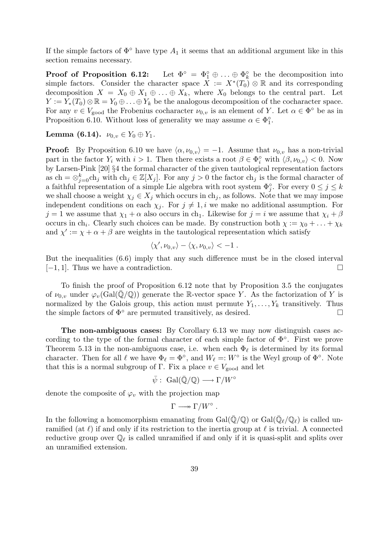If the simple factors of  $\Phi^{\circ}$  have type  $A_1$  it seems that an additional argument like in this section remains necessary.

Proof of Proposition 6.12:  $\hat{p}_1^{\circ} \oplus \ldots \oplus \Phi_k^{\circ}$  be the decomposition into simple factors. Consider the character space  $X := X^*(T_0) \otimes \mathbb{R}$  and its corresponding decomposition  $X = X_0 \oplus X_1 \oplus \ldots \oplus X_k$ , where  $X_0$  belongs to the central part. Let  $Y := Y_*(T_0) \otimes \mathbb{R} = Y_0 \oplus \ldots \oplus Y_k$  be the analogous decomposition of the cocharacter space. For any  $v \in V_{\text{good}}$  the Frobenius cocharacter  $\nu_{0,v}$  is an element of Y. Let  $\alpha \in \Phi^{\circ}$  be as in Proposition 6.10. Without loss of generality we may assume  $\alpha \in \Phi_1^{\circ}$ .

Lemma (6.14).  $\nu_{0,v} \in Y_0 \oplus Y_1$ .

**Proof:** By Proposition 6.10 we have  $\langle \alpha, \nu_{0,v} \rangle = -1$ . Assume that  $\nu_{0,v}$  has a non-trivial part in the factor  $Y_i$  with  $i > 1$ . Then there exists a root  $\beta \in \Phi_i^{\circ}$  with  $\langle \beta, \nu_{0,v} \rangle < 0$ . Now by Larsen-Pink [20] §4 the formal character of the given tautological representation factors as ch =  $\otimes_{j=0}^{k}$ ch<sub>j</sub> with ch<sub>j</sub> ∈ Z[X<sub>j</sub>]. For any j > 0 the factor ch<sub>j</sub> is the formal character of a faithful representation of a simple Lie algebra with root system  $\Phi_j^{\circ}$ . For every  $0 \leq j \leq k$ we shall choose a weight  $\chi_j \in X_j$  which occurs in ch<sub>j</sub>, as follows. Note that we may impose independent conditions on each  $\chi_j$ . For  $j \neq 1, i$  we make no additional assumption. For  $j = 1$  we assume that  $\chi_1 + \alpha$  also occurs in ch<sub>1</sub>. Likewise for  $j = i$  we assume that  $\chi_i + \beta$ occurs in ch<sub>i</sub>. Clearly such choices can be made. By construction both  $\chi := \chi_0 + \ldots + \chi_k$ and  $\chi' := \chi + \alpha + \beta$  are weights in the tautological representation which satisfy

$$
\langle \chi', \nu_{0,v} \rangle - \langle \chi, \nu_{0,v} \rangle < -1.
$$

But the inequalities (6.6) imply that any such difference must be in the closed interval  $[-1, 1]$ . Thus we have a contradiction.

To finish the proof of Proposition 6.12 note that by Proposition 3.5 the conjugates of  $\nu_{0,v}$  under  $\varphi_v(\text{Gal}(\overline{\mathbb{Q}}/\mathbb{Q}))$  generate the R-vector space Y. As the factorization of Y is normalized by the Galois group, this action must permute  $Y_1, \ldots, Y_k$  transitively. Thus the simple factors of  $\Phi^{\circ}$  are permuted transitively, as desired.

The non-ambiguous cases: By Corollary 6.13 we may now distinguish cases according to the type of the formal character of each simple factor of  $\Phi^{\circ}$ . First we prove Theorem 5.13 in the non-ambiguous case, i.e. when each  $\Phi_{\ell}$  is determined by its formal character. Then for all  $\ell$  we have  $\Phi_{\ell} = \Phi^{\circ}$ , and  $W_{\ell} =: W^{\circ}$  is the Weyl group of  $\Phi^{\circ}$ . Note that this is a normal subgroup of Γ. Fix a place  $v \in V_{\text{good}}$  and let

$$
\bar{\psi}:\ \mathrm{Gal}(\bar{\mathbb{Q}}/\mathbb{Q})\longrightarrow \Gamma/W^{\circ}
$$

denote the composite of  $\varphi_v$  with the projection map

$$
\Gamma \longrightarrow \Gamma/W^{\circ} .
$$

In the following a homomorphism emanating from  $Gal(\bar{\mathbb{Q}}/\mathbb{Q})$  or  $Gal(\bar{\mathbb{Q}}_{\ell}/\mathbb{Q}_{\ell})$  is called unramified (at  $\ell$ ) if and only if its restriction to the inertia group at  $\ell$  is trivial. A connected reductive group over  $\mathbb{Q}_\ell$  is called unramified if and only if it is quasi-split and splits over an unramified extension.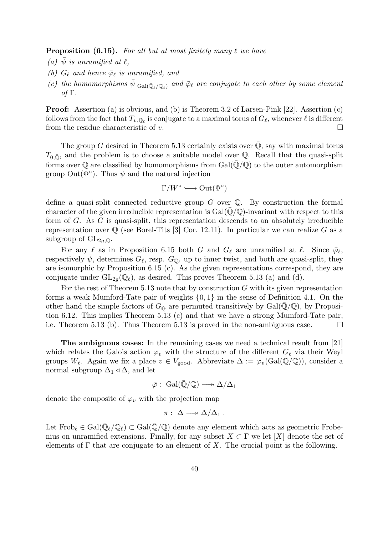**Proposition (6.15).** For all but at most finitely many  $\ell$  we have

- (a)  $\bar{\psi}$  is unramified at  $\ell$ .
- (b)  $G_{\ell}$  and hence  $\bar{\varphi}_{\ell}$  is unramified, and
- (c) the homomorphisms  $\bar{\psi}|_{Gal(\bar{\mathbb{Q}}_{\ell}/\mathbb{Q}_{\ell})}$  and  $\bar{\varphi}_{\ell}$  are conjugate to each other by some element of Γ.

Proof: Assertion (a) is obvious, and (b) is Theorem 3.2 of Larsen-Pink [22]. Assertion (c) follows from the fact that  $T_{v,\mathbb{Q}_\ell}$  is conjugate to a maximal torus of  $G_\ell,$  whenever  $\ell$  is different from the residue characteristic of v.  $\Box$ 

The group G desired in Theorem 5.13 certainly exists over  $\overline{Q}$ , say with maximal torus  $T_{0,\bar{0}}$ , and the problem is to choose a suitable model over Q. Recall that the quasi-split forms over  $\mathbb Q$  are classified by homomorphisms from Gal( $\overline{\mathbb Q}/\mathbb Q$ ) to the outer automorphism group Out $(\Phi^{\circ})$ . Thus  $\bar{\psi}$  and the natural injection

$$
\Gamma/W^{\circ} \longrightarrow \mathrm{Out}(\Phi^{\circ})
$$

define a quasi-split connected reductive group  $G$  over  $\mathbb Q$ . By construction the formal character of the given irreducible representation is  $Gal(\overline{Q}/\mathbb{Q})$ -invariant with respect to this form of  $G$ . As  $G$  is quasi-split, this representation descends to an absolutely irreducible representation over  $\mathbb{Q}$  (see Borel-Tits [3] Cor. 12.11). In particular we can realize G as a subgroup of  $GL_{2q,\mathbb{Q}}$ .

For any  $\ell$  as in Proposition 6.15 both G and  $G_{\ell}$  are unramified at  $\ell$ . Since  $\bar{\varphi}_{\ell}$ , respectively  $\psi$ , determines  $G_{\ell}$ , resp.  $G_{\mathbb{Q}_{\ell}}$  up to inner twist, and both are quasi-split, they are isomorphic by Proposition 6.15 (c). As the given representations correspond, they are conjugate under  $GL_{2q}(\mathbb{Q}_\ell)$ , as desired. This proves Theorem 5.13 (a) and (d).

For the rest of Theorem 5.13 note that by construction  $G$  with its given representation forms a weak Mumford-Tate pair of weights  $\{0, 1\}$  in the sense of Definition 4.1. On the other hand the simple factors of  $G_{\overline{Q}}$  are permuted transitively by Gal( $\mathbb{Q}/\mathbb{Q}$ ), by Proposition 6.12. This implies Theorem 5.13 (c) and that we have a strong Mumford-Tate pair, i.e. Theorem 5.13 (b). Thus Theorem 5.13 is proved in the non-ambiguous case.  $\Box$ 

The ambiguous cases: In the remaining cases we need a technical result from [21] which relates the Galois action  $\varphi_v$  with the structure of the different  $G_\ell$  via their Weyl groups  $W_{\ell}$ . Again we fix a place  $v \in V_{\text{good}}$ . Abbreviate  $\Delta := \varphi_v(\text{Gal}(\mathbb{Q}/\mathbb{Q}))$ , consider a normal subgroup  $\Delta_1 \triangleleft \Delta$ , and let

$$
\bar{\varphi}:\ \mathrm{Gal}(\bar{\mathbb{Q}}/\mathbb{Q})\longrightarrow \Delta/\Delta_1
$$

denote the composite of  $\varphi_v$  with the projection map

$$
\pi: \ \Delta \longrightarrow \Delta/\Delta_1 \ .
$$

Let  $Frob_{\ell} \in Gal(\bar{\mathbb{Q}}_{\ell}/\mathbb{Q}_{\ell}) \subset Gal(\bar{\mathbb{Q}}/\mathbb{Q})$  denote any element which acts as geometric Frobenius on unramified extensions. Finally, for any subset  $X \subset \Gamma$  we let [X] denote the set of elements of  $\Gamma$  that are conjugate to an element of X. The crucial point is the following.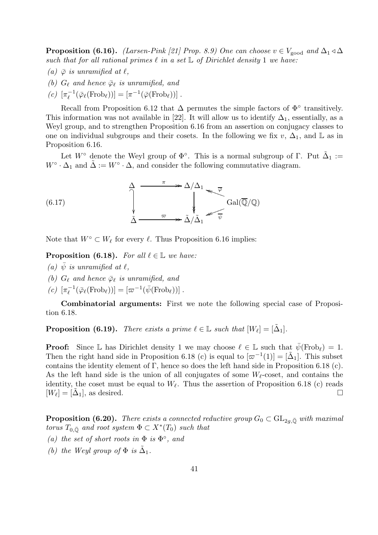**Proposition (6.16).** (Larsen-Pink [21] Prop. 8.9) One can choose  $v \in V_{\text{good}}$  and  $\Delta_1 \triangleleft \Delta$ such that for all rational primes  $\ell$  in a set  $\mathbb L$  of Dirichlet density 1 we have:

- (a)  $\bar{\varphi}$  is unramified at  $\ell$ ,
- (b)  $G_{\ell}$  and hence  $\bar{\varphi}_{\ell}$  is unramified, and
- (c)  $[\pi_{\ell}^{-1}]$  $[\overline{\varphi}_{\ell}(\mathrm{Frob}_{\ell}))] = [\pi^{-1}(\overline{\varphi}(\mathrm{Frob}_{\ell}))].$

Recall from Proposition 6.12 that  $\Delta$  permutes the simple factors of  $\Phi^{\circ}$  transitively. This information was not available in [22]. It will allow us to identify  $\Delta_1$ , essentially, as a Weyl group, and to strengthen Proposition 6.16 from an assertion on conjugacy classes to one on individual subgroups and their cosets. In the following we fix v,  $\Delta_1$ , and L as in Proposition 6.16.

Let  $W^{\circ}$  denote the Weyl group of  $\Phi^{\circ}$ . This is a normal subgroup of  $\Gamma$ . Put  $\tilde{\Delta}_1 :=$  $W^{\circ} \cdot \Delta_1$  and  $\tilde{\Delta} := W^{\circ} \cdot \Delta$ , and consider the following commutative diagram.

(6.17) 
$$
\Delta \longrightarrow \Delta/\Delta_1 \longrightarrow \sqrt{\varphi}
$$
\n
$$
\Delta \longrightarrow \Delta/\Delta_1 \longrightarrow \sqrt{\varphi}
$$
\n
$$
Gal(\overline{\mathbb{Q}}/\mathbb{Q})
$$

Note that  $W^{\circ} \subset W_{\ell}$  for every  $\ell$ . Thus Proposition 6.16 implies:

**Proposition (6.18).** For all  $\ell \in \mathbb{L}$  we have:

- (a)  $\bar{\psi}$  is unramified at  $\ell$ ,
- (b)  $G_\ell$  and hence  $\bar{\varphi}_\ell$  is unramified, and
- (c)  $[\pi_{\ell}^{-1}]$  $\overline{\psi}_{\ell}^{-1}(\overline{\varphi}_{\ell}(\text{Frob}_{\ell}))] = [\varpi^{-1}(\overline{\psi}(\text{Frob}_{\ell}))].$

Combinatorial arguments: First we note the following special case of Proposition 6.18.

**Proposition (6.19).** There exists a prime  $\ell \in \mathbb{L}$  such that  $[W_{\ell}] = [\tilde{\Delta}_1].$ 

**Proof:** Since L has Dirichlet density 1 we may choose  $\ell \in \mathbb{L}$  such that  $\bar{\psi}(\text{Frob}_{\ell}) = 1$ . Then the right hand side in Proposition 6.18 (c) is equal to  $[\varpi^{-1}(1)] = [\tilde{\Delta}_1]$ . This subset contains the identity element of Γ, hence so does the left hand side in Proposition 6.18 (c). As the left hand side is the union of all conjugates of some  $W_{\ell}$ -coset, and contains the identity, the coset must be equal to  $W_{\ell}$ . Thus the assertion of Proposition 6.18 (c) reads  $[W_{\ell}] = [\tilde{\Delta}_1]$ , as desired.

**Proposition (6.20).** There exists a connected reductive group  $G_0 \subset GL_{2q,\bar{\mathbb{Q}}}$  with maximal torus  $T_{0,\bar{\mathbb{Q}}}$  and root system  $\Phi \subset X^*(T_0)$  such that

- (a) the set of short roots in  $\Phi$  is  $\Phi^{\circ}$ , and
- (b) the Weyl group of  $\Phi$  is  $\tilde{\Delta}_1$ .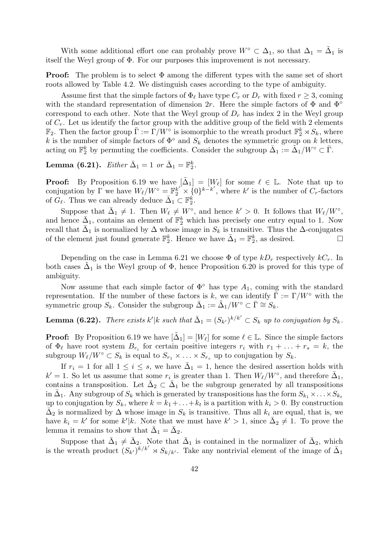With some additional effort one can probably prove  $W^{\circ} \subset \Delta_1$ , so that  $\Delta_1 = \tilde{\Delta}_1$  is itself the Weyl group of Φ. For our purposes this improvement is not necessary.

**Proof:** The problem is to select  $\Phi$  among the different types with the same set of short roots allowed by Table 4.2. We distinguish cases according to the type of ambiguity.

Assume first that the simple factors of  $\Phi_\ell$  have type  $C_r$  or  $D_r$  with fixed  $r \geq 3$ , coming with the standard representation of dimension 2r. Here the simple factors of  $\Phi$  and  $\Phi^{\circ}$ correspond to each other. Note that the Weyl group of  $D<sub>r</sub>$  has index 2 in the Weyl group of  $C_r$ . Let us identify the factor group with the additive group of the field with 2 elements  $\mathbb{F}_2$ . Then the factor group  $\bar{\Gamma} := \Gamma/W^{\circ}$  is isomorphic to the wreath product  $\mathbb{F}_2^k \rtimes S_k$ , where k is the number of simple factors of  $\Phi^{\circ}$  and  $S_k$  denotes the symmetric group on k letters, acting on  $\mathbb{F}_2^k$  by permuting the coefficients. Consider the subgroup  $\bar{\Delta}_1 := \tilde{\Delta}_1/W^{\circ} \subset \bar{\Gamma}$ .

Lemma (6.21). Either  $\bar{\Delta}_1 = 1$  or  $\bar{\Delta}_1 = \mathbb{F}_2^k$ .

**Proof:** By Proposition 6.19 we have  $[\tilde{\Delta}_1] = [W_\ell]$  for some  $\ell \in \mathbb{L}$ . Note that up to conjugation by  $\Gamma$  we have  $W_{\ell}/W^{\circ} = \mathbb{F}_2^{k'} \times \{0\}^{k-k'}$ , where k' is the number of  $C_r$ -factors of  $G_{\ell}$ . Thus we can already deduce  $\bar{\Delta}_1 \subset \mathbb{F}_2^k$ .

Suppose that  $\bar{\Delta}_1 \neq 1$ . Then  $W_{\ell} \neq W^{\circ}$ , and hence  $k' > 0$ . It follows that  $W_{\ell}/W^{\circ}$ , and hence  $\bar{\Delta}_1$ , contains an element of  $\mathbb{F}_2^k$  which has precisely one entry equal to 1. Now recall that  $\bar{\Delta}_1$  is normalized by  $\Delta$  whose image in  $S_k$  is transitive. Thus the  $\Delta$ -conjugates of the element just found generate  $\mathbb{F}_2^k$ . Hence we have  $\bar{\Delta}_1 = \mathbb{F}_2^k$ , as desired.

Depending on the case in Lemma 6.21 we choose  $\Phi$  of type  $kD_r$  respectively  $kC_r$ . In both cases  $\tilde{\Delta}_1$  is the Weyl group of  $\Phi$ , hence Proposition 6.20 is proved for this type of ambiguity.

Now assume that each simple factor of  $\Phi^{\circ}$  has type  $A_1$ , coming with the standard representation. If the number of these factors is k, we can identify  $\bar{\Gamma} := \Gamma/W^{\circ}$  with the symmetric group  $S_k$ . Consider the subgroup  $\bar{\Delta}_1 := \tilde{\Delta}_1/W^{\circ} \subset \bar{\Gamma} \cong S_k$ .

**Lemma (6.22).** There exists  $k'|k$  such that  $\bar{\Delta}_1 = (S_{k'})^{k/k'} \subset S_k$  up to conjugation by  $S_k$ .

**Proof:** By Proposition 6.19 we have  $[\tilde{\Delta}_1] = [W_\ell]$  for some  $\ell \in \mathbb{L}$ . Since the simple factors of  $\Phi_\ell$  have root system  $B_{r_i}$  for certain positive integers  $r_i$  with  $r_1 + \ldots + r_s = k$ , the subgroup  $W_{\ell}/W^{\circ} \subset S_k$  is equal to  $S_{r_1} \times \ldots \times S_{r_s}$  up to conjugation by  $S_k$ .

If  $r_i = 1$  for all  $1 \leq i \leq s$ , we have  $\bar{\Delta}_1 = 1$ , hence the desired assertion holds with  $k' = 1$ . So let us assume that some  $r_i$  is greater than 1. Then  $W_{\ell}/W^{\circ}$ , and therefore  $\bar{\Delta}_1$ , contains a transposition. Let  $\bar{\Delta}_2 \subset \bar{\Delta}_1$  be the subgroup generated by all transpositions in  $\bar{\Delta}_1$ . Any subgroup of  $S_k$  which is generated by transpositions has the form  $S_{k_1} \times \ldots \times S_{k_t}$ up to conjugation by  $S_k$ , where  $k = k_1 + \ldots + k_t$  is a partition with  $k_i > 0$ . By construction  $\bar{\Delta}_2$  is normalized by  $\Delta$  whose image in  $S_k$  is transitive. Thus all  $k_i$  are equal, that is, we have  $k_i = k'$  for some  $k'|k$ . Note that we must have  $k' > 1$ , since  $\bar{\Delta}_2 \neq 1$ . To prove the lemma it remains to show that  $\bar{\Delta}_1 = \bar{\Delta}_2$ .

Suppose that  $\bar{\Delta}_1 \neq \bar{\Delta}_2$ . Note that  $\bar{\Delta}_1$  is contained in the normalizer of  $\bar{\Delta}_2$ , which is the wreath product  $(S_{k'})^{k/k'} \rtimes S_{k/k'}$ . Take any nontrivial element of the image of  $\bar{\Delta}_1$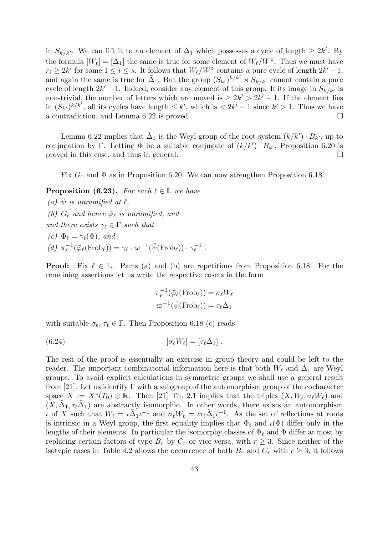in  $S_{k/k'}$ . We can lift it to an element of  $\bar{\Delta}_1$  which possesses a cycle of length  $\geq 2k'$ . By the formula  $[W_\ell] = [\tilde{\Delta}_1]$  the same is true for some element of  $W_\ell/W^\circ$ . Thus we must have  $r_i \geq 2k'$  for some  $1 \leq i \leq s$ . It follows that  $W_{\ell}/W^{\circ}$  contains a pure cycle of length  $2k'-1$ , and again the same is true for  $\bar{\Delta}_1$ . But the group  $(S_{k'})^{k/k'} \rtimes S_{k/k'}$  cannot contain a pure cycle of length  $2k' - 1$ . Indeed, consider any element of this group. If its image in  $S_{k/k'}$  is non-trivial, the number of letters which are moved is  $\geq 2k' > 2k' - 1$ . If the element lies in  $(S_{k'})^{k/k'}$ , all its cycles have length  $\leq k'$ , which is  $\leq 2k'-1$  since  $k' > 1$ . Thus we have a contradiction, and Lemma 6.22 is proved.

Lemma 6.22 implies that  $\tilde{\Delta}_1$  is the Weyl group of the root system  $(k/k') \cdot B_{k'}$ , up to conjugation by Γ. Letting  $\Phi$  be a suitable conjugate of  $(k/k') \cdot B_{k'}$ , Proposition 6.20 is proved in this case, and thus in general.

Fix  $G_0$  and  $\Phi$  as in Proposition 6.20. We can now strengthen Proposition 6.18.

**Proposition (6.23).** For each  $\ell \in \mathbb{L}$  we have

(a)  $\psi$  is unramified at  $\ell$ , (b)  $G_{\ell}$  and hence  $\bar{\varphi}_{\ell}$  is unramified, and and there exists  $\gamma_{\ell} \in \Gamma$  such that (c)  $\Phi_{\ell} = \gamma_{\ell}(\Phi)$ , and (*d*)  $\pi_{\ell}^{-1}$  $\mathcal{L}_{\ell}^{-1}(\bar{\varphi}_{\ell}(\mathrm{Frob}_{\ell})) = \gamma_{\ell} \cdot \varpi^{-1}(\bar{\psi}(\mathrm{Frob}_{\ell})) \cdot \gamma_{\ell}^{-1}$  $\overline{\ell}^{\perp}$ .

**Proof:** Fix  $\ell \in \mathbb{L}$ . Parts (a) and (b) are repetitions from Proposition 6.18. For the remaining assertions let us write the respective cosets in the form

$$
\pi_{\ell}^{-1}(\bar{\varphi}_{\ell}(\text{Frob}_{\ell})) = \sigma_{\ell}W_{\ell}
$$

$$
\varpi^{-1}(\bar{\psi}(\text{Frob}_{\ell})) = \tau_{\ell}\tilde{\Delta}_1
$$

with suitable  $\sigma_{\ell}, \tau_{\ell} \in \Gamma$ . Then Proposition 6.18 (c) reads

(6.24) 
$$
[\sigma_{\ell}W_{\ell}]=[\tau_{\ell}\tilde{\Delta}_1].
$$

The rest of the proof is essentially an exercise in group theory and could be left to the reader. The important combinatorial information here is that both  $W_{\ell}$  and  $\tilde{\Delta}_1$  are Weyl groups. To avoid explicit calculations in symmetric groups we shall use a general result from [21]. Let us identify  $\Gamma$  with a subgroup of the automorphism group of the cocharacter space  $X := X^*(T_0) \otimes \mathbb{R}$ . Then [21] Th. 2.1 implies that the triples  $(X, W_\ell, \sigma_\ell W_\ell)$  and  $(X, \tilde{\Delta}_1, \tau_\ell \tilde{\Delta}_1)$  are abstractly isomorphic. In other words, there exists an automorphism ι of X such that  $W_{\ell} = \iota \tilde{\Delta}_1 \iota^{-1}$  and  $\sigma_{\ell} W_{\ell} = \iota \tau_{\ell} \tilde{\Delta}_1 \iota^{-1}$ . As the set of reflections at roots is intrinsic in a Weyl group, the first equality implies that  $\Phi_\ell$  and  $\iota(\Phi)$  differ only in the lengths of their elements. In particular the isomorphy classes of  $\Phi_\ell$  and  $\Phi$  differ at most by replacing certain factors of type  $B_r$  by  $C_r$  or vice versa, with  $r \geq 3$ . Since neither of the isotypic cases in Table 4.2 allows the occurrence of both  $B_r$  and  $C_r$  with  $r \geq 3$ , it follows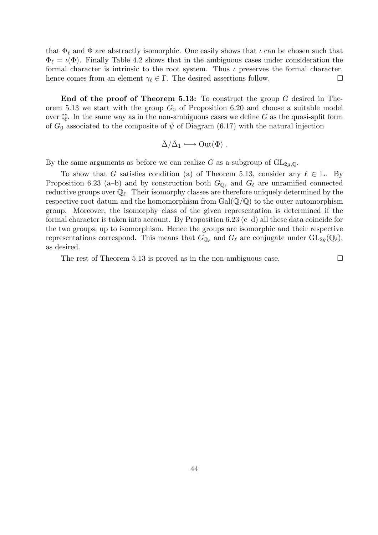that  $\Phi_{\ell}$  and  $\Phi$  are abstractly isomorphic. One easily shows that  $\iota$  can be chosen such that  $\Phi_{\ell} = \iota(\Phi)$ . Finally Table 4.2 shows that in the ambiguous cases under consideration the formal character is intrinsic to the root system. Thus  $\iota$  preserves the formal character, hence comes from an element  $\gamma_{\ell} \in \Gamma$ . The desired assertions follow.

End of the proof of Theorem 5.13: To construct the group G desired in Theorem 5.13 we start with the group  $G_0$  of Proposition 6.20 and choose a suitable model over  $\mathbb Q$ . In the same way as in the non-ambiguous cases we define G as the quasi-split form of  $G_0$  associated to the composite of  $\bar{\psi}$  of Diagram (6.17) with the natural injection

$$
\tilde{\Delta}/\tilde{\Delta}_1 \longrightarrow \mathrm{Out}(\Phi) .
$$

By the same arguments as before we can realize G as a subgroup of  $GL_{2q,\mathbb{Q}}$ .

To show that G satisfies condition (a) of Theorem 5.13, consider any  $\ell \in \mathbb{L}$ . By Proposition 6.23 (a-b) and by construction both  $G_{\mathbb{Q}_\ell}$  and  $G_\ell$  are unramified connected reductive groups over  $\mathbb{Q}_\ell$ . Their isomorphy classes are therefore uniquely determined by the respective root datum and the homomorphism from  $Gal(\mathbb{Q}/\mathbb{Q})$  to the outer automorphism group. Moreover, the isomorphy class of the given representation is determined if the formal character is taken into account. By Proposition  $6.23$  (c–d) all these data coincide for the two groups, up to isomorphism. Hence the groups are isomorphic and their respective representations correspond. This means that  $G_{\mathbb{Q}_\ell}$  and  $G_\ell$  are conjugate under  $GL_{2g}(\mathbb{Q}_\ell)$ , as desired.

The rest of Theorem 5.13 is proved as in the non-ambiguous case.  $\Box$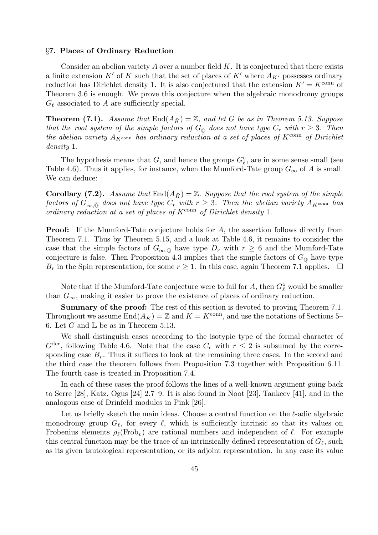### §7. Places of Ordinary Reduction

Consider an abelian variety  $A$  over a number field  $K$ . It is conjectured that there exists a finite extension K' of K such that the set of places of K' where  $A_{K'}$  possesses ordinary reduction has Dirichlet density 1. It is also conjectured that the extension  $K' = K^{\text{conn}}$  of Theorem 3.6 is enough. We prove this conjecture when the algebraic monodromy groups  $G_{\ell}$  associated to A are sufficiently special.

**Theorem (7.1).** Assume that  $\text{End}(A_{\bar{K}}) = \mathbb{Z}$ , and let G be as in Theorem 5.13. Suppose that the root system of the simple factors of  $G_{\overline{Q}}$  does not have type  $C_r$  with  $r \geq 3$ . Then the abelian variety  $A_{K^{\text{conn}}}$  has ordinary reduction at a set of places of  $K^{\text{conn}}$  of Dirichlet density 1.

The hypothesis means that G, and hence the groups  $G_{\ell}^{\circ}$ , are in some sense small (see Table 4.6). Thus it applies, for instance, when the Mumford-Tate group  $G_{\infty}$  of A is small. We can deduce:

**Corollary (7.2).** Assume that  $\text{End}(A_{\bar{K}}) = \mathbb{Z}$ . Suppose that the root system of the simple factors of  $G_{\infty,\bar{\mathbb{Q}}}$  does not have type  $C_r$  with  $r \geq 3$ . Then the abelian variety  $A_{K^{\text{conn}}}$  has ordinary reduction at a set of places of  $K^{\text{conn}}$  of Dirichlet density 1.

**Proof:** If the Mumford-Tate conjecture holds for A, the assertion follows directly from Theorem 7.1. Thus by Theorem 5.15, and a look at Table 4.6, it remains to consider the case that the simple factors of  $G_{\infty,\bar{\mathbb{Q}}}$  have type  $D_r$  with  $r \geq 6$  and the Mumford-Tate conjecture is false. Then Proposition 4.3 implies that the simple factors of  $G_{\overline{0}}$  have type  $B_r$  in the Spin representation, for some  $r \geq 1$ . In this case, again Theorem 7.1 applies.  $\Box$ 

Note that if the Mumford-Tate conjecture were to fail for  $A$ , then  $G^{\circ}_{\ell}$  would be smaller than  $G_{\infty}$ , making it easier to prove the existence of places of ordinary reduction.

Summary of the proof: The rest of this section is devoted to proving Theorem 7.1. Throughout we assume  $\text{End}(A_{\bar{K}}) = \mathbb{Z}$  and  $K = K^{\text{conn}}$ , and use the notations of Sections 5– 6. Let G and  $\mathbb L$  be as in Theorem 5.13.

We shall distinguish cases according to the isotypic type of the formal character of  $G^{\text{der}}$ , following Table 4.6. Note that the case  $C_r$  with  $r \leq 2$  is subsumed by the corresponding case  $B_r$ . Thus it suffices to look at the remaining three cases. In the second and the third case the theorem follows from Proposition 7.3 together with Proposition 6.11. The fourth case is treated in Proposition 7.4.

In each of these cases the proof follows the lines of a well-known argument going back to Serre [28], Katz, Ogus [24] 2.7–9. It is also found in Noot [23], Tankeev [41], and in the analogous case of Drinfeld modules in Pink [26].

Let us briefly sketch the main ideas. Choose a central function on the  $\ell$ -adic algebraic monodromy group  $G_\ell$ , for every  $\ell$ , which is sufficiently intrinsic so that its values on Frobenius elements  $\rho_{\ell}(\text{Frob}_{v})$  are rational numbers and independent of  $\ell$ . For example this central function may be the trace of an intrinsically defined representation of  $G_\ell$ , such as its given tautological representation, or its adjoint representation. In any case its value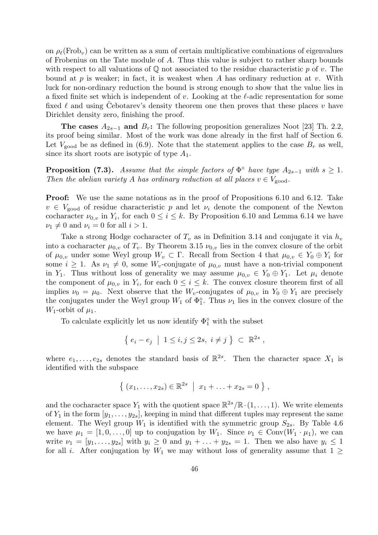on  $\rho_{\ell}(\text{Frob}_{v})$  can be written as a sum of certain multiplicative combinations of eigenvalues of Frobenius on the Tate module of A. Thus this value is subject to rather sharp bounds with respect to all valuations of  $\mathbb Q$  not associated to the residue characteristic p of v. The bound at  $p$  is weaker; in fact, it is weakest when  $A$  has ordinary reduction at  $v$ . With luck for non-ordinary reduction the bound is strong enough to show that the value lies in a fixed finite set which is independent of v. Looking at the  $\ell$ -adic representation for some fixed  $\ell$  and using Cebotarev's density theorem one then proves that these places  $v$  have Dirichlet density zero, finishing the proof.

The cases  $A_{2s-1}$  and  $B_r$ : The following proposition generalizes Noot [23] Th. 2.2, its proof being similar. Most of the work was done already in the first half of Section 6. Let  $V_{\text{good}}$  be as defined in (6.9). Note that the statement applies to the case  $B_r$  as well, since its short roots are isotypic of type  $A_1$ .

**Proposition (7.3).** Assume that the simple factors of  $\Phi^{\circ}$  have type  $A_{2s-1}$  with  $s \geq 1$ . Then the abelian variety A has ordinary reduction at all places  $v \in V_{\text{good}}$ .

Proof: We use the same notations as in the proof of Propositions 6.10 and 6.12. Take  $v \in V_{\text{good}}$  of residue characteristic p and let  $\nu_i$  denote the component of the Newton cocharacter  $\nu_{0,v}$  in  $Y_i$ , for each  $0 \leq i \leq k$ . By Proposition 6.10 and Lemma 6.14 we have  $\nu_1 \neq 0$  and  $\nu_i = 0$  for all  $i > 1$ .

Take a strong Hodge cocharacter of  $T_v$  as in Definition 3.14 and conjugate it via  $h_v$ into a cocharacter  $\mu_{0,v}$  of  $T_v$ . By Theorem 3.15  $\nu_{0,v}$  lies in the convex closure of the orbit of  $\mu_{0,v}$  under some Weyl group  $W_v \subset \Gamma$ . Recall from Section 4 that  $\mu_{0,v} \in Y_0 \oplus Y_i$  for some  $i \geq 1$ . As  $\nu_1 \neq 0$ , some  $W_{\nu}$ -conjugate of  $\mu_{0,\nu}$  must have a non-trivial component in Y<sub>1</sub>. Thus without loss of generality we may assume  $\mu_{0,v} \in Y_0 \oplus Y_1$ . Let  $\mu_i$  denote the component of  $\mu_{0,v}$  in  $Y_i$ , for each  $0 \leq i \leq k$ . The convex closure theorem first of all implies  $\nu_0 = \mu_0$ . Next observe that the  $W_v$ -conjugates of  $\mu_{0,v}$  in  $Y_0 \oplus Y_1$  are precisely the conjugates under the Weyl group  $W_1$  of  $\Phi_1^{\circ}$ . Thus  $\nu_1$  lies in the convex closure of the  $W_1$ -orbit of  $\mu_1$ .

To calculate explicitly let us now identify  $\Phi_1^{\circ}$  with the subset

$$
\{ e_i - e_j \mid 1 \leq i, j \leq 2s, i \neq j \} \subset \mathbb{R}^{2s},
$$

where  $e_1, \ldots, e_{2s}$  denotes the standard basis of  $\mathbb{R}^{2s}$ . Then the character space  $X_1$  is identified with the subspace

$$
\{ (x_1, \ldots, x_{2s}) \in \mathbb{R}^{2s} \mid x_1 + \ldots + x_{2s} = 0 \},
$$

and the cocharacter space  $Y_1$  with the quotient space  $\mathbb{R}^{2s}/\mathbb{R} \cdot (1,\ldots,1)$ . We write elements of  $Y_1$  in the form  $[y_1, \ldots, y_{2s}]$ , keeping in mind that different tuples may represent the same element. The Weyl group  $W_1$  is identified with the symmetric group  $S_{2s}$ . By Table 4.6 we have  $\mu_1 = [1, 0, \ldots, 0]$  up to conjugation by  $W_1$ . Since  $\nu_1 \in Conv(W_1 \cdot \mu_1)$ , we can write  $\nu_1 = [y_1, \ldots, y_{2s}]$  with  $y_i \geq 0$  and  $y_1 + \ldots + y_{2s} = 1$ . Then we also have  $y_i \leq 1$ for all i. After conjugation by  $W_1$  we may without loss of generality assume that  $1 \geq$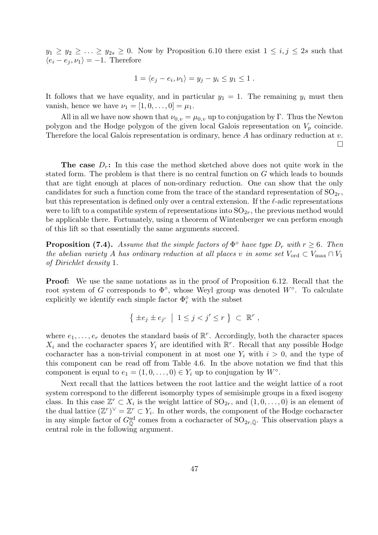$y_1 \ge y_2 \ge \ldots \ge y_{2s} \ge 0$ . Now by Proposition 6.10 there exist  $1 \le i, j \le 2s$  such that  $\langle e_i - e_j, \nu_1 \rangle = -1$ . Therefore

$$
1 = \langle e_j - e_i, \nu_1 \rangle = y_j - y_i \le y_1 \le 1.
$$

It follows that we have equality, and in particular  $y_1 = 1$ . The remaining  $y_i$  must then vanish, hence we have  $\nu_1 = [1, 0, ..., 0] = \mu_1$ .

All in all we have now shown that  $\nu_{0,v} = \mu_{0,v}$  up to conjugation by Γ. Thus the Newton polygon and the Hodge polygon of the given local Galois representation on  $V_p$  coincide. Therefore the local Galois representation is ordinary, hence A has ordinary reduction at v.  $\Box$ 

**The case**  $D_r$ : In this case the method sketched above does not quite work in the stated form. The problem is that there is no central function on G which leads to bounds that are tight enough at places of non-ordinary reduction. One can show that the only candidates for such a function come from the trace of the standard representation of  $SO_{2r}$ , but this representation is defined only over a central extension. If the  $\ell$ -adic representations were to lift to a compatible system of representations into  $SO_{2r}$ , the previous method would be applicable there. Fortunately, using a theorem of Wintenberger we can perform enough of this lift so that essentially the same arguments succeed.

**Proposition (7.4).** Assume that the simple factors of  $\Phi^{\circ}$  have type  $D_r$  with  $r \geq 6$ . Then the abelian variety A has ordinary reduction at all places v in some set  $V_{\text{ord}} \subset V_{\text{max}} \cap V_1$ of Dirichlet density 1.

Proof: We use the same notations as in the proof of Proposition 6.12. Recall that the root system of G corresponds to  $\Phi^{\circ}$ , whose Weyl group was denoted  $W^{\circ}$ . To calculate explicitly we identify each simple factor  $\Phi_i^{\circ}$  with the subset

$$
\left\{ \pm e_j \pm e_{j'} \middle| 1 \leq j < j' \leq r \right\} \subset \mathbb{R}^r ,
$$

where  $e_1, \ldots, e_r$  denotes the standard basis of  $\mathbb{R}^r$ . Accordingly, both the character spaces  $X_i$  and the cocharacter spaces  $Y_i$  are identified with  $\mathbb{R}^r$ . Recall that any possible Hodge cocharacter has a non-trivial component in at most one  $Y_i$  with  $i > 0$ , and the type of this component can be read off from Table 4.6. In the above notation we find that this component is equal to  $e_1 = (1, 0, \ldots, 0) \in Y_i$  up to conjugation by  $W^\circ$ .

Next recall that the lattices between the root lattice and the weight lattice of a root system correspond to the different isomorphy types of semisimple groups in a fixed isogeny class. In this case  $\mathbb{Z}^r \subset X_i$  is the weight lattice of  $SO_{2r}$ , and  $(1,0,\ldots,0)$  is an element of the dual lattice  $(\mathbb{Z}^r)^{\vee} = \mathbb{Z}^r \subset Y_i$ . In other words, the component of the Hodge cocharacter in any simple factor of  $G_{\overline{Q}}^{ad}$  comes from a cocharacter of  $SO_{2r,\overline{Q}}$ . This observation plays a central role in the following argument.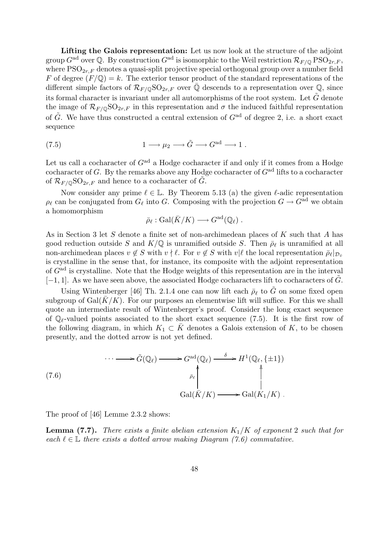Lifting the Galois representation: Let us now look at the structure of the adjoint group  $G^{\rm ad}$  over Q. By construction  $G^{\rm ad}$  is isomorphic to the Weil restriction  $\mathcal{R}_{F/\mathbb{Q}}$  PSO<sub>2r,F</sub>, where  $PSO_{2r,F}$  denotes a quasi-split projective special orthogonal group over a number field F of degree  $(F/\mathbb{Q}) = k$ . The exterior tensor product of the standard representations of the different simple factors of  $\mathcal{R}_{F/\mathbb{Q}}\text{SO}_{2r,F}$  over  $\mathbb{Q}$  descends to a representation over  $\mathbb{Q}$ , since its formal character is invariant under all automorphisms of the root system. Let  $\tilde{G}$  denote the image of  $\mathcal{R}_{F/\mathbb{Q}}\text{SO}_{2r,F}$  in this representation and  $\sigma$  the induced faithful representation of  $\tilde{G}$ . We have thus constructed a central extension of  $G^{ad}$  of degree 2, i.e. a short exact sequence

(7.5) 
$$
1 \longrightarrow \mu_2 \longrightarrow \tilde{G} \longrightarrow G^{\text{ad}} \longrightarrow 1.
$$

Let us call a cocharacter of  $G^{\text{ad}}$  a Hodge cocharacter if and only if it comes from a Hodge cocharacter of G. By the remarks above any Hodge cocharacter of  $G<sup>ad</sup>$  lifts to a cocharacter of  $\mathcal{R}_{F/\mathbb{Q}}\text{SO}_{2r,F}$  and hence to a cocharacter of G.

Now consider any prime  $\ell \in \mathbb{L}$ . By Theorem 5.13 (a) the given  $\ell$ -adic representation  $\rho_\ell$  can be conjugated from  $G_\ell$  into G. Composing with the projection  $G \to G^{\rm ad}$  we obtain a homomorphism

$$
\bar{\rho}_{\ell} : \text{Gal}(\bar{K}/K) \longrightarrow G^{\text{ad}}(\mathbb{Q}_{\ell}) .
$$

As in Section 3 let S denote a finite set of non-archimedean places of K such that A has good reduction outside S and  $K/\mathbb{Q}$  is unramified outside S. Then  $\bar{\rho}_{\ell}$  is unramified at all non-archimedean places  $v \notin S$  with  $v \nmid \ell$ . For  $v \notin S$  with  $v | \ell$  the local representation  $\bar{\rho}_{\ell}|_{\mathcal{D}_{\bar{v}}}$ is crystalline in the sense that, for instance, its composite with the adjoint representation of  $G<sup>ad</sup>$  is crystalline. Note that the Hodge weights of this representation are in the interval  $[-1, 1]$ . As we have seen above, the associated Hodge cocharacters lift to cocharacters of G.

Using Wintenberger [46] Th. 2.1.4 one can now lift each  $\bar{\rho}_{\ell}$  to  $\tilde{G}$  on some fixed open subgroup of  $Gal(K/K)$ . For our purposes an elementwise lift will suffice. For this we shall quote an intermediate result of Wintenberger's proof. Consider the long exact sequence of  $\mathbb{Q}_\ell$ -valued points associated to the short exact sequence (7.5). It is the first row of the following diagram, in which  $K_1 \subset \overline{K}$  denotes a Galois extension of K, to be chosen presently, and the dotted arrow is not yet defined.

(7.6)  
\n
$$
\cdots \longrightarrow \tilde{G}(\mathbb{Q}_{\ell}) \longrightarrow G^{\text{ad}}(\mathbb{Q}_{\ell}) \longrightarrow H^{1}(\mathbb{Q}_{\ell}, \{\pm 1\})
$$
\n
$$
\stackrel{\bar{\rho}_{\ell}}{\longrightarrow} \left\{ \begin{array}{c} \uparrow \\ \downarrow \\ \text{Gal}(\bar{K}/K) \longrightarrow \text{Gal}(K_{1}/K) \end{array} \right.
$$

The proof of [46] Lemme 2.3.2 shows:

**Lemma (7.7).** There exists a finite abelian extension  $K_1/K$  of exponent 2 such that for each  $\ell \in \mathbb{L}$  there exists a dotted arrow making Diagram (7.6) commutative.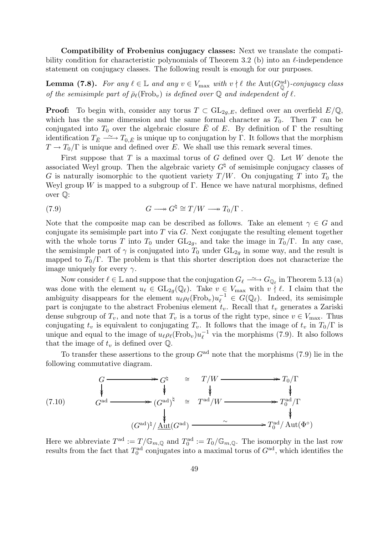Compatibility of Frobenius conjugacy classes: Next we translate the compatibility condition for characteristic polynomials of Theorem 3.2 (b) into an  $\ell$ -independence statement on conjugacy classes. The following result is enough for our purposes.

**Lemma (7.8).** For any  $\ell \in \mathbb{L}$  and any  $v \in V_{\text{max}}$  with  $v \nmid \ell$  the  $\text{Aut}(G_{\overline{\mathbb{Q}}}^{\text{ad}})$ -conjugacy class of the semisimple part of  $\bar{\rho}_{\ell}(\text{Frob}_v)$  is defined over  $\mathbb Q$  and independent of  $\ell$ .

**Proof:** To begin with, consider any torus  $T \subset GL_{2q,E}$ , defined over an overfield  $E/\mathbb{Q}$ , which has the same dimension and the same formal character as  $T_0$ . Then T can be conjugated into  $T_0$  over the algebraic closure  $\overline{E}$  of E. By definition of  $\Gamma$  the resulting identification  $T_{\bar{E}} \rightharpoonup T_{0,\bar{E}}$  is unique up to conjugation by Γ. It follows that the morphism  $T \rightarrow T_0/\Gamma$  is unique and defined over E. We shall use this remark several times.

First suppose that T is a maximal torus of G defined over  $\mathbb{Q}$ . Let W denote the associated Weyl group. Then the algebraic variety  $G^{\dagger}$  of semisimple conjugacy classes of G is naturally isomorphic to the quotient variety  $T/W$ . On conjugating T into  $T_0$  the Weyl group W is mapped to a subgroup of  $\Gamma$ . Hence we have natural morphisms, defined over Q:

(7.9) 
$$
G \longrightarrow G^{\dagger} \cong T/W \longrightarrow T_0/\Gamma.
$$

Note that the composite map can be described as follows. Take an element  $\gamma \in G$  and conjugate its semisimple part into  $T$  via  $G$ . Next conjugate the resulting element together with the whole torus T into  $T_0$  under  $GL_{2q}$ , and take the image in  $T_0/\Gamma$ . In any case, the semisimple part of  $\gamma$  is conjugated into  $T_0$  under  $GL_{2q}$  in some way, and the result is mapped to  $T_0/\Gamma$ . The problem is that this shorter description does not characterize the image uniquely for every  $\gamma$ .

Now consider  $\ell \in \mathbb{L}$  and suppose that the conjugation  $G_{\ell} \longrightarrow C_{\mathbb{Q}_{\ell}}$  in Theorem 5.13 (a) was done with the element  $u_\ell \in GL_{2q}(\mathbb{Q}_\ell)$ . Take  $v \in V_{\text{max}}$  with  $v \nmid \ell$ . I claim that the ambiguity disappears for the element  $u_\ell \rho_\ell(\text{Frob}_v) u_\ell^{-1} \in G(\mathbb{Q}_\ell)$ . Indeed, its semisimple part is conjugate to the abstract Frobenius element  $t_v$ . Recall that  $t_v$  generates a Zariski dense subgroup of  $T_v$ , and note that  $T_v$  is a torus of the right type, since  $v \in V_{\text{max}}$ . Thus conjugating  $t_v$  is equivalent to conjugating  $T_v$ . It follows that the image of  $t_v$  in  $T_0/\Gamma$  is unique and equal to the image of  $u_\ell \rho_\ell(\text{Frob}_v)u_\ell^{-1}$  $\overline{\ell}$ <sup>1</sup> via the morphisms (7.9). It also follows that the image of  $t_v$  is defined over  $\mathbb{Q}$ .

To transfer these assertions to the group  $G<sup>ad</sup>$  note that the morphisms (7.9) lie in the following commutative diagram.

(7.10)  
\n
$$
G \longrightarrow G^{\natural} \cong T/W \longrightarrow T_0/\Gamma
$$
\n
$$
\downarrow \qquad \qquad \downarrow \qquad \qquad \downarrow
$$
\n
$$
(G^{\text{ad}})^\natural \cong T^{\text{ad}}/W \longrightarrow T_0^{\text{ad}}/\Gamma
$$
\n
$$
(G^{\text{ad}})^\natural / \underline{\text{Aut}}(G^{\text{ad}}) \longrightarrow \gamma \longrightarrow T_0^{\text{ad}} / \text{Aut}(\Phi^\circ)
$$

Here we abbreviate  $T^{\text{ad}} := T/\mathbb{G}_{m,\mathbb{Q}}$  and  $T_0^{\text{ad}} := T_0/\mathbb{G}_{m,\mathbb{Q}}$ . The isomorphy in the last row results from the fact that  $T_0^{\text{ad}}$  conjugates into a maximal torus of  $G^{\text{ad}}$ , which identifies the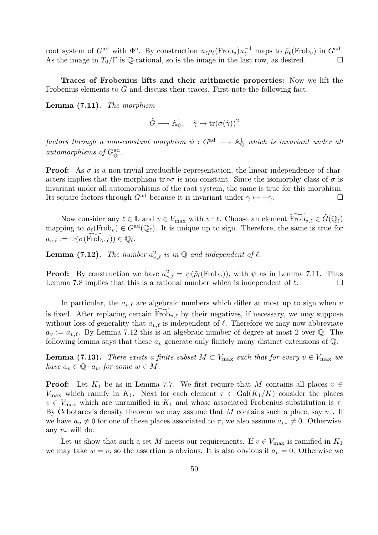root system of  $G^{\text{ad}}$  with  $\Phi^{\circ}$ . By construction  $u_{\ell} \rho_{\ell}(\text{Frob}_v) u_{\ell}^{-1}$  maps to  $\bar{\rho}_{\ell}(\text{Frob}_v)$  in  $G^{\text{ad}}$ . As the image in  $T_0/\Gamma$  is Q-rational, so is the image in the last row, as desired.

Traces of Frobenius lifts and their arithmetic properties: Now we lift the Frobenius elements to  $\tilde{G}$  and discuss their traces. First note the following fact.

Lemma (7.11). The morphism

$$
\tilde{G} \longrightarrow \mathbb{A}_{\mathbb{Q}}^1, \quad \tilde{\gamma} \mapsto \text{tr}(\sigma(\tilde{\gamma}))^2
$$

 $factors\ \ through\ \ a\ \ non-constant\ \ morphism\ \psi\, :\, G^{\rm ad}\,\longrightarrow\ {\mathbb A}^1_{\mathbb Q}\ \ which\ \ is\ invariant\ under\ all\$ automorphisms of  $G_{\overline{\mathbb{Q}}}^{\text{ad}}$ .

**Proof:** As  $\sigma$  is a non-trivial irreducible representation, the linear independence of characters implies that the morphism  $\text{tr} \circ \sigma$  is non-constant. Since the isomorphy class of  $\sigma$  is invariant under all automorphisms of the root system, the same is true for this morphism. Its square factors through  $G^{\text{ad}}$  because it is invariant under  $\tilde{\gamma} \mapsto -\tilde{\gamma}$ .

Now consider any  $\ell \in \mathbb{L}$  and  $v \in V_{\text{max}}$  with  $v \nmid \ell$ . Choose an element  $\widetilde{\text{Frob}}_{v,\ell} \in \widetilde{G}(\overline{\mathbb{Q}}_{\ell})$ mapping to  $\bar{\rho}_{\ell}(\text{Frob}_{v}) \in G^{ad}(\mathbb{Q}_{\ell}).$  It is unique up to sign. Therefore, the same is true for  $a_{v,\ell} := \mathrm{tr}(\sigma(\widetilde{\mathrm{Frob}}_{v,\ell})) \in \bar{\mathbb Q}_\ell.$ 

**Lemma (7.12).** The number  $a_{v,\ell}^2$  is in  $\mathbb{Q}$  and independent of  $\ell$ .

**Proof:** By construction we have  $a_{v,\ell}^2 = \psi(\bar{\rho}_{\ell}(\text{Frob}_v))$ , with  $\psi$  as in Lemma 7.11. Thus Lemma 7.8 implies that this is a rational number which is independent of  $\ell$ .

In particular, the  $a_{v,\ell}$  are algebraic numbers which differ at most up to sign when v is fixed. After replacing certain  $\overline{\text{Frob}}_{v,\ell}$  by their negatives, if necessary, we may suppose without loss of generality that  $a_{v,\ell}$  is independent of  $\ell$ . Therefore we may now abbreviate  $a_v := a_{v,\ell}$ . By Lemma 7.12 this is an algebraic number of degree at most 2 over Q. The following lemma says that these  $a_v$  generate only finitely many distinct extensions of  $\mathbb{Q}$ .

**Lemma (7.13).** There exists a finite subset  $M \subset V_{\text{max}}$  such that for every  $v \in V_{\text{max}}$  we have  $a_v \in \mathbb{Q} \cdot a_w$  for some  $w \in M$ .

**Proof:** Let  $K_1$  be as in Lemma 7.7. We first require that M contains all places  $v \in$  $V_{\text{max}}$  which ramify in  $K_1$ . Next for each element  $\tau \in \text{Gal}(K_1/K)$  consider the places  $v \in V_{\text{max}}$  which are unramified in  $K_1$  and whose associated Frobenius substitution is  $\tau$ . By Cebotarev's density theorem we may assume that M contains such a place, say  $v_{\tau}$ . If we have  $a_v \neq 0$  for one of these places associated to  $\tau$ , we also assume  $a_{v_{\tau}} \neq 0$ . Otherwise, any  $v_{\tau}$  will do.

Let us show that such a set M meets our requirements. If  $v \in V_{\text{max}}$  is ramified in  $K_1$ we may take  $w = v$ , so the assertion is obvious. It is also obvious if  $a_v = 0$ . Otherwise we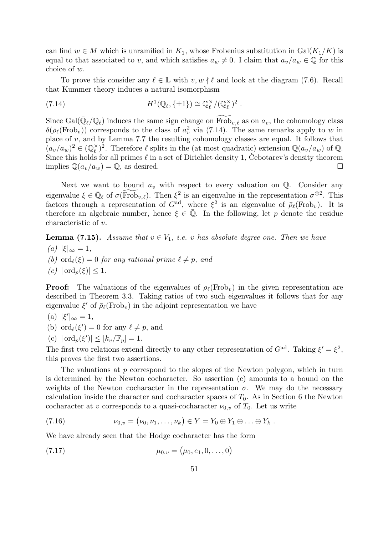can find  $w \in M$  which is unramified in  $K_1$ , whose Frobenius substitution in Gal $(K_1/K)$  is equal to that associated to v, and which satisfies  $a_w \neq 0$ . I claim that  $a_v/a_w \in \mathbb{Q}$  for this choice of w.

To prove this consider any  $\ell \in \mathbb{L}$  with  $v, w \nmid \ell$  and look at the diagram (7.6). Recall that Kummer theory induces a natural isomorphism

(7.14) 
$$
H^1(\mathbb{Q}_{\ell}, \{\pm 1\}) \cong \mathbb{Q}_{\ell}^{\times}/(\mathbb{Q}_{\ell}^{\times})^2.
$$

Since Gal $(\bar{\mathbb{Q}}_{\ell}/\mathbb{Q}_{\ell})$  induces the same sign change on  $\widetilde{\text{Frob}}_{v,\ell}$  as on  $a_v$ , the cohomology class  $\delta(\bar{\rho}_{\ell}(\text{Frob}_{v}))$  corresponds to the class of  $a_v^2$  via (7.14). The same remarks apply to w in place of v, and by Lemma 7.7 the resulting cohomology classes are equal. It follows that  $(a_v/a_w)^2 \in (\mathbb{Q}_\ell^\times)$  $(\ell)$ <sup> $\times$ </sup>)<sup>2</sup>. Therefore  $\ell$  splits in the (at most quadratic) extension  $\mathbb{Q}(a_v/a_w)$  of  $\mathbb{Q}$ . Since this holds for all primes  $\ell$  in a set of Dirichlet density 1, Cebotarev's density theorem implies  $\mathbb{Q}(a_v/a_w) = \mathbb{Q}$ , as desired.

Next we want to bound  $a_v$  with respect to every valuation on  $\mathbb{Q}$ . Consider any eigenvalue  $\xi \in \bar{\mathbb{Q}}_{\ell}$  of  $\sigma(\widetilde{Frob}_{v,\ell})$ . Then  $\xi^2$  is an eigenvalue in the representation  $\sigma^{\otimes 2}$ . This factors through a representation of  $G^{ad}$ , where  $\xi^2$  is an eigenvalue of  $\bar{\rho}_{\ell}(\text{Frob}_{v})$ . It is therefore an algebraic number, hence  $\xi \in \overline{Q}$ . In the following, let p denote the residue characteristic of v.

**Lemma (7.15).** Assume that  $v \in V_1$ , i.e. v has absolute degree one. Then we have  $(a)$   $|\xi|_{\infty} = 1,$ (b) ord $\ell(\xi) = 0$  for any rational prime  $\ell \neq p$ , and  $(c)$  | ord<sub>n</sub> $(\xi)$ | < 1.

**Proof:** The valuations of the eigenvalues of  $\rho_{\ell}(\text{Frob}_{v})$  in the given representation are described in Theorem 3.3. Taking ratios of two such eigenvalues it follows that for any eigenvalue  $\xi'$  of  $\bar{\rho}_{\ell}(\text{Frob}_{v})$  in the adjoint representation we have

(a) 
$$
|\xi'|_{\infty} = 1
$$
,

- (b)  $\text{ord}_{\ell}(\xi') = 0$  for any  $\ell \neq p$ , and
- (c)  $|\operatorname{ord}_p(\xi')| \leq [k_v/\mathbb{F}_p] = 1.$

The first two relations extend directly to any other representation of  $G^{ad}$ . Taking  $\xi' = \xi^2$ , this proves the first two assertions.

The valuations at  $p$  correspond to the slopes of the Newton polygon, which in turn is determined by the Newton cocharacter. So assertion (c) amounts to a bound on the weights of the Newton cocharacter in the representation  $\sigma$ . We may do the necessary calculation inside the character and cocharacter spaces of  $T_0$ . As in Section 6 the Newton cocharacter at v corresponds to a quasi-cocharacter  $\nu_{0,v}$  of  $T_0$ . Let us write

(7.16) 
$$
\nu_{0,v} = (\nu_0, \nu_1, \dots, \nu_k) \in Y = Y_0 \oplus Y_1 \oplus \dots \oplus Y_k.
$$

We have already seen that the Hodge cocharacter has the form

(7.17) 
$$
\mu_{0,v} = (\mu_0, e_1, 0, \dots, 0)
$$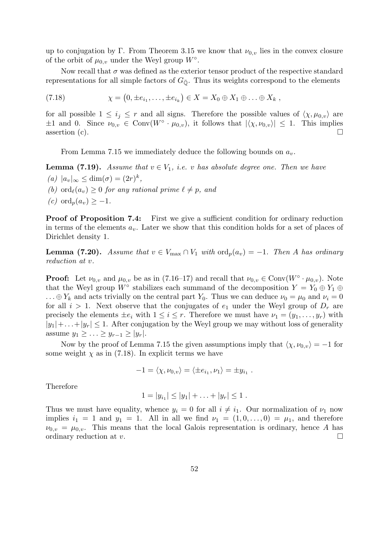up to conjugation by Γ. From Theorem 3.15 we know that  $\nu_{0,v}$  lies in the convex closure of the orbit of  $\mu_{0,v}$  under the Weyl group  $W^{\circ}$ .

Now recall that  $\sigma$  was defined as the exterior tensor product of the respective standard representations for all simple factors of  $G_{\overline{Q}}$ . Thus its weights correspond to the elements

(7.18) 
$$
\chi = (0, \pm e_{i_1}, \dots, \pm e_{i_k}) \in X = X_0 \oplus X_1 \oplus \dots \oplus X_k,
$$

for all possible  $1 \leq i_j \leq r$  and all signs. Therefore the possible values of  $\langle \chi, \mu_{0,v} \rangle$  are  $\pm 1$  and 0. Since  $\nu_{0,v} \in \text{Conv}(W^{\circ} \cdot \mu_{0,v}),$  it follows that  $|\langle \chi, \nu_{0,v} \rangle| \leq 1$ . This implies assertion (c).  $\Box$ 

From Lemma 7.15 we immediately deduce the following bounds on  $a_v$ .

**Lemma (7.19).** Assume that  $v \in V_1$ , i.e. v has absolute degree one. Then we have (a)  $|a_v|_{\infty} \leq \dim(\sigma) = (2r)^k$ , (b) ord $_{\ell}(a_v) \geq 0$  for any rational prime  $\ell \neq p$ , and  $(c)$  ord<sub>p</sub> $(a_v) > -1$ .

**Proof of Proposition 7.4:** First we give a sufficient condition for ordinary reduction in terms of the elements  $a_v$ . Later we show that this condition holds for a set of places of Dirichlet density 1.

**Lemma (7.20).** Assume that  $v \in V_{\text{max}} \cap V_1$  with  $\text{ord}_p(a_v) = -1$ . Then A has ordinary reduction at v.

**Proof:** Let  $\nu_{0,v}$  and  $\mu_{0,v}$  be as in (7.16–17) and recall that  $\nu_{0,v} \in Conv(W^{\circ} \cdot \mu_{0,v})$ . Note that the Weyl group  $W^{\circ}$  stabilizes each summand of the decomposition  $Y = Y_0 \oplus Y_1 \oplus Y_2$  $\ldots \oplus Y_k$  and acts trivially on the central part  $Y_0$ . Thus we can deduce  $\nu_0 = \mu_0$  and  $\nu_i = 0$ for all  $i > 1$ . Next observe that the conjugates of  $e_1$  under the Weyl group of  $D_r$  are precisely the elements  $\pm e_i$  with  $1 \leq i \leq r$ . Therefore we must have  $\nu_1 = (y_1, \ldots, y_r)$  with  $|y_1|+\ldots+|y_r| \leq 1$ . After conjugation by the Weyl group we may without loss of generality assume  $y_1 \geq \ldots \geq y_{r-1} \geq |y_r|$ .

Now by the proof of Lemma 7.15 the given assumptions imply that  $\langle \chi, \nu_{0,v} \rangle = -1$  for some weight  $\chi$  as in (7.18). In explicit terms we have

$$
-1 = \langle \chi, \nu_{0,v} \rangle = \langle \pm e_{i_1}, \nu_1 \rangle = \pm y_{i_1} .
$$

Therefore

$$
1 = |y_{i_1}| \le |y_1| + \ldots + |y_r| \le 1.
$$

Thus we must have equality, whence  $y_i = 0$  for all  $i \neq i_1$ . Our normalization of  $\nu_1$  now implies  $i_1 = 1$  and  $y_1 = 1$ . All in all we find  $\nu_1 = (1, 0, \ldots, 0) = \mu_1$ , and therefore  $\nu_{0,v} = \mu_{0,v}$ . This means that the local Galois representation is ordinary, hence A has ordinary reduction at v.  $\Box$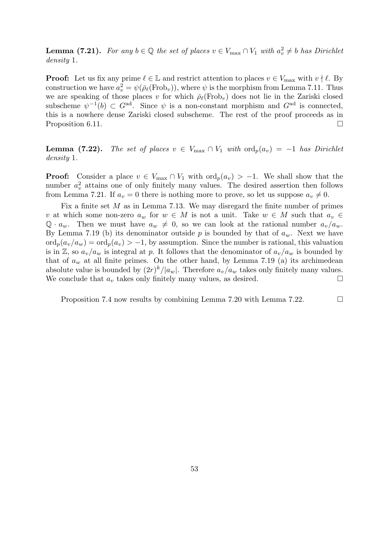**Lemma (7.21).** For any  $b \in \mathbb{Q}$  the set of places  $v \in V_{\text{max}} \cap V_1$  with  $a_v^2 \neq b$  has Dirichlet density 1.

**Proof:** Let us fix any prime  $\ell \in \mathbb{L}$  and restrict attention to places  $v \in V_{\text{max}}$  with  $v \nmid \ell$ . By construction we have  $a_v^2 = \psi(\bar{\rho}_{\ell}(\text{Frob}_v))$ , where  $\psi$  is the morphism from Lemma 7.11. Thus we are speaking of those places v for which  $\bar{\rho}_{\ell}(\text{Frob}_{v})$  does not lie in the Zariski closed subscheme  $\psi^{-1}(b) \subset G^{ad}$ . Since  $\psi$  is a non-constant morphism and  $G^{ad}$  is connected, this is a nowhere dense Zariski closed subscheme. The rest of the proof proceeds as in Proposition 6.11.

**Lemma (7.22).** The set of places  $v \in V_{\text{max}} \cap V_1$  with  $\text{ord}_p(a_v) = -1$  has Dirichlet density 1.

**Proof:** Consider a place  $v \in V_{\text{max}} \cap V_1$  with  $\text{ord}_p(a_v) > -1$ . We shall show that the number  $a_v^2$  attains one of only finitely many values. The desired assertion then follows from Lemma 7.21. If  $a_v = 0$  there is nothing more to prove, so let us suppose  $a_v \neq 0$ .

Fix a finite set  $M$  as in Lemma 7.13. We may disregard the finite number of primes v at which some non-zero  $a_w$  for  $w \in M$  is not a unit. Take  $w \in M$  such that  $a_v \in$  $\mathbb{Q} \cdot a_w$ . Then we must have  $a_w \neq 0$ , so we can look at the rational number  $a_v/a_w$ . By Lemma 7.19 (b) its denominator outside  $p$  is bounded by that of  $a_w$ . Next we have  $\text{ord}_p(a_v/a_w) = \text{ord}_p(a_v) > -1$ , by assumption. Since the number is rational, this valuation is in Z, so  $a_v/a_w$  is integral at p. It follows that the denominator of  $a_v/a_w$  is bounded by that of  $a_w$  at all finite primes. On the other hand, by Lemma 7.19 (a) its archimedean absolute value is bounded by  $(2r)^k/|a_w|$ . Therefore  $a_v/a_w$  takes only finitely many values. We conclude that  $a_v$  takes only finitely many values, as desired.  $\Box$ 

Proposition 7.4 now results by combining Lemma 7.20 with Lemma 7.22.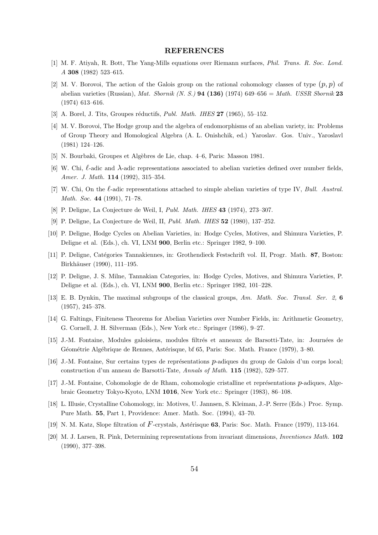### REFERENCES

- [1] M. F. Atiyah, R. Bott, The Yang-Mills equations over Riemann surfaces, Phil. Trans. R. Soc. Lond. A 308 (1982) 523–615.
- [2] M. V. Borovoi, The action of the Galois group on the rational cohomology classes of type  $(p, p)$  of abelian varieties (Russian), Mat. Sbornik (N. S.) **94 (136)** (1974) 649–656 = Math. USSR Sbornik 23 (1974) 613–616.
- [3] A. Borel, J. Tits, Groupes réductifs, Publ. Math. IHES  $27$  (1965), 55–152.
- [4] M. V. Borovoi, The Hodge group and the algebra of endomorphisms of an abelian variety, in: Problems of Group Theory and Homological Algebra (A. L. Onishchik, ed.) Yaroslav. Gos. Univ., Yaroslavl (1981) 124–126.
- [5] N. Bourbaki, Groupes et Algèbres de Lie, chap. 4–6, Paris: Masson 1981.
- [6] W. Chi,  $\ell$ -adic and  $\lambda$ -adic representations associated to abelian varieties defined over number fields, Amer. J. Math. 114 (1992), 315–354.
- [7] W. Chi, On the  $\ell$ -adic representations attached to simple abelian varieties of type IV, Bull. Austral. Math. Soc. 44 (1991), 71–78.
- [8] P. Deligne, La Conjecture de Weil, I, Publ. Math. IHES 43 (1974), 273–307.
- [9] P. Deligne, La Conjecture de Weil, II, Publ. Math. IHES 52 (1980), 137–252.
- [10] P. Deligne, Hodge Cycles on Abelian Varieties, in: Hodge Cycles, Motives, and Shimura Varieties, P. Deligne et al. (Eds.), ch. VI, LNM 900, Berlin etc.: Springer 1982, 9–100.
- [11] P. Deligne, Catégories Tannakiennes, in: Grothendieck Festschrift vol. II, Progr. Math. 87, Boston: Birkhäuser (1990), 111–195.
- [12] P. Deligne, J. S. Milne, Tannakian Categories, in: Hodge Cycles, Motives, and Shimura Varieties, P. Deligne et al. (Eds.), ch. VI, LNM 900, Berlin etc.: Springer 1982, 101–228.
- [13] E. B. Dynkin, The maximal subgroups of the classical groups, Am. Math. Soc. Transl. Ser. 2, 6 (1957), 245–378.
- [14] G. Faltings, Finiteness Theorems for Abelian Varieties over Number Fields, in: Arithmetic Geometry, G. Cornell, J. H. Silverman (Eds.), New York etc.: Springer (1986), 9–27.
- [15] J.-M. Fontaine, Modules galoisiens, modules filtrés et anneaux de Barsotti-Tate, in: Journées de Géométrie Algébrique de Rennes, Astérisque, bf 65, Paris: Soc. Math. France (1979), 3–80.
- [16] J.-M. Fontaine, Sur certains types de représentations p-adiques du group de Galois d'un corps local; construction d'un anneau de Barsotti-Tate, Annals of Math. 115 (1982), 529–577.
- [17] J.-M. Fontaine, Cohomologie de de Rham, cohomologie cristalline et représentations  $p$ -adiques, Algebraic Geometry Tokyo-Kyoto, LNM 1016, New York etc.: Springer (1983), 86–108.
- [18] L. Illusie, Crystalline Cohomology, in: Motives, U. Jannsen, S. Kleiman, J.-P. Serre (Eds.) Proc. Symp. Pure Math. 55, Part 1, Providence: Amer. Math. Soc. (1994), 43–70.
- [19] N. M. Katz, Slope filtration of  $F$ -crystals, Astérisque 63, Paris: Soc. Math. France (1979), 113-164.
- [20] M. J. Larsen, R. Pink, Determining representations from invariant dimensions, Inventiones Math. 102 (1990), 377–398.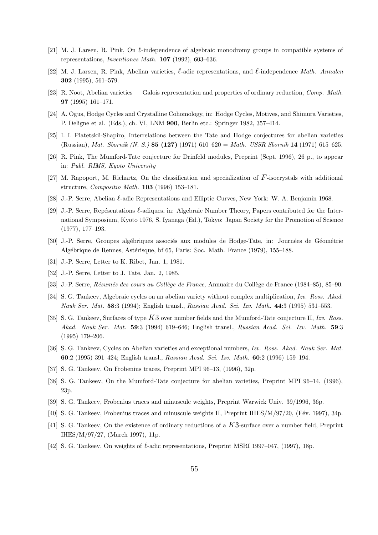- [21] M. J. Larsen, R. Pink, On  $\ell$ -independence of algebraic monodromy groups in compatible systems of representations, Inventiones Math. 107 (1992), 603–636.
- [22] M. J. Larsen, R. Pink, Abelian varieties,  $\ell$ -adic representations, and  $\ell$ -independence Math. Annalen 302 (1995), 561–579.
- [23] R. Noot, Abelian varieties Galois representation and properties of ordinary reduction, Comp. Math. 97 (1995) 161–171.
- [24] A. Ogus, Hodge Cycles and Crystalline Cohomology, in: Hodge Cycles, Motives, and Shimura Varieties, P. Deligne et al. (Eds.), ch. VI, LNM 900, Berlin etc.: Springer 1982, 357–414.
- [25] I. I. Piatetskii-Shapiro, Interrelations between the Tate and Hodge conjectures for abelian varieties (Russian), Mat. Sbornik (N. S.) 85 (127) (1971) 610–620 = Math. USSR Sbornik 14 (1971) 615–625.
- [26] R. Pink, The Mumford-Tate conjecture for Drinfeld modules, Preprint (Sept. 1996), 26 p., to appear in: Publ. RIMS, Kyoto University
- [27] M. Rapoport, M. Richartz, On the classification and specialization of F-isocrystals with additional structure, Compositio Math. 103 (1996) 153–181.
- [28] J.-P. Serre, Abelian  $\ell$ -adic Representations and Elliptic Curves, New York: W. A. Benjamin 1968.
- [29] J.-P. Serre, Repésentations  $\ell$ -adiques, in: Algebraic Number Theory, Papers contributed for the International Symposium, Kyoto 1976, S. Iyanaga (Ed.), Tokyo: Japan Society for the Promotion of Science (1977), 177–193.
- [30] J.-P. Serre, Groupes algébriques associés aux modules de Hodge-Tate, in: Journées de Géométrie Algébrique de Rennes, Astérisque, bf 65, Paris: Soc. Math. France (1979), 155–188.
- [31] J.-P. Serre, Letter to K. Ribet, Jan. 1, 1981.
- [32] J.-P. Serre, Letter to J. Tate, Jan. 2, 1985.
- [33] J.-P. Serre, Résumés des cours au Collège de France, Annuaire du Collège de France (1984–85), 85–90.
- [34] S. G. Tankeev, Algebraic cycles on an abelian variety without complex multiplication, Izv. Ross. Akad. Nauk Ser. Mat. 58:3 (1994); English transl., Russian Acad. Sci. Izv. Math. 44:3 (1995) 531–553.
- [35] S. G. Tankeev, Surfaces of type  $K3$  over number fields and the Mumford-Tate conjecture II, Izv. Ross. Akad. Nauk Ser. Mat. 59:3 (1994) 619–646; English transl., Russian Acad. Sci. Izv. Math. 59:3 (1995) 179–206.
- [36] S. G. Tankeev, Cycles on Abelian varieties and exceptional numbers, Izv. Ross. Akad. Nauk Ser. Mat. 60:2 (1995) 391–424; English transl., Russian Acad. Sci. Izv. Math. 60:2 (1996) 159–194.
- [37] S. G. Tankeev, On Frobenius traces, Preprint MPI 96–13, (1996), 32p.
- [38] S. G. Tankeev, On the Mumford-Tate conjecture for abelian varieties, Preprint MPI 96–14, (1996), 23p.
- [39] S. G. Tankeev, Frobenius traces and minuscule weights, Preprint Warwick Univ. 39/1996, 36p.
- [40] S. G. Tankeev, Frobenius traces and minuscule weights II, Preprint IHES/M/97/20, (Fév. 1997), 34p.
- [41] S. G. Tankeev, On the existence of ordinary reductions of a K3-surface over a number field, Preprint IHES/M/97/27, (March 1997), 11p.
- [42] S. G. Tankeev, On weights of  $\ell$ -adic representations, Preprint MSRI 1997–047, (1997), 18p.